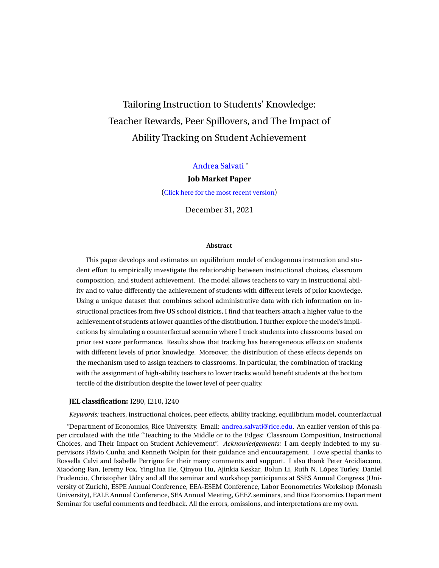# Tailoring Instruction to Students' Knowledge: Teacher Rewards, Peer Spillovers, and The Impact of Ability Tracking on Student Achievement

### [Andrea Salvati](https://www.andreasalvati.com) \*

#### **Job Market Paper**

([Click here for the most recent version](https://www.andreasalvati.com/uploads/JMP_Salvati.pdf))

December 31, 2021

#### **Abstract**

This paper develops and estimates an equilibrium model of endogenous instruction and student effort to empirically investigate the relationship between instructional choices, classroom composition, and student achievement. The model allows teachers to vary in instructional ability and to value differently the achievement of students with different levels of prior knowledge. Using a unique dataset that combines school administrative data with rich information on instructional practices from five US school districts, I find that teachers attach a higher value to the achievement of students at lower quantiles of the distribution. I further explore the model's implications by simulating a counterfactual scenario where I track students into classrooms based on prior test score performance. Results show that tracking has heterogeneous effects on students with different levels of prior knowledge. Moreover, the distribution of these effects depends on the mechanism used to assign teachers to classrooms. In particular, the combination of tracking with the assignment of high-ability teachers to lower tracks would benefit students at the bottom tercile of the distribution despite the lower level of peer quality.

#### **JEL classification:** I280, I210, I240

*Keywords:* teachers, instructional choices, peer effects, ability tracking, equilibrium model, counterfactual

\*Department of Economics, Rice University. Email: [andrea.salvati@rice.edu](mailto:andrea.salvati@rice.edu). An earlier version of this paper circulated with the title "Teaching to the Middle or to the Edges: Classroom Composition, Instructional Choices, and Their Impact on Student Achievement". *Acknowledgements:* I am deeply indebted to my supervisors Flávio Cunha and Kenneth Wolpin for their guidance and encouragement. I owe special thanks to Rossella Calvi and Isabelle Perrigne for their many comments and support. I also thank Peter Arcidiacono, Xiaodong Fan, Jeremy Fox, YingHua He, Qinyou Hu, Ajinkia Keskar, Bolun Li, Ruth N. López Turley, Daniel Prudencio, Christopher Udry and all the seminar and workshop participants at SSES Annual Congress (University of Zurich), ESPE Annual Conference, EEA-ESEM Conference, Labor Econometrics Workshop (Monash University), EALE Annual Conference, SEA Annual Meeting, GEEZ seminars, and Rice Economics Department Seminar for useful comments and feedback. All the errors, omissions, and interpretations are my own.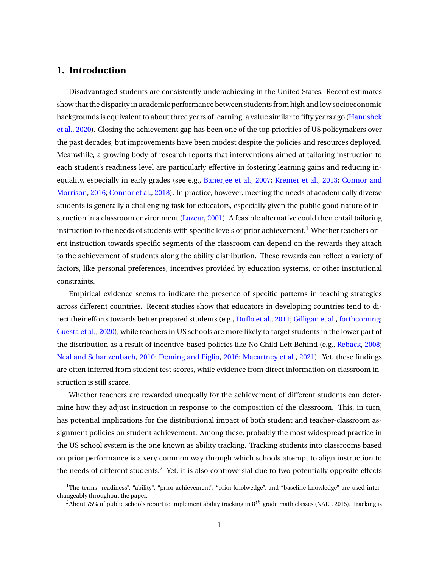# **1. Introduction**

Disadvantaged students are consistently underachieving in the United States. Recent estimates show that the disparity in academic performance between students from high and low socioeconomic backgrounds is equivalent to about three years of learning, a value similar to fifty years ago ([Hanushek](#page-39-0) [et al.,](#page-39-0) [2020](#page-39-0)). Closing the achievement gap has been one of the top priorities of US policymakers over the past decades, but improvements have been modest despite the policies and resources deployed. Meanwhile, a growing body of research reports that interventions aimed at tailoring instruction to each student's readiness level are particularly effective in fostering learning gains and reducing inequality, especially in early grades (see e.g., [Banerjee et al.](#page-36-0), [2007;](#page-36-0) [Kremer et al.,](#page-39-1) [2013](#page-39-1); [Connor and](#page-37-0) [Morrison](#page-37-0), [2016](#page-37-0); [Connor et al.,](#page-37-1) [2018\)](#page-37-1). In practice, however, meeting the needs of academically diverse students is generally a challenging task for educators, especially given the public good nature of instruction in a classroom environment ([Lazear,](#page-39-2) [2001\)](#page-39-2). A feasible alternative could then entail tailoring instruction to the needs of students with specific levels of prior achievement.<sup>[1](#page-1-0)</sup> Whether teachers orient instruction towards specific segments of the classroom can depend on the rewards they attach to the achievement of students along the ability distribution. These rewards can reflect a variety of factors, like personal preferences, incentives provided by education systems, or other institutional constraints.

Empirical evidence seems to indicate the presence of specific patterns in teaching strategies across different countries. Recent studies show that educators in developing countries tend to direct their efforts towards better prepared students (e.g., [Duflo et al.,](#page-38-0) [2011;](#page-38-0) [Gilligan et al.](#page-38-1), [forthcoming](#page-38-1); [Cuesta et al.,](#page-37-2) [2020\)](#page-37-2), while teachers in US schools are more likely to target students in the lower part of the distribution as a result of incentive-based policies like No Child Left Behind (e.g., [Reback](#page-40-0), [2008](#page-40-0); [Neal and Schanzenbach](#page-39-3), [2010](#page-39-3); [Deming and Figlio](#page-37-3), [2016](#page-37-3); [Macartney et al.](#page-39-4), [2021\)](#page-39-4). Yet, these findings are often inferred from student test scores, while evidence from direct information on classroom instruction is still scarce.

Whether teachers are rewarded unequally for the achievement of different students can determine how they adjust instruction in response to the composition of the classroom. This, in turn, has potential implications for the distributional impact of both student and teacher-classroom assignment policies on student achievement. Among these, probably the most widespread practice in the US school system is the one known as ability tracking. Tracking students into classrooms based on prior performance is a very common way through which schools attempt to align instruction to the needs of different students.<sup>[2](#page-1-1)</sup> Yet, it is also controversial due to two potentially opposite effects

<span id="page-1-0"></span> $1$ The terms "readiness", "ability", "prior achievement", "prior knolwedge", and "baseline knowledge" are used interchangeably throughout the paper.

<span id="page-1-1"></span><sup>&</sup>lt;sup>2</sup>About 75% of public schools report to implement ability tracking in 8<sup>th</sup> grade math classes (NAEP, 2015). Tracking is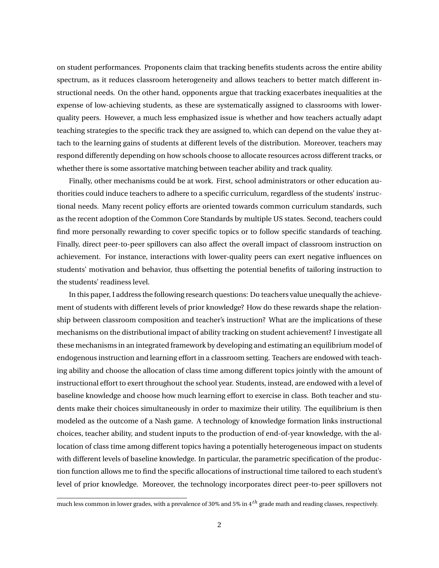on student performances. Proponents claim that tracking benefits students across the entire ability spectrum, as it reduces classroom heterogeneity and allows teachers to better match different instructional needs. On the other hand, opponents argue that tracking exacerbates inequalities at the expense of low-achieving students, as these are systematically assigned to classrooms with lowerquality peers. However, a much less emphasized issue is whether and how teachers actually adapt teaching strategies to the specific track they are assigned to, which can depend on the value they attach to the learning gains of students at different levels of the distribution. Moreover, teachers may respond differently depending on how schools choose to allocate resources across different tracks, or whether there is some assortative matching between teacher ability and track quality.

Finally, other mechanisms could be at work. First, school administrators or other education authorities could induce teachers to adhere to a specific curriculum, regardless of the students' instructional needs. Many recent policy efforts are oriented towards common curriculum standards, such as the recent adoption of the Common Core Standards by multiple US states. Second, teachers could find more personally rewarding to cover specific topics or to follow specific standards of teaching. Finally, direct peer-to-peer spillovers can also affect the overall impact of classroom instruction on achievement. For instance, interactions with lower-quality peers can exert negative influences on students' motivation and behavior, thus offsetting the potential benefits of tailoring instruction to the students' readiness level.

In this paper, I address the following research questions: Do teachers value unequally the achievement of students with different levels of prior knowledge? How do these rewards shape the relationship between classroom composition and teacher's instruction? What are the implications of these mechanisms on the distributional impact of ability tracking on student achievement? I investigate all these mechanisms in an integrated framework by developing and estimating an equilibrium model of endogenous instruction and learning effort in a classroom setting. Teachers are endowed with teaching ability and choose the allocation of class time among different topics jointly with the amount of instructional effort to exert throughout the school year. Students, instead, are endowed with a level of baseline knowledge and choose how much learning effort to exercise in class. Both teacher and students make their choices simultaneously in order to maximize their utility. The equilibrium is then modeled as the outcome of a Nash game. A technology of knowledge formation links instructional choices, teacher ability, and student inputs to the production of end-of-year knowledge, with the allocation of class time among different topics having a potentially heterogeneous impact on students with different levels of baseline knowledge. In particular, the parametric specification of the production function allows me to find the specific allocations of instructional time tailored to each student's level of prior knowledge. Moreover, the technology incorporates direct peer-to-peer spillovers not

much less common in lower grades, with a prevalence of 30% and 5% in 4*th* grade math and reading classes, respectively.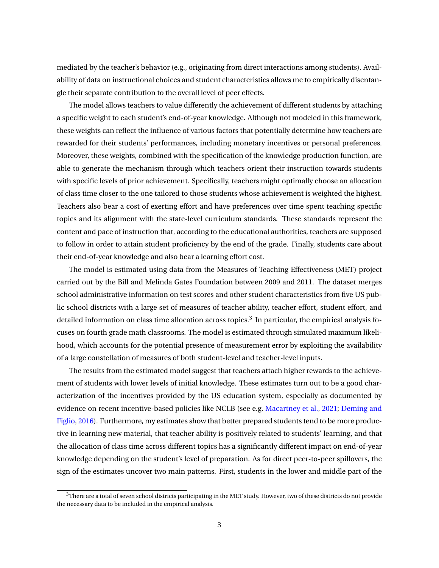mediated by the teacher's behavior (e.g., originating from direct interactions among students). Availability of data on instructional choices and student characteristics allows me to empirically disentangle their separate contribution to the overall level of peer effects.

The model allows teachers to value differently the achievement of different students by attaching a specific weight to each student's end-of-year knowledge. Although not modeled in this framework, these weights can reflect the influence of various factors that potentially determine how teachers are rewarded for their students' performances, including monetary incentives or personal preferences. Moreover, these weights, combined with the specification of the knowledge production function, are able to generate the mechanism through which teachers orient their instruction towards students with specific levels of prior achievement. Specifically, teachers might optimally choose an allocation of class time closer to the one tailored to those students whose achievement is weighted the highest. Teachers also bear a cost of exerting effort and have preferences over time spent teaching specific topics and its alignment with the state-level curriculum standards. These standards represent the content and pace of instruction that, according to the educational authorities, teachers are supposed to follow in order to attain student proficiency by the end of the grade. Finally, students care about their end-of-year knowledge and also bear a learning effort cost.

The model is estimated using data from the Measures of Teaching Effectiveness (MET) project carried out by the Bill and Melinda Gates Foundation between 2009 and 2011. The dataset merges school administrative information on test scores and other student characteristics from five US public school districts with a large set of measures of teacher ability, teacher effort, student effort, and detailed information on class time allocation across topics. $^3$  $^3$  In particular, the empirical analysis focuses on fourth grade math classrooms. The model is estimated through simulated maximum likelihood, which accounts for the potential presence of measurement error by exploiting the availability of a large constellation of measures of both student-level and teacher-level inputs.

The results from the estimated model suggest that teachers attach higher rewards to the achievement of students with lower levels of initial knowledge. These estimates turn out to be a good characterization of the incentives provided by the US education system, especially as documented by evidence on recent incentive-based policies like NCLB (see e.g. [Macartney et al.,](#page-39-4) [2021;](#page-39-4) [Deming and](#page-37-3) [Figlio,](#page-37-3) [2016\)](#page-37-3). Furthermore, my estimates show that better prepared students tend to be more productive in learning new material, that teacher ability is positively related to students' learning, and that the allocation of class time across different topics has a significantly different impact on end-of-year knowledge depending on the student's level of preparation. As for direct peer-to-peer spillovers, the sign of the estimates uncover two main patterns. First, students in the lower and middle part of the

<span id="page-3-0"></span><sup>&</sup>lt;sup>3</sup>There are a total of seven school districts participating in the MET study. However, two of these districts do not provide the necessary data to be included in the empirical analysis.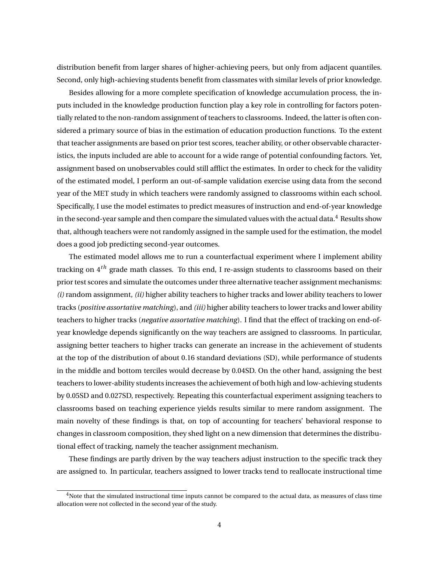distribution benefit from larger shares of higher-achieving peers, but only from adjacent quantiles. Second, only high-achieving students benefit from classmates with similar levels of prior knowledge.

Besides allowing for a more complete specification of knowledge accumulation process, the inputs included in the knowledge production function play a key role in controlling for factors potentially related to the non-random assignment of teachers to classrooms. Indeed, the latter is often considered a primary source of bias in the estimation of education production functions. To the extent that teacher assignments are based on prior test scores, teacher ability, or other observable characteristics, the inputs included are able to account for a wide range of potential confounding factors. Yet, assignment based on unobservables could still afflict the estimates. In order to check for the validity of the estimated model, I perform an out-of-sample validation exercise using data from the second year of the MET study in which teachers were randomly assigned to classrooms within each school. Specifically, I use the model estimates to predict measures of instruction and end-of-year knowledge in the second-year sample and then compare the simulated values with the actual data.<sup>[4](#page-4-0)</sup> Results show that, although teachers were not randomly assigned in the sample used for the estimation, the model does a good job predicting second-year outcomes.

The estimated model allows me to run a counterfactual experiment where I implement ability tracking on 4*th* grade math classes. To this end, I re-assign students to classrooms based on their prior test scores and simulate the outcomes under three alternative teacher assignment mechanisms: *(i)* random assignment, *(ii)* higher ability teachers to higher tracks and lower ability teachers to lower tracks (*positive assortative matching*), and *(iii)* higher ability teachers to lower tracks and lower ability teachers to higher tracks (*negative assortative matching*). I find that the effect of tracking on end-ofyear knowledge depends significantly on the way teachers are assigned to classrooms. In particular, assigning better teachers to higher tracks can generate an increase in the achievement of students at the top of the distribution of about 0.16 standard deviations (SD), while performance of students in the middle and bottom terciles would decrease by 0.04SD. On the other hand, assigning the best teachers to lower-ability students increases the achievement of both high and low-achieving students by 0.05SD and 0.027SD, respectively. Repeating this counterfactual experiment assigning teachers to classrooms based on teaching experience yields results similar to mere random assignment. The main novelty of these findings is that, on top of accounting for teachers' behavioral response to changes in classroom composition, they shed light on a new dimension that determines the distributional effect of tracking, namely the teacher assignment mechanism.

These findings are partly driven by the way teachers adjust instruction to the specific track they are assigned to. In particular, teachers assigned to lower tracks tend to reallocate instructional time

<span id="page-4-0"></span> $4$ Note that the simulated instructional time inputs cannot be compared to the actual data, as measures of class time allocation were not collected in the second year of the study.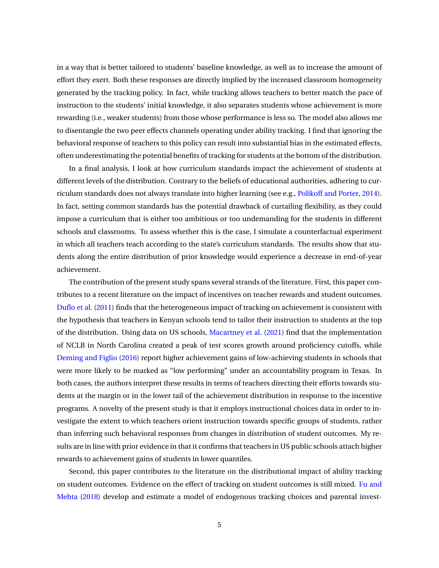in a way that is better tailored to students' baseline knowledge, as well as to increase the amount of effort they exert. Both these responses are directly implied by the increased classroom homogeneity generated by the tracking policy. In fact, while tracking allows teachers to better match the pace of instruction to the students' initial knowledge, it also separates students whose achievement is more rewarding (i.e., weaker students) from those whose performance is less so. The model also allows me to disentangle the two peer effects channels operating under ability tracking. I find that ignoring the behavioral response of teachers to this policy can result into substantial bias in the estimated effects, often underestimating the potential benefits of tracking for students at the bottom of the distribution.

In a final analysis, I look at how curriculum standards impact the achievement of students at different levels of the distribution. Contrary to the beliefs of educational authorities, adhering to curriculum standards does not always translate into higher learning (see e.g., [Polikoff and Porter](#page-39-5), [2014\)](#page-39-5). In fact, setting common standards has the potential drawback of curtailing flexibility, as they could impose a curriculum that is either too ambitious or too undemanding for the students in different schools and classrooms. To assess whether this is the case, I simulate a counterfactual experiment in which all teachers teach according to the state's curriculum standards. The results show that students along the entire distribution of prior knowledge would experience a decrease in end-of-year achievement.

The contribution of the present study spans several strands of the literature. First, this paper contributes to a recent literature on the impact of incentives on teacher rewards and student outcomes. [Duflo et al.](#page-38-0) ([2011\)](#page-38-0) finds that the heterogeneous impact of tracking on achievement is consistent with the hypothesis that teachers in Kenyan schools tend to tailor their instruction to students at the top of the distribution. Using data on US schools, [Macartney et al.](#page-39-4) ([2021](#page-39-4)) find that the implementation of NCLB in North Carolina created a peak of test scores growth around proficiency cutoffs, while [Deming and Figlio](#page-37-3) ([2016\)](#page-37-3) report higher achievement gains of low-achieving students in schools that were more likely to be marked as "low performing" under an accountability program in Texas. In both cases, the authors interpret these results in terms of teachers directing their efforts towards students at the margin or in the lower tail of the achievement distribution in response to the incentive programs. A novelty of the present study is that it employs instructional choices data in order to investigate the extent to which teachers orient instruction towards specific groups of students, rather than inferring such behavioral responses from changes in distribution of student outcomes. My results are in line with prior evidence in that it confirms that teachers in US public schools attach higher rewards to achievement gains of students in lower quantiles.

Second, this paper contributes to the literature on the distributional impact of ability tracking on student outcomes. Evidence on the effect of tracking on student outcomes is still mixed. [Fu and](#page-38-2) [Mehta](#page-38-2) [\(2018\)](#page-38-2) develop and estimate a model of endogenous tracking choices and parental invest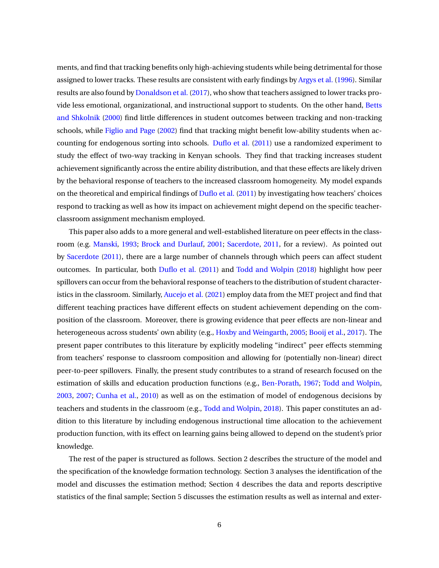ments, and find that tracking benefits only high-achieving students while being detrimental for those assigned to lower tracks. These results are consistent with early findings by [Argys et al.](#page-36-1) [\(1996\)](#page-36-1). Similar results are also found by [Donaldson et al.](#page-37-4) ([2017](#page-37-4)), who show that teachers assigned to lower tracks provide less emotional, organizational, and instructional support to students. On the other hand, [Betts](#page-36-2) [and Shkolnik](#page-36-2) [\(2000](#page-36-2)) find little differences in student outcomes between tracking and non-tracking schools, while [Figlio and Page](#page-38-3) ([2002](#page-38-3)) find that tracking might benefit low-ability students when accounting for endogenous sorting into schools. [Duflo et al.](#page-38-0) ([2011](#page-38-0)) use a randomized experiment to study the effect of two-way tracking in Kenyan schools. They find that tracking increases student achievement significantly across the entire ability distribution, and that these effects are likely driven by the behavioral response of teachers to the increased classroom homogeneity. My model expands on the theoretical and empirical findings of [Duflo et al.](#page-38-0) [\(2011](#page-38-0)) by investigating how teachers' choices respond to tracking as well as how its impact on achievement might depend on the specific teacherclassroom assignment mechanism employed.

This paper also adds to a more general and well-established literature on peer effects in the classroom (e.g. [Manski](#page-39-6), [1993](#page-39-6); [Brock and Durlauf](#page-37-5), [2001;](#page-37-5) [Sacerdote,](#page-40-1) [2011](#page-40-1), for a review). As pointed out by [Sacerdote](#page-40-1) ([2011](#page-40-1)), there are a large number of channels through which peers can affect student outcomes. In particular, both [Duflo et al.](#page-38-0) ([2011\)](#page-38-0) and [Todd and Wolpin](#page-40-2) [\(2018](#page-40-2)) highlight how peer spillovers can occur from the behavioral response of teachers to the distribution of student characteristics in the classroom. Similarly, [Aucejo et al.](#page-36-3) [\(2021\)](#page-36-3) employ data from the MET project and find that different teaching practices have different effects on student achievement depending on the composition of the classroom. Moreover, there is growing evidence that peer effects are non-linear and heterogeneous across students' own ability (e.g., [Hoxby and Weingarth,](#page-39-7) [2005](#page-39-7); [Booij et al.](#page-37-6), [2017\)](#page-37-6). The present paper contributes to this literature by explicitly modeling "indirect" peer effects stemming from teachers' response to classroom composition and allowing for (potentially non-linear) direct peer-to-peer spillovers. Finally, the present study contributes to a strand of research focused on the estimation of skills and education production functions (e.g., [Ben-Porath](#page-36-4), [1967](#page-36-4); [Todd and Wolpin](#page-40-3), [2003](#page-40-3), [2007;](#page-40-4) [Cunha et al.,](#page-37-7) [2010](#page-37-7)) as well as on the estimation of model of endogenous decisions by teachers and students in the classroom (e.g., [Todd and Wolpin,](#page-40-2) [2018](#page-40-2)). This paper constitutes an addition to this literature by including endogenous instructional time allocation to the achievement production function, with its effect on learning gains being allowed to depend on the student's prior knowledge.

The rest of the paper is structured as follows. Section [2](#page-7-0) describes the structure of the model and the specification of the knowledge formation technology. Section [3](#page-13-0) analyses the identification of the model and discusses the estimation method; Section [4](#page-18-0) describes the data and reports descriptive statistics of the final sample; Section [5](#page-23-0) discusses the estimation results as well as internal and exter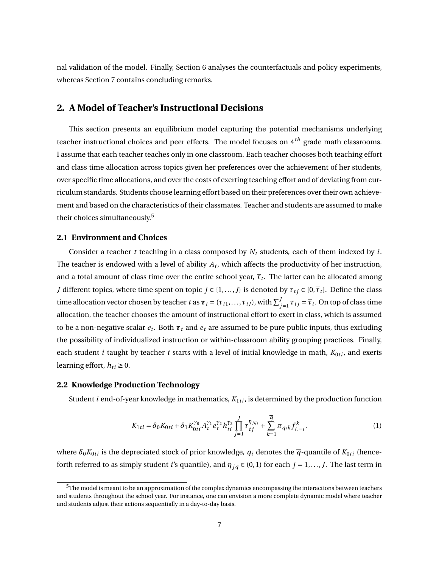nal validation of the model. Finally, Section [6](#page-30-0) analyses the counterfactuals and policy experiments, whereas Section [7](#page-34-0) contains concluding remarks.

# <span id="page-7-0"></span>**2. A Model of Teacher's Instructional Decisions**

This section presents an equilibrium model capturing the potential mechanisms underlying teacher instructional choices and peer effects. The model focuses on 4*th* grade math classrooms. I assume that each teacher teaches only in one classroom. Each teacher chooses both teaching effort and class time allocation across topics given her preferences over the achievement of her students, over specific time allocations, and over the costs of exerting teaching effort and of deviating from curriculum standards. Students choose learning effort based on their preferences over their own achievement and based on the characteristics of their classmates. Teacher and students are assumed to make their choices simultaneously.<sup>[5](#page-7-1)</sup>

### **2.1 Environment and Choices**

Consider a teacher *t* teaching in a class composed by *N<sup>t</sup>* students, each of them indexed by *i*. The teacher is endowed with a level of ability  $A_t$ , which affects the productivity of her instruction, and a total amount of class time over the entire school year,  $\overline{\tau}_t.$  The latter can be allocated among *J* different topics, where time spent on topic  $j \in \{1, ..., J\}$  is denoted by  $\tau_{t}$   $\in [0, \overline{\tau}_{t}]$ . Define the class time allocation vector chosen by teacher *t* as  $\boldsymbol{\tau}_t = (\tau_{t1}, \dots, \tau_{tJ})$ , with  $\sum_{j=1}^J \tau_{tj} = \overline{\tau}_t$ . On top of class time allocation, the teacher chooses the amount of instructional effort to exert in class, which is assumed to be a non-negative scalar *e<sup>t</sup>* . Both *τ<sup>t</sup>* and *e<sup>t</sup>* are assumed to be pure public inputs, thus excluding the possibility of individualized instruction or within-classroom ability grouping practices. Finally, each student  $i$  taught by teacher  $t$  starts with a level of initial knowledge in math,  $K_{0ti}$ , and exerts learning effort,  $h_{ti} \geq 0$ .

### <span id="page-7-3"></span>**2.2 Knowledge Production Technology**

Student *i* end-of-year knowledge in mathematics,  $K_{1ti}$ , is determined by the production function

<span id="page-7-2"></span>
$$
K_{1ti} = \delta_0 K_{0ti} + \delta_1 K_{0ti}^{\gamma_0} A_t^{\gamma_1} e_t^{\gamma_2} h_{ti}^{\gamma_3} \prod_{j=1}^J \tau_{tj}^{\eta_{jq_i}} + \sum_{k=1}^{\overline{q}} \pi_{q_k k} f_{t,-i}^k,
$$
(1)

where  $\delta_0 K_{0ti}$  is the depreciated stock of prior knowledge,  $q_i$  denotes the  $\overline{q}$ -quantile of  $K_{0ti}$  (henceforth referred to as simply student *i*'s quantile), and  $\eta_{jq} \in (0,1)$  for each  $j = 1,..., J$ . The last term in

<span id="page-7-1"></span> $5$ The model is meant to be an approximation of the complex dynamics encompassing the interactions between teachers and students throughout the school year. For instance, one can envision a more complete dynamic model where teacher and students adjust their actions sequentially in a day-to-day basis.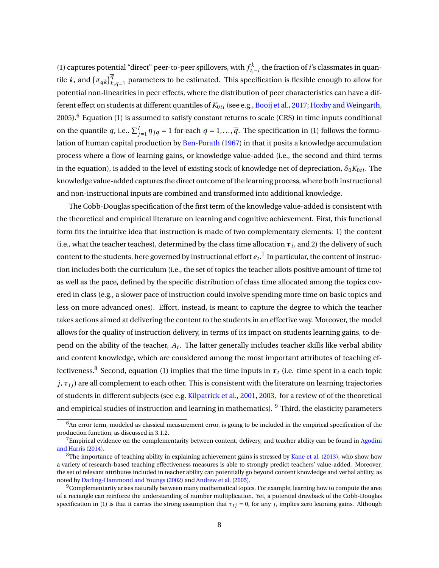([1](#page-7-2)) captures potential "direct" peer-to-peer spillovers, with  $f_{t,-i}^k$  the fraction of *i*'s classmates in quantile *k*, and  $(\pi_{qk})^{\overline{q}}_{k,q=1}$  parameters to be estimated. This specification is flexible enough to allow for potential non-linearities in peer effects, where the distribution of peer characteristics can have a different effect on students at different quantiles of  $K_{0ti}$  (see e.g., [Booij et al.,](#page-37-6) [2017](#page-37-6); [Hoxby and Weingarth](#page-39-7),  $2005$ .<sup>[6](#page-8-0)</sup> Equation ([1](#page-7-2)) is assumed to satisfy constant returns to scale (CRS) in time inputs conditional on the quantile *q*, i.e.,  $\sum_{j=1}^{J} \eta_{jq} = 1$  for each  $q = 1, \ldots, \overline{q}$ . The specification in [\(1\)](#page-7-2) follows the formu-lation of human capital production by [Ben-Porath](#page-36-4) ([1967](#page-36-4)) in that it posits a knowledge accumulation process where a flow of learning gains, or knowledge value-added (i.e., the second and third terms in the equation), is added to the level of existing stock of knowledge net of depreciation,  $\delta_0 K_{0ti}$ . The knowledge value-added captures the direct outcome of the learning process, where both instructional and non-instructional inputs are combined and transformed into additional knowledge.

The Cobb-Douglas specification of the first term of the knowledge value-added is consistent with the theoretical and empirical literature on learning and cognitive achievement. First, this functional form fits the intuitive idea that instruction is made of two complementary elements: 1) the content (i.e., what the teacher teaches), determined by the class time allocation  $\boldsymbol{\tau}_t$ , and 2) the delivery of such content to the students, here governed by instructional effort  $e_t.^7$  $e_t.^7$  In particular, the content of instruction includes both the curriculum (i.e., the set of topics the teacher allots positive amount of time to) as well as the pace, defined by the specific distribution of class time allocated among the topics covered in class (e.g., a slower pace of instruction could involve spending more time on basic topics and less on more advanced ones). Effort, instead, is meant to capture the degree to which the teacher takes actions aimed at delivering the content to the students in an effective way. Moreover, the model allows for the quality of instruction delivery, in terms of its impact on students learning gains, to depend on the ability of the teacher, *A<sup>t</sup>* . The latter generally includes teacher skills like verbal ability and content knowledge, which are considered among the most important attributes of teaching ef-fectiveness.<sup>[8](#page-8-2)</sup> Second, equation [\(1\)](#page-7-2) implies that the time inputs in  $\tau$ <sub>*t*</sub> (i.e. time spent in a each topic  $j, \tau_{ti}$ ) are all complement to each other. This is consistent with the literature on learning trajectories of students in different subjects (see e.g. [Kilpatrick et al.](#page-39-8), [2001,](#page-39-8) [2003,](#page-39-9) for a review of of the theoretical and empirical studies of instruction and learning in mathematics). <sup>[9](#page-8-3)</sup> Third, the elasticity parameters

<span id="page-8-0"></span><sup>6</sup>An error term, modeled as classical measurement error, is going to be included in the empirical specification of the production function, as discussed in [3.1.2.](#page-14-0)

<span id="page-8-1"></span><sup>&</sup>lt;sup>7</sup>Empirical evidence on the complementarity between content, delivery, and teacher ability can be found in [Agodini](#page-36-5) [and Harris](#page-36-5) [\(2014\)](#page-36-5).

<span id="page-8-2"></span> $8$ The importance of teaching ability in explaining achievement gains is stressed by [Kane et al.](#page-39-10) [\(2013\)](#page-39-10), who show how a variety of research-based teaching effectiveness measures is able to strongly predict teachers' value-added. Moreover, the set of relevant attributes included in teacher ability can potentially go beyond content knowledge and verbal ability, as noted by [Darling-Hammond and Youngs](#page-37-8) [\(2002\)](#page-37-8) and [Andrew et al.](#page-36-6) ([2005](#page-36-6)).

<span id="page-8-3"></span> $9$ Complementarity arises naturally between many mathematical topics. For example, learning how to compute the area of a rectangle can reinforce the understanding of number multiplication. Yet, a potential drawback of the Cobb-Douglas specification in ([1\)](#page-7-2) is that it carries the strong assumption that  $\tau_{ti} = 0$ , for any *j*, implies zero learning gains. Although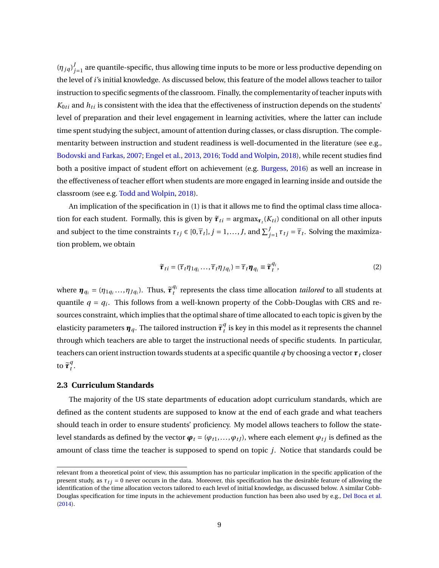$(\eta_{jq})^j$  $j_{j=1}^{\prime}$  are quantile-specific, thus allowing time inputs to be more or less productive depending on the level of *i*'s initial knowledge. As discussed below, this feature of the model allows teacher to tailor instruction to specific segments of the classroom. Finally, the complementarity of teacher inputs with  $K_{0ti}$  and  $h_{ti}$  is consistent with the idea that the effectiveness of instruction depends on the students' level of preparation and their level engagement in learning activities, where the latter can include time spent studying the subject, amount of attention during classes, or class disruption. The complementarity between instruction and student readiness is well-documented in the literature (see e.g., [Bodovski and Farkas,](#page-36-7) [2007](#page-36-7); [Engel et al.](#page-38-4), [2013](#page-38-4), [2016;](#page-38-5) [Todd and Wolpin](#page-40-2), [2018](#page-40-2)), while recent studies find both a positive impact of student effort on achievement (e.g. [Burgess](#page-37-9), [2016\)](#page-37-9) as well an increase in the effectiveness of teacher effort when students are more engaged in learning inside and outside the classroom (see e.g. [Todd and Wolpin,](#page-40-2) [2018\)](#page-40-2).

An implication of the specification in ([1](#page-7-2)) is that it allows me to find the optimal class time allocation for each student. Formally, this is given by  $\tilde{\pmb{\tau}}_{ti}$  =  $\argmax_{\pmb{\tau}_t} (K_{ti})$  conditional on all other inputs and subject to the time constraints  $\tau_{tj} \in [0, \overline{\tau}_t]$ ,  $j = 1, ..., J$ , and  $\sum_{j=1}^J \tau_{tj} = \overline{\tau}_t$ . Solving the maximization problem, we obtain

<span id="page-9-0"></span>
$$
\widetilde{\boldsymbol{\tau}}_{ti} = (\overline{\tau}_t \eta_{1q_i} \dots, \overline{\tau}_t \eta_{Jq_i}) = \overline{\tau}_t \boldsymbol{\eta}_{q_i} \equiv \widetilde{\boldsymbol{\tau}}_t^{q_i},\tag{2}
$$

where  $\boldsymbol{\eta}_{q_i} = (\eta_{1q_i}, ..., \eta_{Jq_i})$ . Thus,  $\tilde{\boldsymbol{\tau}}_t^{q_i}$  $t<sub>t</sub><sup>q<sub>t</sub>}</sup>$  represents the class time allocation *tailored* to all students at quantile *q = q<sup>i</sup>* . This follows from a well-known property of the Cobb-Douglas with CRS and resources constraint, which implies that the optimal share of time allocated to each topic is given by the elasticity parameters  $\pmb{\eta}_q.$  The tailored instruction  $\widetilde{\pmb{\tau}}^q_t$  $t<sub>t</sub><sup>q</sup>$  is key in this model as it represents the channel through which teachers are able to target the instructional needs of specific students. In particular, teachers can orient instruction towards students at a specific quantile *q* by choosing a vector *τ<sup>t</sup>* closer to  $\widetilde{\tau}_{t}^{q}$ *t* .

#### <span id="page-9-1"></span>**2.3 Curriculum Standards**

The majority of the US state departments of education adopt curriculum standards, which are defined as the content students are supposed to know at the end of each grade and what teachers should teach in order to ensure students' proficiency. My model allows teachers to follow the statelevel standards as defined by the vector  $\boldsymbol{\varphi}_t = (\varphi_{t1}, \dots, \varphi_{tJ})$ , where each element  $\varphi_{tj}$  is defined as the amount of class time the teacher is supposed to spend on topic *j*. Notice that standards could be

relevant from a theoretical point of view, this assumption has no particular implication in the specific application of the present study, as  $\tau_{ti} = 0$  never occurs in the data. Moreover, this specification has the desirable feature of allowing the identification of the time allocation vectors tailored to each level of initial knowledge, as discussed below. A similar Cobb-Douglas specification for time inputs in the achievement production function has been also used by e.g., [Del Boca et al.](#page-37-10) [\(2014\)](#page-37-10).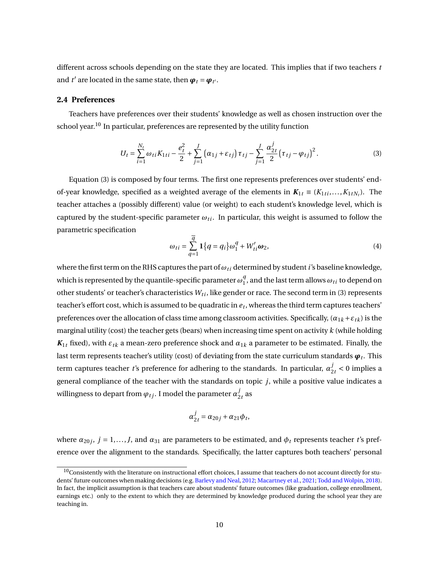different across schools depending on the state they are located. This implies that if two teachers *t* and *t'* are located in the same state, then  $\boldsymbol{\varphi}_t = \boldsymbol{\varphi}_{t'}.$ 

### **2.4 Preferences**

Teachers have preferences over their students' knowledge as well as chosen instruction over the school year.<sup>[10](#page-10-0)</sup> In particular, preferences are represented by the utility function

$$
U_t = \sum_{i=1}^{N_t} \omega_{ti} K_{1ti} - \frac{e_t^2}{2} + \sum_{j=1}^J \left( \alpha_{1j} + \varepsilon_{tj} \right) \tau_{tj} - \sum_{j=1}^J \frac{\alpha_{2t}^j}{2} \left( \tau_{tj} - \varphi_{tj} \right)^2.
$$
 (3)

Equation ([3](#page-10-1)) is composed by four terms. The first one represents preferences over students' endof-year knowledge, specified as a weighted average of the elements in  $K_{1t} \equiv (K_{1ti},...,K_{1tN_t})$ . The teacher attaches a (possibly different) value (or weight) to each student's knowledge level, which is captured by the student-specific parameter  $\omega_{ti}$ . In particular, this weight is assumed to follow the parametric specification

<span id="page-10-2"></span><span id="page-10-1"></span>
$$
\omega_{ti} = \sum_{q=1}^{\overline{q}} \mathbf{1} \{q = q_i\} \omega_1^q + W_{ti}' \omega_2,
$$
\n(4)

where the first term on the RHS captures the part of  $ω_t$  i determined by student *i*'s baseline knowledge, which is represented by the quantile-specific parameter  $\omega_1^q$  $_1^9$ , and the last term allows  $\omega_{ti}$  to depend on other students' or teacher's characteristics  $W_{ti}$ , like gender or race. The second term in [\(3\)](#page-10-1) represents teacher's effort cost, which is assumed to be quadratic in *e<sup>t</sup>* , whereas the third term captures teachers' preferences over the allocation of class time among classroom activities. Specifically,  $(a_{1k} + \varepsilon_{tk})$  is the marginal utility (cost) the teacher gets (bears) when increasing time spent on activity *k* (while holding  $K_{1t}$  fixed), with  $\varepsilon_{tk}$  a mean-zero preference shock and  $\alpha_{1k}$  a parameter to be estimated. Finally, the last term represents teacher's utility (cost) of deviating from the state curriculum standards  $\pmb{\varphi}_t$ . This term captures teacher *t*'s preference for adhering to the standards. In particular,  $\alpha_{2t}^j < 0$  implies a general compliance of the teacher with the standards on topic *j*, while a positive value indicates a willingness to depart from  $\varphi_{tj}$ . I model the parameter  $\alpha_2^j$  $\frac{J}{2t}$  as

$$
\alpha_{2t}^j = \alpha_{20j} + \alpha_{21}\phi_t,
$$

where  $\alpha_{20j}, j = 1,...,J$ , and  $\alpha_{31}$  are parameters to be estimated, and  $\phi_t$  represents teacher *t*'s preference over the alignment to the standards. Specifically, the latter captures both teachers' personal

<span id="page-10-0"></span> $10$ Consistently with the literature on instructional effort choices, I assume that teachers do not account directly for students' future outcomes when making decisions (e.g. [Barlevy and Neal](#page-36-8), [2012](#page-36-8); [Macartney et al.](#page-39-4), [2021](#page-39-4); [Todd and Wolpin](#page-40-2), [2018\)](#page-40-2). In fact, the implicit assumption is that teachers care about students' future outcomes (like graduation, college enrollment, earnings etc.) only to the extent to which they are determined by knowledge produced during the school year they are teaching in.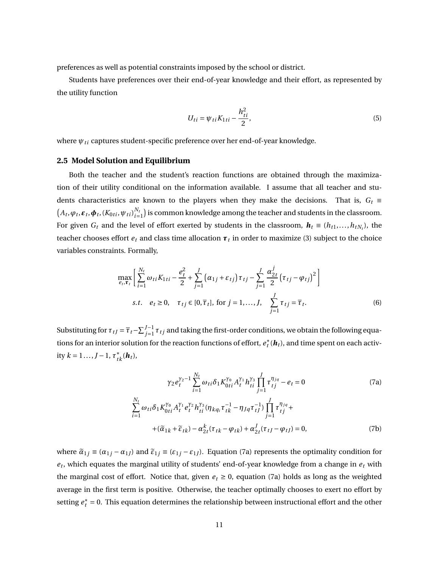preferences as well as potential constraints imposed by the school or district.

Students have preferences over their end-of-year knowledge and their effort, as represented by the utility function

$$
U_{ti} = \psi_{ti} K_{1ti} - \frac{h_{ti}^2}{2},
$$
\n(5)

where  $ψ$ <sub>ti</sub> captures student-specific preference over her end-of-year knowledge.

#### **2.5 Model Solution and Equilibrium**

Both the teacher and the student's reaction functions are obtained through the maximization of their utility conditional on the information available. I assume that all teacher and students characteristics are known to the players when they make the decisions. That is,  $G_t \equiv$  $(A_t, \varphi_t, \varepsilon_t, \varphi_t, (K_{0ti}, \psi_{ti})_{i=0}^{N_t}$ *i=*1 ) is common knowledge among the teacher and students in the classroom. For given  $G_t$  and the level of effort exerted by students in the classroom,  $\bm{h}_t \equiv (h_{t1},...,h_{tN_t})$ , the teacher chooses effort  $e_t$  and class time allocation  $\pmb{\tau}_t$  in order to maximize [\(3\)](#page-10-1) subject to the choice variables constraints. Formally,

$$
\max_{e_t, \tau_t} \left[ \sum_{i=1}^{N_t} \omega_{ti} K_{1ti} - \frac{e_t^2}{2} + \sum_{j=1}^J \left( \alpha_{1j} + \varepsilon_{tj} \right) \tau_{tj} - \sum_{j=1}^J \frac{\alpha_{2t}^j}{2} \left( \tau_{tj} - \varphi_{tj} \right)^2 \right]
$$
  
s.t.  $e_t \ge 0$ ,  $\tau_{tj} \in [0, \overline{\tau}_t]$ , for  $j = 1, ..., J$ ,  $\sum_{j=1}^J \tau_{tj} = \overline{\tau}_t$ . (6)

Substituting for  $\tau_{tJ} = \overline{\tau}_t - \sum_{j=1}^{J-1} \tau_{tj}$  and taking the first-order conditions, we obtain the following equations for an interior solution for the reaction functions of effort,  $e_t^*(\bm{h}_t)$ , and time spent on each activ $i$ tty  $k = 1..., J-1, \tau^*_{tk}$  (**h**<sub>t</sub>),

<span id="page-11-1"></span><span id="page-11-0"></span>
$$
\gamma_2 e_t^{\gamma_2 - 1} \sum_{i=1}^{N_t} \omega_{ti} \delta_1 K_{0ti}^{\gamma_0} A_t^{\gamma_1} h_{ti}^{\gamma_3} \prod_{j=1}^J \tau_{tj}^{\eta_{jq}} - e_t = 0
$$
\n(7a)  
\n
$$
\sum_{i=1}^{N_t} \omega_{ti} \delta_1 K_{0ti}^{\gamma_0} A_t^{\gamma_1} e_t^{\gamma_2} h_{ti}^{\gamma_3} (\eta_{kq_i} \tau_{tk}^{-1} - \eta_{Jq} \tau_{tj}^{-1}) \prod_{j=1}^J \tau_{tj}^{\eta_{jq}} +
$$
\n
$$
+ (\tilde{\alpha}_{1k} + \tilde{\epsilon}_{tk}) - \alpha_{2t}^k (\tau_{tk} - \varphi_{tk}) + \alpha_{2t}^J (\tau_{tj} - \varphi_{tj}) = 0,
$$
\n(7b)

where  $\tilde{\alpha}_{1j} \equiv (\alpha_{1j} - \alpha_{1j})$  and  $\tilde{\epsilon}_{1j} \equiv (\epsilon_{1j} - \epsilon_{1j})$ . Equation [\(7a](#page-11-0)) represents the optimality condition for *et* , which equates the marginal utility of students' end-of-year knowledge from a change in *e<sup>t</sup>* with the marginal cost of effort. Notice that, given  $e_t \ge 0$ , equation [\(7a](#page-11-0)) holds as long as the weighted average in the first term is positive. Otherwise, the teacher optimally chooses to exert no effort by setting  $e_t^*$  = 0. This equation determines the relationship between instructional effort and the other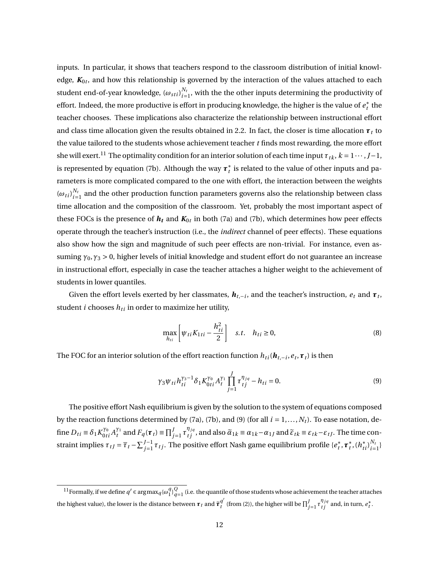inputs. In particular, it shows that teachers respond to the classroom distribution of initial knowledge, *K*0*<sup>t</sup>* , and how this relationship is governed by the interaction of the values attached to each student end-of-year knowledge,  $\left(\omega_{sti}\right)_{i=1}^{N_t}$  $\frac{N_t}{i=1}$ , with the the other inputs determining the productivity of effort. Indeed, the more productive is effort in producing knowledge, the higher is the value of  $e_t^\ast$  the teacher chooses. These implications also characterize the relationship between instructional effort and class time allocation given the results obtained in [2.2.](#page-7-3) In fact, the closer is time allocation  $\tau_t$  to the value tailored to the students whose achievement teacher  $t$  finds most rewarding, the more effort she will exert.<sup>[11](#page-12-0)</sup> The optimality condition for an interior solution of each time input  $\tau_{tk}$ ,  $k = 1 \cdots, J-1$ , is represented by equation ([7b](#page-11-1)). Although the way  $\pmb{\tau}^*_t$  is related to the value of other inputs and parameters is more complicated compared to the one with effort, the interaction between the weights  $(\omega_{ti})_{i=1}^{N_t}$  $\frac{N_t}{i=1}$  and the other production function parameters governs also the relationship between class time allocation and the composition of the classroom. Yet, probably the most important aspect of these FOCs is the presence of  $\bm{h}_{\bm{t}}$  and  $\bm{K}_{0t}$  in both ([7a](#page-11-0)) and ([7b\)](#page-11-1), which determines how peer effects operate through the teacher's instruction (i.e., the *indirect* channel of peer effects). These equations also show how the sign and magnitude of such peer effects are non-trivial. For instance, even assuming *γ*0,*γ*<sup>3</sup> *>* 0, higher levels of initial knowledge and student effort do not guarantee an increase in instructional effort, especially in case the teacher attaches a higher weight to the achievement of students in lower quantiles.

Given the effort levels exerted by her classmates,  $\bm{h}_{t,-i}$ , and the teacher's instruction,  $e_t$  and  $\bm{\tau}_t$ , student  $i$  chooses  $h_{ti}$  in order to maximize her utility,

<span id="page-12-1"></span>
$$
\max_{h_{ti}} \left[ \psi_{ti} K_{1ti} - \frac{h_{ti}^2}{2} \right] \quad s.t. \quad h_{ti} \ge 0,
$$
\n(8)

The FOC for an interior solution of the effort reaction function  $h_{ti}(\boldsymbol{h}_{t,-i}, e_t, \boldsymbol{\tau}_t)$  is then

$$
\gamma_3 \psi_{ti} h_{ti}^{\gamma_3 - 1} \delta_1 K_{0ti}^{\gamma_0} A_t^{\gamma_1} \prod_{j=1}^J \tau_{tj}^{\eta_{jq}} - h_{ti} = 0.
$$
 (9)

The positive effort Nash equilibrium is given by the solution to the system of equations composed by the reaction functions determined by [\(7a\)](#page-11-0), [\(7b](#page-11-1)), and [\(9\)](#page-12-1) (for all  $i = 1, ..., N<sub>t</sub>$ ). To ease notation, define  $D_{ti} \equiv \delta_1 K_{0ti}^{\gamma_0} A_t^{\gamma_1}$  $\widetilde{r}_t^{\gamma_1}$  and  $F_q(\tau_t) \equiv \prod_{j=1}^J \tau_{tj}^{\eta_{jq}}$ , and also  $\widetilde{\alpha}_{1k} \equiv \alpha_{1k} - \alpha_{1j}$  and  $\widetilde{\epsilon}_{tk} \equiv \epsilon_{tk} - \epsilon_{tj}$ . The time constraint implies  $\tau_{tJ} = \overline{\tau}_t - \sum_{j=1}^{J-1} \tau_{tj}$ . The positive effort Nash game equilibrium profile  $\{e_t^*, \tau_t^*, (h_{ti}^*)_{i=1}^{N_t}\}$  $\{e^{i\mathbf{v}_t}\}_{i=1}^{\{1\}}$ 

<span id="page-12-0"></span><sup>&</sup>lt;sup>11</sup> Formally, if we define  $q' \in \argmax_{q} \{ \omega_1^q \}$  $\frac{q}{1}$ ,  $\frac{Q}{q-1}$  (i.e. the quantile of those students whose achievement the teacher attaches the highest value), the lower is the distance between  $\boldsymbol{\tau}_t$  and  $\tilde{\boldsymbol{\tau}}_t^{q'}$  (from ([2\)](#page-9-0)), the higher will be  $\prod_{j=1}^J \tau_{tj}^{\eta_{jq}}$  and, in turn,  $e_t^*$ .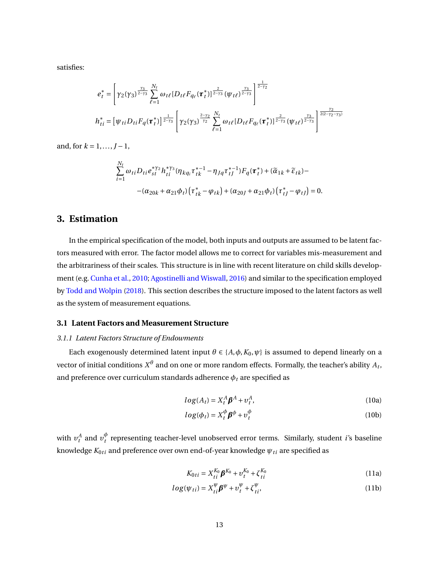satisfies:

$$
e_{t}^{*} = \left[ \gamma_{2}(\gamma_{3})^{\frac{\gamma_{3}}{2-\gamma_{3}}}\sum_{\ell=1}^{N_{t}}\omega_{t\ell}[D_{t\ell}F_{q_{\ell}}(\tau_{t}^{*})]^{\frac{2}{2-\gamma_{3}}}(\psi_{t\ell})^{\frac{\gamma_{3}}{2-\gamma_{3}}}\right]^{\frac{1}{2-\gamma_{2}}} h_{ti}^{*} = \left[ \psi_{ti}D_{ti}F_{q}(\tau_{t}^{*})\right]^{\frac{1}{2-\gamma_{3}}}\left[ \gamma_{2}(\gamma_{3})^{\frac{2-\gamma_{2}}{\gamma_{2}}}\sum_{\ell=1}^{N_{t}}\omega_{t\ell}[D_{t\ell}F_{q_{\ell}}(\tau_{t}^{*})]^{\frac{2}{2-\gamma_{3}}}(\psi_{t\ell})^{\frac{\gamma_{3}}{2-\gamma_{3}}}\right]^{\frac{\gamma_{2}}{2(2-\gamma_{2}-\gamma_{3})}}
$$

and, for  $k = 1, ..., J - 1$ ,

$$
\sum_{i=1}^{N_t} \omega_{ti} D_{ti} e_{st}^{* \gamma_2} h_{ti}^{* \gamma_3} (\eta_{kq_i} \tau_{tk}^{* - 1} - \eta_{Jq} \tau_{tJ}^{* - 1}) F_q(\tau_t^*) + (\tilde{\alpha}_{1k} + \tilde{\epsilon}_{tk}) -
$$

$$
-(\alpha_{20k} + \alpha_{21} \phi_t) (\tau_{tk}^* - \varphi_{tk}) + (\alpha_{20J} + \alpha_{21} \phi_t) (\tau_{tJ}^* - \varphi_{tJ}) = 0.
$$

# <span id="page-13-0"></span>**3. Estimation**

In the empirical specification of the model, both inputs and outputs are assumed to be latent factors measured with error. The factor model allows me to correct for variables mis-measurement and the arbitrariness of their scales. This structure is in line with recent literature on child skills development (e.g. [Cunha et al.,](#page-37-7) [2010;](#page-37-7) [Agostinelli and Wiswall](#page-36-9), [2016](#page-36-9)) and similar to the specification employed by [Todd and Wolpin](#page-40-2) [\(2018](#page-40-2)). This section describes the structure imposed to the latent factors as well as the system of measurement equations.

### **3.1 Latent Factors and Measurement Structure**

#### *3.1.1 Latent Factors Structure of Endowments*

Each exogenously determined latent input  $\theta \in \{A, \phi, K_0, \psi\}$  is assumed to depend linearly on a vector of initial conditions  $X^\theta$  and on one or more random effects. Formally, the teacher's ability  $A_t$ , and preference over curriculum standards adherence  $\phi_t$  are specified as

<span id="page-13-3"></span><span id="page-13-2"></span>
$$
log(A_t) = X_t^A \beta^A + v_t^A,
$$
\n(10a)

$$
log(\phi_t) = X_t^{\phi} \boldsymbol{\beta}^{\phi} + v_t^{\phi}
$$
 (10b)

with  $v_t^A$  and  $v_t^{\phi}$  $_t^{\varphi}$  representing teacher-level unobserved error terms. Similarly, student *i*'s baseline knowledge  $K_{0ti}$  and preference over own end-of-year knowledge  $\psi_{ti}$  are specified as

<span id="page-13-4"></span><span id="page-13-1"></span>
$$
K_{0ti} = X_{ti}^{K_0} \mathbf{\beta}^{K_0} + v_t^{K_0} + \zeta_{ti}^{K_0}
$$
 (11a)

$$
log(\psi_{ti}) = X_{ti}^{\psi} \beta^{\psi} + v_t^{\psi} + \zeta_{ti}^{\psi},
$$
\n(11b)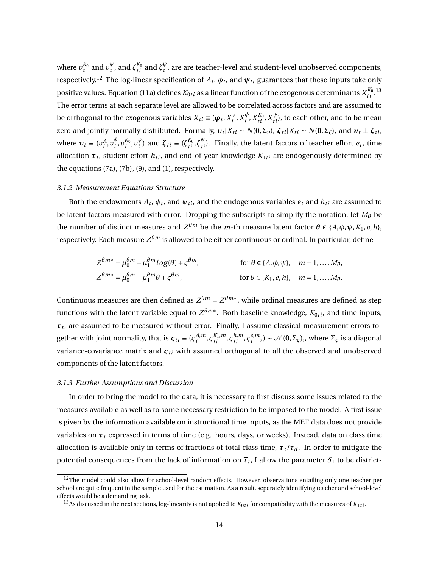where  $v_t^{K_0}$  and  $v_t^{\psi}$  $_t^{\psi}$ , and  $\zeta_{ti}^{K_0}$  and  $\zeta_t^{\psi}$  $_t^{\varphi}$ , are are teacher-level and student-level unobserved components, respectively.<sup>[12](#page-14-1)</sup> The log-linear specification of  $A_t$ ,  $\phi_t$ , and  $\psi_{\mathit{ti}}$  guarantees that these inputs take only positive values. Equation ([11a\)](#page-13-1) defines  $K_{0ti}$  as a linear function of the exogenous determinants  $X_{ti}^{K_0\,13}$  $X_{ti}^{K_0\,13}$  $X_{ti}^{K_0\,13}$ The error terms at each separate level are allowed to be correlated across factors and are assumed to be orthogonal to the exogenous variables  $X_{ti} \equiv (\boldsymbol{\varphi}_t, X_t^A, X_t^\phi)$  $_{t}^{\phi},X_{ti}^{K_{0}},X_{ti}^{\psi}),$  to each other, and to be mean zero and jointly normally distributed. Formally,  $\bm{v}_t|X_{ti} \sim N(\bm{0},\Sigma_v)$ ,  $\bm{\zeta}_{ti}|X_{ti} \sim N(\bm{0},\Sigma_\zeta)$ , and  $\bm{v}_t \perp \bm{\zeta}_{ti}$ , where  $v_t \equiv (v_t^A, v_t^{\phi})$  $v_t^{\phi}, v_t^{K_0}, v_t^{\psi}$  $\mathcal{L}_t^{\psi}$  and  $\zeta_{ti} \equiv (\zeta_{ti}^{K_0}, \zeta_{ti}^{\psi})$ . Finally, the latent factors of teacher effort  $e_t$ , time allocation  $\boldsymbol{\tau}_t$ , student effort  $h_{ti}$ , and end-of-year knowledge  $K_{1ti}$  are endogenously determined by the equations [\(7a\)](#page-11-0), ([7b\)](#page-11-1), ([9](#page-12-1)), and ([1](#page-7-2)), respectively.

#### <span id="page-14-0"></span>*3.1.2 Measurement Equations Structure*

Both the endowments  $A_t$ ,  $\phi_t$ , and  $\psi_{ti}$ , and the endogenous variables  $e_t$  and  $h_{ti}$  are assumed to be latent factors measured with error. Dropping the subscripts to simplify the notation, let *M<sup>θ</sup>* be the number of distinct measures and  $Z^{\theta m}$  be the *m*-th measure latent factor  $\theta \in \{A, \phi, \psi, K_1, e, h\}$ , respectively. Each measure  $Z^{\theta m}$  is allowed to be either continuous or ordinal. In particular, define

$$
Z^{\theta m*} = \mu_0^{\theta m} + \mu_1^{\theta m} \log(\theta) + \varsigma^{\theta m}, \qquad \text{for } \theta \in \{A, \phi, \psi\}, \quad m = 1, \dots, M_\theta,
$$
  

$$
Z^{\theta m*} = \mu_0^{\theta m} + \mu_1^{\theta m} \theta + \varsigma^{\theta m}, \qquad \text{for } \theta \in \{K_1, e, h\}, \quad m = 1, \dots, M_\theta.
$$

Continuous measures are then defined as  $Z^{\theta m} = Z^{\theta m*}$ , while ordinal measures are defined as step functions with the latent variable equal to  $Z^{\theta m *}$ . Both baseline knowledge,  $K_{0 t i}$ , and time inputs, *τt* , are assumed to be measured without error. Finally, I assume classical measurement errors together with joint normality, that is  $\boldsymbol{\varsigma}_{ti} \equiv (\boldsymbol{\varsigma}_t^{A,m}$  $A, m$ ,  $\varsigma_{ti}^{K_1, m}$ ,  $\varsigma_{ti}^{h, m}$ ,  $\varsigma_t^{e, m}$  $t_t^{e,m}$ ,) *∼*  $\mathcal{N}$ (**0**,Σ<sub>*ς*</sub>),, where  $\Sigma$ <sub>*ς*</sub> is a diagonal variance-covariance matrix and  $\varsigma_{ti}$  with assumed orthogonal to all the observed and unobserved components of the latent factors.

#### <span id="page-14-3"></span>*3.1.3 Further Assumptions and Discussion*

In order to bring the model to the data, it is necessary to first discuss some issues related to the measures available as well as to some necessary restriction to be imposed to the model. A first issue is given by the information available on instructional time inputs, as the MET data does not provide variables on  $\tau_t$  expressed in terms of time (e.g. hours, days, or weeks). Instead, data on class time allocation is available only in terms of fractions of total class time,  $\tau_t/\overline{\tau}_d$ . In order to mitigate the potential consequences from the lack of information on  $\overline{\tau}_t$ , I allow the parameter  $\delta_1$  to be district-

<span id="page-14-1"></span> $12$ The model could also allow for school-level random effects. However, observations entailing only one teacher per school are quite frequent in the sample used for the estimation. As a result, separately identifying teacher and school-level effects would be a demanding task.

<span id="page-14-2"></span><sup>&</sup>lt;sup>13</sup>As discussed in the next sections, log-linearity is not applied to  $K_{0ti}$  for compatibility with the measures of  $K_{1ti}$ .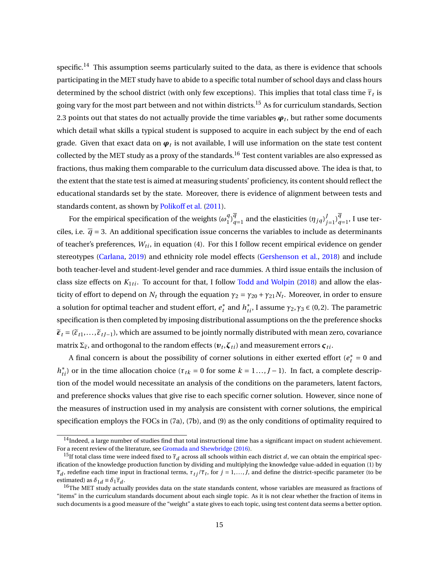specific.<sup>[14](#page-15-0)</sup> This assumption seems particularly suited to the data, as there is evidence that schools participating in the MET study have to abide to a specific total number of school days and class hours determined by the school district (with only few exceptions). This implies that total class time  $\overline{\tau}_t$  is going vary for the most part between and not within districts.<sup>[15](#page-15-1)</sup> As for curriculum standards, Section [2.3](#page-9-1) points out that states do not actually provide the time variables  $\boldsymbol{\varphi}_t$ , but rather some documents which detail what skills a typical student is supposed to acquire in each subject by the end of each grade. Given that exact data on  $\boldsymbol{\varphi}_t$  is not available, I will use information on the state test content collected by the MET study as a proxy of the standards.<sup>[16](#page-15-2)</sup> Test content variables are also expressed as fractions, thus making them comparable to the curriculum data discussed above. The idea is that, to the extent that the state test is aimed at measuring students' proficiency, its content should reflect the educational standards set by the state. Moreover, there is evidence of alignment between tests and standards content, as shown by [Polikoff et al.](#page-40-5) ([2011\)](#page-40-5).

For the empirical specification of the weights  $(\omega_1^q)$  $q_1^q$ <br> $q_1^q$  $_q^q$  and the elasticities  $(\eta_{jq})^j_j$  $\int_{j=1}^{J}$ ) $\overline{q}$  $_{q=1}^{q}$ , I use terciles, i.e.  $\bar{q}$  = 3. An additional specification issue concerns the variables to include as determinants of teacher's preferences,  $W_{ti}$ , in equation ([4](#page-10-2)). For this I follow recent empirical evidence on gender stereotypes ([Carlana](#page-37-11), [2019\)](#page-37-11) and ethnicity role model effects [\(Gershenson et al.](#page-38-6), [2018\)](#page-38-6) and include both teacher-level and student-level gender and race dummies. A third issue entails the inclusion of class size effects on  $K_{1ti}$ . To account for that, I follow [Todd and Wolpin](#page-40-2) ([2018\)](#page-40-2) and allow the elasticity of effort to depend on  $N_t$  through the equation  $\gamma_2 = \gamma_{20} + \gamma_{21} N_t$ . Moreover, in order to ensure a solution for optimal teacher and student effort,  $e_t^*$  and  $h_{ti}^*$ , I assume  $γ_2, γ_3 ∈ (0,2)$ . The parametric specification is then completed by imposing distributional assumptions on the the preference shocks  $\tilde{\epsilon}_t$  = ( $\tilde{\epsilon}_{t1},...,\tilde{\epsilon}_{tJ-1}$ ), which are assumed to be jointly normally distributed with mean zero, covariance matrix  $\Sigma_{\widetilde{\epsilon}}$ , and orthogonal to the random effects  $(\boldsymbol{v}_t, \boldsymbol{\zeta}_{ti})$  and measurement errors  $\boldsymbol{\zeta}_{ti}$ .

A final concern is about the possibility of corner solutions in either exerted effort ( $e_t^* = 0$  and *h*<sup>\*</sup><sub>*ti*</sub></sub>) or in the time allocation choice ( $\tau$ <sub>*tk*</sub> = 0 for some *k* = 1...,*J* − 1). In fact, a complete description of the model would necessitate an analysis of the conditions on the parameters, latent factors, and preference shocks values that give rise to each specific corner solution. However, since none of the measures of instruction used in my analysis are consistent with corner solutions, the empirical specification employs the FOCs in [\(7a](#page-11-0)), [\(7b\)](#page-11-1), and ([9](#page-12-1)) as the only conditions of optimality required to

<span id="page-15-0"></span> $14$ Indeed, a large number of studies find that total instructional time has a significant impact on student achievement. For a recent review of the literature, see [Gromada and Shewbridge](#page-39-11) ([2016](#page-39-11)).

<span id="page-15-1"></span><sup>&</sup>lt;sup>15</sup>If total class time were indeed fixed to  $\bar{\tau}_d$  across all schools within each district *d*, we can obtain the empirical specification of the knowledge production function by dividing and multiplying the knowledge value-added in equation ([1\)](#page-7-2) by *τd* , redefine each time input in fractional terms, *τt j* /*τt* , for *j =* 1,...,*J*, and define the district-specific parameter (to be estimated) as  $\delta_{1d} \equiv \delta_1 \overline{\tau}_d$ .

<span id="page-15-2"></span><sup>&</sup>lt;sup>16</sup>The MET study actually provides data on the state standards content, whose variables are measured as fractions of "items" in the curriculum standards document about each single topic. As it is not clear whether the fraction of items in such documents is a good measure of the "weight" a state gives to each topic, using test content data seems a better option.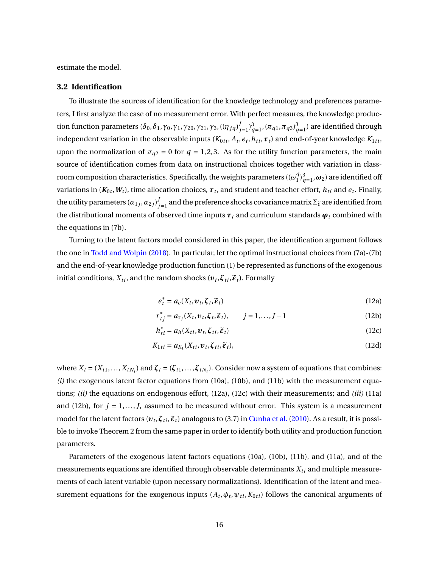estimate the model.

#### **3.2 Identification**

To illustrate the sources of identification for the knowledge technology and preferences parameters, I first analyze the case of no measurement error. With perfect measures, the knowledge production function parameters ( $\delta_0, \delta_1, \gamma_0, \gamma_1, \gamma_2_0, \gamma_2_1, \gamma_3,$  (( $\eta_{jq}$ ) $_j^{j}$  $J_{j=1}$ ) $_{q=1}^{3}$ ,  $(\pi_{q1}, \pi_{q3})_{q=1}^{3}$ ) are identified through independent variation in the observable inputs ( $K_{0ti}, A_t, e_t, h_{ti}, \bm{\tau}_t$ ) and end-of-year knowledge  $K_{1ti},$ upon the normalization of  $\pi_{q2} = 0$  for  $q = 1,2,3$ . As for the utility function parameters, the main source of identification comes from data on instructional choices together with variation in classroom composition characteristics. Specifically, the weights parameters (( $\omega_1^q$  $_{1}^{q}$ <sub> $_{q=1}^{3}$ </sub>, $\omega_{2}$ ) are identified off variations in ( $K_{0t}, W_t$ ), time allocation choices,  $\pmb{\tau}_t$ , and student and teacher effort,  $h_{ti}$  and  $e_t$ . Finally, the utility parameters  $(\alpha_{1j}, \alpha_{2j})^j$  $j_{j=1}^{\prime}$  and the preference shocks covariance matrix  $\Sigma_{\widetilde{\epsilon}}$  are identified from the distributional moments of observed time inputs  $\boldsymbol{\tau}_t$  and curriculum standards  $\boldsymbol{\varphi}_t$  combined with the equations in [\(7b\)](#page-11-1).

Turning to the latent factors model considered in this paper, the identification argument follows the one in [Todd and Wolpin](#page-40-2) ([2018](#page-40-2)). In particular, let the optimal instructional choices from [\(7a](#page-11-0))-([7b](#page-11-1)) and the end-of-year knowledge production function [\(1\)](#page-7-2) be represented as functions of the exogenous initial conditions,  $X_{ti}$ , and the random shocks  $(\boldsymbol{v}_t, \boldsymbol{\zeta}_{ti}, \widetilde{\boldsymbol{\epsilon}}_t)$ . Formally

<span id="page-16-2"></span><span id="page-16-1"></span><span id="page-16-0"></span>
$$
e_t^* = a_e(X_t, \boldsymbol{v}_t, \boldsymbol{\zeta}_t, \widetilde{\boldsymbol{\epsilon}}_t)
$$
(12a)

$$
\tau_{tj}^* = a_{\tau_j}(X_t, \boldsymbol{v}_t, \boldsymbol{\zeta}_t, \widetilde{\boldsymbol{\epsilon}}_t), \qquad j = 1, \dots, J - 1 \tag{12b}
$$

$$
h_{ti}^* = a_h(X_{ti}, \boldsymbol{v}_t, \boldsymbol{\zeta}_{ti}, \boldsymbol{\tilde{\epsilon}}_t)
$$
 (12c)

$$
K_{1ti} = a_{K_1}(X_{ti}, \boldsymbol{v}_t, \boldsymbol{\zeta}_{ti}, \boldsymbol{\tilde{\epsilon}}_t),
$$
\n(12d)

where  $X_t = (X_{t1},...,X_{tN_t})$  and  $\zeta_t = (\zeta_{t1},...,\zeta_{tN_t})$ . Consider now a system of equations that combines: *(i)* the exogenous latent factor equations from [\(10a](#page-13-2)), [\(10b\)](#page-13-3), and [\(11b\)](#page-13-4) with the measurement equations; *(ii)* the equations on endogenous effort, [\(12a\)](#page-16-0), ([12c](#page-16-1)) with their measurements; and *(iii)* [\(11a](#page-13-1)) and ([12b](#page-16-2)), for  $j = 1, ..., J$ , assumed to be measured without error. This system is a measurement model for the latent factors  $(v_t, \zeta_{ti}, \tilde{\epsilon}_t)$  analogous to (3.7) in [Cunha et al.](#page-37-7) ([2010\)](#page-37-7). As a result, it is possible to invoke Theorem 2 from the same paper in order to identify both utility and production function parameters.

Parameters of the exogenous latent factors equations [\(10a](#page-13-2)), [\(10b](#page-13-3)), [\(11b](#page-13-4)), and [\(11a](#page-13-1)), and of the measurements equations are identified through observable determinants  $X_{ti}$  and multiple measurements of each latent variable (upon necessary normalizations). Identification of the latent and measurement equations for the exogenous inputs  $(A_t, \phi_t, \psi_{ti}, K_{0ti})$  follows the canonical arguments of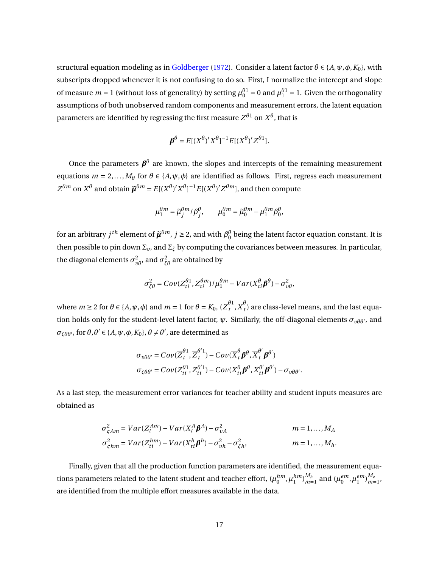structural equation modeling as in [Goldberger](#page-38-7) [\(1972\)](#page-38-7). Consider a latent factor  $\theta \in \{A, \psi, \phi, K_0\}$ , with subscripts dropped whenever it is not confusing to do so. First, I normalize the intercept and slope of measure  $m = 1$  (without loss of generality) by setting  $\mu_0^{\theta 1} = 0$  and  $\mu_1^{\theta 1} = 1$ . Given the orthogonality assumptions of both unobserved random components and measurement errors, the latent equation parameters are identified by regressing the first measure  $Z^{\theta 1}$  on  $X^{\theta}$ , that is

$$
\boldsymbol{\beta}^{\theta} = E[(X^{\theta})'X^{\theta}]^{-1}E[(X^{\theta})'Z^{\theta}]
$$

Once the parameters  $\pmb{\beta}^{\theta}$  are known, the slopes and intercepts of the remaining measurement equations  $m = 2,..., M_{\theta}$  for  $\theta \in \{A, \psi, \phi\}$  are identified as follows. First, regress each measurement  $Z^{\theta m}$  on  $X^{\theta}$  and obtain  $\tilde{\mu}^{\theta m} = E[(X^{\theta})'X^{\theta}]^{-1}E[(X^{\theta})'Z^{\theta m}]$ , and then compute

$$
\mu_1^{\theta m} = \widetilde{\mu}_j^{\theta m} / \beta_j^{\theta}, \qquad \mu_0^{\theta m} = \widetilde{\mu}_0^{\theta m} - \mu_1^{\theta m} \beta_0^{\theta},
$$

for an arbitrary  $j^{th}$  element of  $\tilde{\mu}^{\theta m}$ ,  $j \ge 2$ , and with  $\beta_0^\theta$  being the latent factor equation constant. It is then possible to pin down  $\Sigma_{v}$ , and  $\Sigma_{\zeta}$  by computing the covariances between measures. In particular, the diagonal elements  $\sigma^2_{\nu\theta}$ , and  $\sigma^2_{\zeta\theta}$  are obtained by

$$
\sigma_{\zeta\theta}^2 = Cov(Z_{ti}^{\theta1}, Z_{ti}^{\theta m})/\mu_1^{\theta m} - Var(X_{ti}^{\theta}\pmb{\beta}^{\theta}) - \sigma_{v\theta}^2,
$$

where  $m \ge 2$  for  $\theta \in \{A, \psi, \phi\}$  and  $m = 1$  for  $\theta = K_0$ ,  $(\overline{Z}_t^{\theta 1})$  $\frac{\theta}{t}$ ,  $\overline{X}^{\theta}_{t}$  $\sigma_t$ ) are class-level means, and the last equation holds only for the student-level latent factor, *ψ*. Similarly, the off-diagonal elements *συθθ′* , and *σ*<sub>ζθθ'</sub>, for  $\theta$ , $\theta'$  ∈ {*A*,  $\psi$ , $\phi$ ,  $K_0$ },  $\theta \neq \theta'$ , are determined as

$$
\sigma_{\nu\theta\theta'} = Cov(\overline{Z}_{t}^{\theta1}, \overline{Z}_{t}^{\theta'1}) - Cov(\overline{X}_{t}^{\theta}\boldsymbol{\beta}^{\theta}, \overline{X}_{t}^{\theta'}\boldsymbol{\beta}^{\theta'})
$$

$$
\sigma_{\zeta\theta\theta'} = Cov(Z_{ti}^{\theta1}, Z_{ti}^{\theta'1}) - Cov(X_{ti}^{\theta}\boldsymbol{\beta}^{\theta}, X_{ti}^{\theta'}\boldsymbol{\beta}^{\theta'}) - \sigma_{\nu\theta\theta'}.
$$

As a last step, the measurement error variances for teacher ability and student inputs measures are obtained as

$$
\sigma_{\zeta Am}^2 = Var(Z_t^{Am}) - Var(X_t^A \boldsymbol{\beta}^A) - \sigma_{vA}^2 \qquad m = 1,..., M_A
$$
  

$$
\sigma_{\zeta hm}^2 = Var(Z_{ti}^{hm}) - Var(X_{ti}^h \boldsymbol{\beta}^h) - \sigma_{vh}^2 - \sigma_{\zeta h}^2, \qquad m = 1,..., M_h.
$$

Finally, given that all the production function parameters are identified, the measurement equations parameters related to the latent student and teacher effort,  $(\mu_0^{hm}, \mu_1^{hm})_{m=}^{M_h}$  $_{m=1}^{M_h}$  and  $(\mu_0^{em}, \mu_1^{em})_{m=1}^{M_e}$ *m=*1 , are identified from the multiple effort measures available in the data.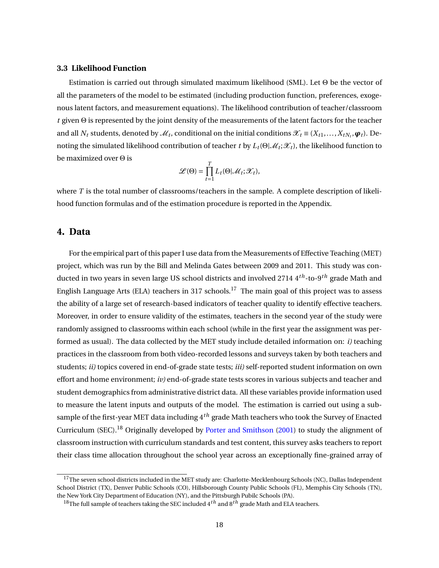### **3.3 Likelihood Function**

Estimation is carried out through simulated maximum likelihood (SML). Let Θ be the vector of all the parameters of the model to be estimated (including production function, preferences, exogenous latent factors, and measurement equations). The likelihood contribution of teacher/classroom *t* given Θ is represented by the joint density of the measurements of the latent factors for the teacher and all  $N_t$  students, denoted by  $\mathcal{M}_t$ , conditional on the initial conditions  $\mathcal{X}_t \equiv (X_{t1},...,X_{tN_t},\boldsymbol{\varphi}_t)$ . Denoting the simulated likelihood contribution of teacher *t* by  $L_t(\Theta|\mathscr{M}_t;\mathscr{X}_t)$ , the likelihood function to be maximized over Θ is

$$
\mathscr{L}(\Theta) = \prod_{t=1}^T L_t(\Theta|\mathscr{M}_t; \mathscr{X}_t),
$$

where *T* is the total number of classrooms/teachers in the sample. A complete description of likelihood function formulas and of the estimation procedure is reported in the Appendix.

# <span id="page-18-0"></span>**4. Data**

For the empirical part of this paper I use data from the Measurements of Effective Teaching (MET) project, which was run by the Bill and Melinda Gates between 2009 and 2011. This study was conducted in two years in seven large US school districts and involved 2714 4*th*-to-9*th* grade Math and English Language Arts (ELA) teachers in 3[17](#page-18-1) schools.<sup>17</sup> The main goal of this project was to assess the ability of a large set of research-based indicators of teacher quality to identify effective teachers. Moreover, in order to ensure validity of the estimates, teachers in the second year of the study were randomly assigned to classrooms within each school (while in the first year the assignment was performed as usual). The data collected by the MET study include detailed information on: *i)* teaching practices in the classroom from both video-recorded lessons and surveys taken by both teachers and students; *ii)* topics covered in end-of-grade state tests; *iii)* self-reported student information on own effort and home environment; *iv)* end-of-grade state tests scores in various subjects and teacher and student demographics from administrative district data. All these variables provide information used to measure the latent inputs and outputs of the model. The estimation is carried out using a subsample of the first-year MET data including 4*th* grade Math teachers who took the Survey of Enacted Curriculum (SEC).<sup>[18](#page-18-2)</sup> Originally developed by [Porter and Smithson](#page-40-6) [\(2001\)](#page-40-6) to study the alignment of classroom instruction with curriculum standards and test content, this survey asks teachers to report their class time allocation throughout the school year across an exceptionally fine-grained array of

<span id="page-18-1"></span> $^{17}$ The seven school districts included in the MET study are: Charlotte-Mecklenbourg Schools (NC), Dallas Independent School District (TX), Denver Public Schools (CO), Hillsborough County Public Schools (FL), Memphis City Schools (TN), the New York City Department of Education (NY), and the Pittsburgh Pubilc Schools (PA).

<span id="page-18-2"></span><sup>18</sup>The full sample of teachers taking the SEC included 4*th* and 8*th* grade Math and ELA teachers.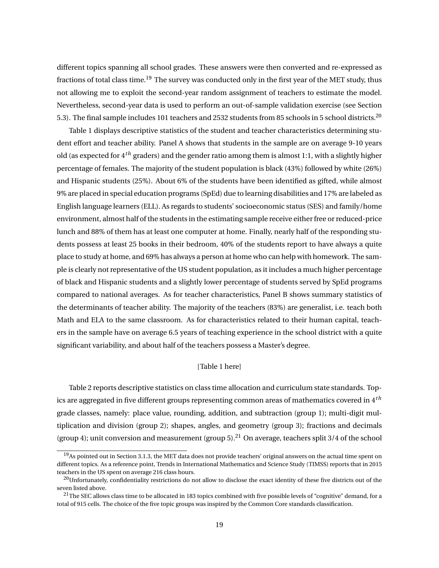different topics spanning all school grades. These answers were then converted and re-expressed as fractions of total class time.<sup>[19](#page-19-0)</sup> The survey was conducted only in the first year of the MET study, thus not allowing me to exploit the second-year random assignment of teachers to estimate the model. Nevertheless, second-year data is used to perform an out-of-sample validation exercise (see Section [5.3\)](#page-27-0). The final sample includes 101 teachers and 2532 students from 85 schools in 5 school districts.<sup>[20](#page-19-1)</sup>

Table [1](#page-41-0) displays descriptive statistics of the student and teacher characteristics determining student effort and teacher ability. Panel A shows that students in the sample are on average 9-10 years old (as expected for 4*th* graders) and the gender ratio among them is almost 1:1, with a slightly higher percentage of females. The majority of the student population is black (43%) followed by white (26%) and Hispanic students (25%). About 6% of the students have been identified as gifted, while almost 9% are placed in special education programs (SpEd) due to learning disabilities and 17% are labeled as English language learners (ELL). As regards to students' socioeconomic status (SES) and family/home environment, almost half of the students in the estimating sample receive either free or reduced-price lunch and 88% of them has at least one computer at home. Finally, nearly half of the responding students possess at least 25 books in their bedroom, 40% of the students report to have always a quite place to study at home, and 69% has always a person at home who can help with homework. The sample is clearly not representative of the US student population, as it includes a much higher percentage of black and Hispanic students and a slightly lower percentage of students served by SpEd programs compared to national averages. As for teacher characteristics, Panel B shows summary statistics of the determinants of teacher ability. The majority of the teachers (83%) are generalist, i.e. teach both Math and ELA to the same classroom. As for characteristics related to their human capital, teachers in the sample have on average 6.5 years of teaching experience in the school district with a quite significant variability, and about half of the teachers possess a Master's degree.

### [Table [1](#page-41-0) here]

Table [2](#page-41-1) reports descriptive statistics on class time allocation and curriculum state standards. Topics are aggregated in five different groups representing common areas of mathematics covered in 4*th* grade classes, namely: place value, rounding, addition, and subtraction (group 1); multi-digit multiplication and division (group 2); shapes, angles, and geometry (group 3); fractions and decimals (group 4); unit conversion and measurement (group 5).<sup>[21](#page-19-2)</sup> On average, teachers split 3/4 of the school

<span id="page-19-0"></span> $19$ As pointed out in Section [3.1.3](#page-14-3), the MET data does not provide teachers' original answers on the actual time spent on different topics. As a reference point, Trends in International Mathematics and Science Study (TIMSS) reports that in 2015 teachers in the US spent on average 216 class hours.

<span id="page-19-1"></span><sup>&</sup>lt;sup>20</sup>Unfortunately, confidentiality restrictions do not allow to disclose the exact identity of these five districts out of the seven listed above.

<span id="page-19-2"></span> $21$ The SEC allows class time to be allocated in 183 topics combined with five possible levels of "cognitive" demand, for a total of 915 cells. The choice of the five topic groups was inspired by the Common Core standards classification.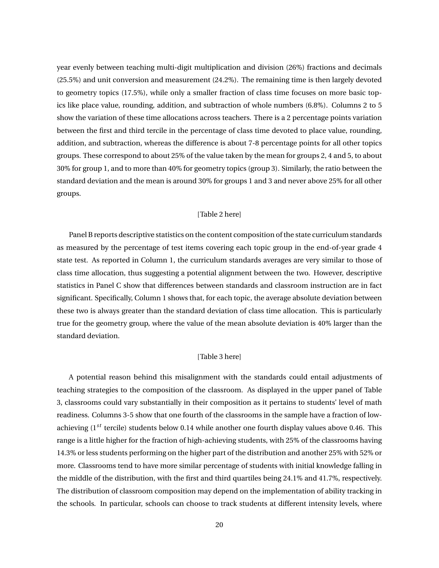year evenly between teaching multi-digit multiplication and division (26%) fractions and decimals (25.5%) and unit conversion and measurement (24.2%). The remaining time is then largely devoted to geometry topics (17.5%), while only a smaller fraction of class time focuses on more basic topics like place value, rounding, addition, and subtraction of whole numbers (6.8%). Columns 2 to 5 show the variation of these time allocations across teachers. There is a 2 percentage points variation between the first and third tercile in the percentage of class time devoted to place value, rounding, addition, and subtraction, whereas the difference is about 7-8 percentage points for all other topics groups. These correspond to about 25% of the value taken by the mean for groups 2, 4 and 5, to about 30% for group 1, and to more than 40% for geometry topics (group 3). Similarly, the ratio between the standard deviation and the mean is around 30% for groups 1 and 3 and never above 25% for all other groups.

#### [Table [2](#page-41-1) here]

Panel B reports descriptive statistics on the content composition of the state curriculum standards as measured by the percentage of test items covering each topic group in the end-of-year grade 4 state test. As reported in Column 1, the curriculum standards averages are very similar to those of class time allocation, thus suggesting a potential alignment between the two. However, descriptive statistics in Panel C show that differences between standards and classroom instruction are in fact significant. Specifically, Column 1 shows that, for each topic, the average absolute deviation between these two is always greater than the standard deviation of class time allocation. This is particularly true for the geometry group, where the value of the mean absolute deviation is 40% larger than the standard deviation.

### [Table [3](#page-42-0) here]

A potential reason behind this misalignment with the standards could entail adjustments of teaching strategies to the composition of the classroom. As displayed in the upper panel of Table [3,](#page-42-0) classrooms could vary substantially in their composition as it pertains to students' level of math readiness. Columns 3-5 show that one fourth of the classrooms in the sample have a fraction of lowachieving (1*st* tercile) students below 0.14 while another one fourth display values above 0.46. This range is a little higher for the fraction of high-achieving students, with 25% of the classrooms having 14.3% or less students performing on the higher part of the distribution and another 25% with 52% or more. Classrooms tend to have more similar percentage of students with initial knowledge falling in the middle of the distribution, with the first and third quartiles being 24.1% and 41.7%, respectively. The distribution of classroom composition may depend on the implementation of ability tracking in the schools. In particular, schools can choose to track students at different intensity levels, where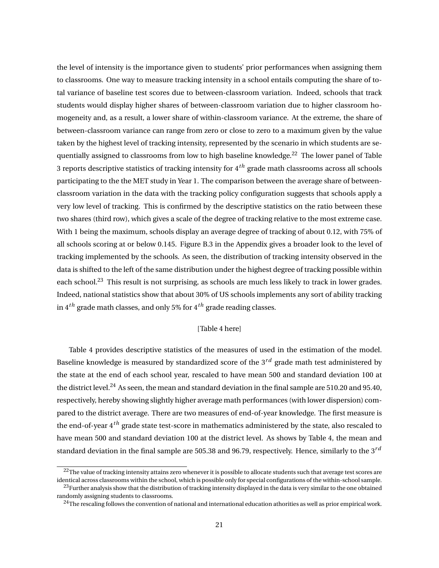the level of intensity is the importance given to students' prior performances when assigning them to classrooms. One way to measure tracking intensity in a school entails computing the share of total variance of baseline test scores due to between-classroom variation. Indeed, schools that track students would display higher shares of between-classroom variation due to higher classroom homogeneity and, as a result, a lower share of within-classroom variance. At the extreme, the share of between-classroom variance can range from zero or close to zero to a maximum given by the value taken by the highest level of tracking intensity, represented by the scenario in which students are se-quentially assigned to classrooms from low to high baseline knowledge.<sup>[22](#page-21-0)</sup> The lower panel of Table [3](#page-42-0) reports descriptive statistics of tracking intensity for 4*th* grade math classrooms across all schools participating to the the MET study in Year 1. The comparison between the average share of betweenclassroom variation in the data with the tracking policy configuration suggests that schools apply a very low level of tracking. This is confirmed by the descriptive statistics on the ratio between these two shares (third row), which gives a scale of the degree of tracking relative to the most extreme case. With 1 being the maximum, schools display an average degree of tracking of about 0.12, with 75% of all schools scoring at or below 0.145. Figure [B.3](#page-62-0) in the Appendix gives a broader look to the level of tracking implemented by the schools. As seen, the distribution of tracking intensity observed in the data is shifted to the left of the same distribution under the highest degree of tracking possible within each school.<sup>[23](#page-21-1)</sup> This result is not surprising, as schools are much less likely to track in lower grades. Indeed, national statistics show that about 30% of US schools implements any sort of ability tracking in 4*th* grade math classes, and only 5% for 4*th* grade reading classes.

#### [Table [4](#page-43-0) here]

Table [4](#page-43-0) provides descriptive statistics of the measures of used in the estimation of the model. Baseline knowledge is measured by standardized score of the 3*rd* grade math test administered by the state at the end of each school year, rescaled to have mean 500 and standard deviation 100 at the district level.<sup>[24](#page-21-2)</sup> As seen, the mean and standard deviation in the final sample are 510.20 and 95.40, respectively, hereby showing slightly higher average math performances (with lower dispersion) compared to the district average. There are two measures of end-of-year knowledge. The first measure is the end-of-year 4*th* grade state test-score in mathematics administered by the state, also rescaled to have mean 500 and standard deviation 100 at the district level. As shows by Table [4](#page-43-0), the mean and standard deviation in the final sample are 505.38 and 96.79, respectively. Hence, similarly to the 3*rd*

<span id="page-21-1"></span><span id="page-21-0"></span> $22$ The value of tracking intensity attains zero whenever it is possible to allocate students such that average test scores are identical across classrooms within the school, which is possible only for special configurations of the within-school sample. <sup>23</sup>Further analysis show that the distribution of tracking intensity displayed in the data is very similar to the one obtained randomly assigning students to classrooms.

<span id="page-21-2"></span> $^{24}$ The rescaling follows the convention of national and international education athorities as well as prior empirical work.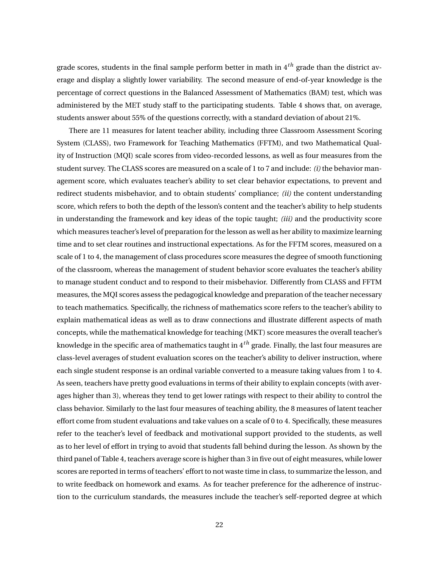grade scores, students in the final sample perform better in math in 4*th* grade than the district average and display a slightly lower variability. The second measure of end-of-year knowledge is the percentage of correct questions in the Balanced Assessment of Mathematics (BAM) test, which was administered by the MET study staff to the participating students. Table [4](#page-43-0) shows that, on average, students answer about 55% of the questions correctly, with a standard deviation of about 21%.

There are 11 measures for latent teacher ability, including three Classroom Assessment Scoring System (CLASS), two Framework for Teaching Mathematics (FFTM), and two Mathematical Quality of Instruction (MQI) scale scores from video-recorded lessons, as well as four measures from the student survey. The CLASS scores are measured on a scale of 1 to 7 and include: *(i)* the behavior management score, which evaluates teacher's ability to set clear behavior expectations, to prevent and redirect students misbehavior, and to obtain students' compliance; *(ii)* the content understanding score, which refers to both the depth of the lesson's content and the teacher's ability to help students in understanding the framework and key ideas of the topic taught; *(iii)* and the productivity score which measures teacher's level of preparation for the lesson as well as her ability to maximize learning time and to set clear routines and instructional expectations. As for the FFTM scores, measured on a scale of 1 to 4, the management of class procedures score measures the degree of smooth functioning of the classroom, whereas the management of student behavior score evaluates the teacher's ability to manage student conduct and to respond to their misbehavior. Differently from CLASS and FFTM measures, the MQI scores assess the pedagogical knowledge and preparation of the teacher necessary to teach mathematics. Specifically, the richness of mathematics score refers to the teacher's ability to explain mathematical ideas as well as to draw connections and illustrate different aspects of math concepts, while the mathematical knowledge for teaching (MKT) score measures the overall teacher's knowledge in the specific area of mathematics taught in 4*th* grade. Finally, the last four measures are class-level averages of student evaluation scores on the teacher's ability to deliver instruction, where each single student response is an ordinal variable converted to a measure taking values from 1 to 4. As seen, teachers have pretty good evaluations in terms of their ability to explain concepts (with averages higher than 3), whereas they tend to get lower ratings with respect to their ability to control the class behavior. Similarly to the last four measures of teaching ability, the 8 measures of latent teacher effort come from student evaluations and take values on a scale of 0 to 4. Specifically, these measures refer to the teacher's level of feedback and motivational support provided to the students, as well as to her level of effort in trying to avoid that students fall behind during the lesson. As shown by the third panel of Table [4](#page-43-0), teachers average score is higher than 3 in five out of eight measures, while lower scores are reported in terms of teachers' effort to not waste time in class, to summarize the lesson, and to write feedback on homework and exams. As for teacher preference for the adherence of instruction to the curriculum standards, the measures include the teacher's self-reported degree at which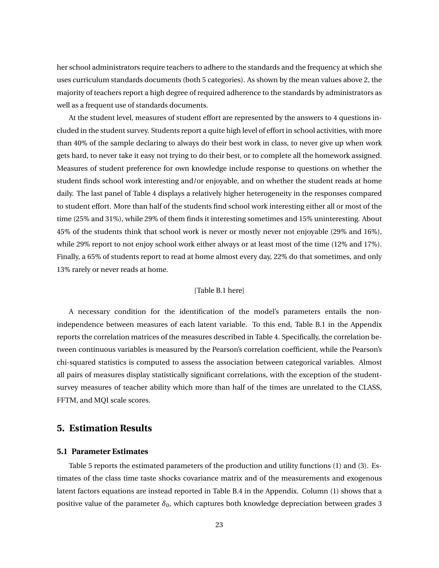her school administrators require teachers to adhere to the standards and the frequency at which she uses curriculum standards documents (both 5 categories). As shown by the mean values above 2, the majority of teachers report a high degree of required adherence to the standards by administrators as well as a frequent use of standards documents.

At the student level, measures of student effort are represented by the answers to 4 questions included in the student survey. Students report a quite high level of effort in school activities, with more than 40% of the sample declaring to always do their best work in class, to never give up when work gets hard, to never take it easy not trying to do their best, or to complete all the homework assigned. Measures of student preference for own knowledge include response to questions on whether the student finds school work interesting and/or enjoyable, and on whether the student reads at home daily. The last panel of Table [4](#page-43-0) displays a relatively higher heterogeneity in the responses compared to student effort. More than half of the students find school work interesting either all or most of the time (25% and 31%), while 29% of them finds it interesting sometimes and 15% uninteresting. About 45% of the students think that school work is never or mostly never not enjoyable (29% and 16%), while 29% report to not enjoy school work either always or at least most of the time (12% and 17%). Finally, a 65% of students report to read at home almost every day, 22% do that sometimes, and only 13% rarely or never reads at home.

#### [Table [B.1](#page-52-0) here]

A necessary condition for the identification of the model's parameters entails the nonindependence between measures of each latent variable. To this end, Table [B.1](#page-52-0) in the Appendix reports the correlation matrices of the measures described in Table [4.](#page-43-0) Specifically, the correlation between continuous variables is measured by the Pearson's correlation coefficient, while the Pearson's chi-squared statistics is computed to assess the association between categorical variables. Almost all pairs of measures display statistically significant correlations, with the exception of the studentsurvey measures of teacher ability which more than half of the times are unrelated to the CLASS, FFTM, and MQI scale scores.

# <span id="page-23-0"></span>**5. Estimation Results**

#### **5.1 Parameter Estimates**

Table [5](#page-44-0) reports the estimated parameters of the production and utility functions ([1](#page-7-2)) and ([3](#page-10-1)). Estimates of the class time taste shocks covariance matrix and of the measurements and exogenous latent factors equations are instead reported in Table [B.4](#page-55-0) in the Appendix. Column (1) shows that a positive value of the parameter  $\delta_0$ , which captures both knowledge depreciation between grades 3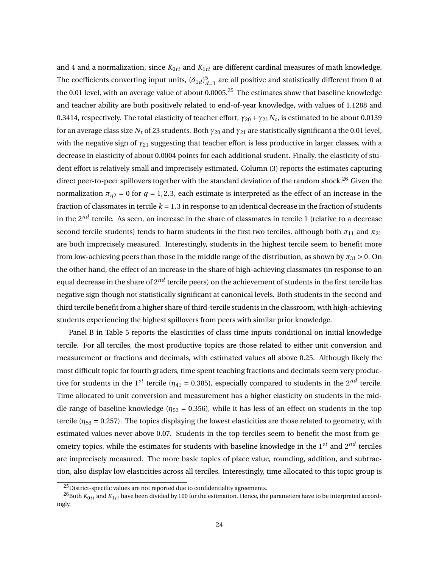and 4 and a normalization, since  $K_{0ti}$  and  $K_{1ti}$  are different cardinal measures of math knowledge. The coefficients converting input units,  $(\delta_{1d})_d^5$  $\int_{d=1}^{5}$  are all positive and statistically different from 0 at the 0.01 level, with an average value of about 0.0005.<sup>[25](#page-24-0)</sup> The estimates show that baseline knowledge and teacher ability are both positively related to end-of-year knowledge, with values of 1.1288 and 0.3414, respectively. The total elasticity of teacher effort,  $\gamma_{20}$  +  $\gamma_{21} N_t$ , is estimated to be about 0.0139 for an average class size  $N_t$  of 23 students. Both  $\gamma_{20}$  and  $\gamma_{21}$  are statistically significant a the 0.01 level, with the negative sign of  $γ_{21}$  suggesting that teacher effort is less productive in larger classes, with a decrease in elasticity of about 0.0004 points for each additional student. Finally, the elasticity of student effort is relatively small and imprecisely estimated. Column (3) reports the estimates capturing direct peer-to-peer spillovers together with the standard deviation of the random shock.<sup>[26](#page-24-1)</sup> Given the normalization  $\pi_{q2} = 0$  for  $q = 1,2,3$ , each estimate is interpreted as the effect of an increase in the fraction of classmates in tercile  $k = 1,3$  in response to an identical decrease in the fraction of students in the 2*nd* tercile. As seen, an increase in the share of classmates in tercile 1 (relative to a decrease second tercile students) tends to harm students in the first two terciles, although both  $\pi_{11}$  and  $\pi_{21}$ are both imprecisely measured. Interestingly, students in the highest tercile seem to benefit more from low-achieving peers than those in the middle range of the distribution, as shown by  $\pi_{31} > 0$ . On the other hand, the effect of an increase in the share of high-achieving classmates (in response to an equal decrease in the share of 2*nd* tercile peers) on the achievement of students in the first tercile has negative sign though not statistically significant at canonical levels. Both students in the second and third tercile benefit from a higher share of third-tercile students in the classroom, with high-achieving students experiencing the highest spillovers from peers with similar prior knowledge.

Panel B in Table [5](#page-44-0) reports the elasticities of class time inputs conditional on initial knowledge tercile. For all terciles, the most productive topics are those related to either unit conversion and measurement or fractions and decimals, with estimated values all above 0.25. Although likely the most difficult topic for fourth graders, time spent teaching fractions and decimals seem very productive for students in the 1<sup>st</sup> tercile ( $\eta_{41}$  = 0.385), especially compared to students in the 2<sup>nd</sup> tercile. Time allocated to unit conversion and measurement has a higher elasticity on students in the middle range of baseline knowledge ( $\eta_{52}$  = 0.356), while it has less of an effect on students in the top tercile ( $\eta_{53}$  = 0.257). The topics displaying the lowest elasticities are those related to geometry, with estimated values never above 0.07. Students in the top terciles seem to benefit the most from geometry topics, while the estimates for students with baseline knowledge in the 1*st* and 2*nd* terciles are imprecisely measured. The more basic topics of place value, rounding, addition, and subtraction, also display low elasticities across all terciles. Interestingly, time allocated to this topic group is

<span id="page-24-1"></span><span id="page-24-0"></span><sup>&</sup>lt;sup>25</sup>District-specific values are not reported due to confidentiality agreements.

<sup>&</sup>lt;sup>26</sup>Both  $K_{0ti}$  and  $K_{1ti}$  have been divided by 100 for the estimation. Hence, the parameters have to be interpreted accordingly.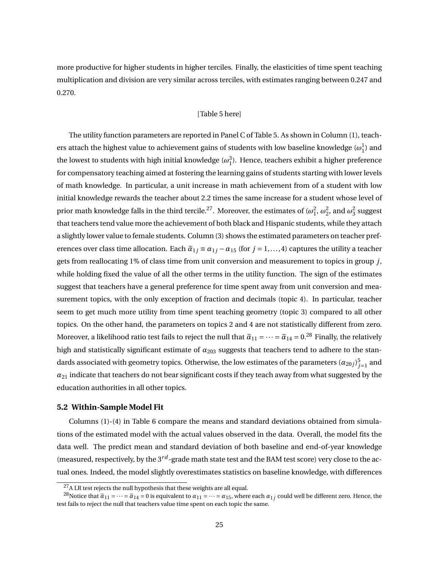more productive for higher students in higher terciles. Finally, the elasticities of time spent teaching multiplication and division are very similar across terciles, with estimates ranging between 0.247 and 0.270.

### [Table [5](#page-44-0) here]

The utility function parameters are reported in Panel C of Table [5.](#page-44-0) As shown in Column (1), teachers attach the highest value to achievement gains of students with low baseline knowledge  $(\omega_1^1)$  and the lowest to students with high initial knowledge  $(\omega_1^3)$ . Hence, teachers exhibit a higher preference for compensatory teaching aimed at fostering the learning gains of students starting with lower levels of math knowledge. In particular, a unit increase in math achievement from of a student with low initial knowledge rewards the teacher about 2.2 times the same increase for a student whose level of prior math knowledge falls in the third tercile.<sup>[27](#page-25-0)</sup>. Moreover, the estimates of  $(\omega_1^2,\omega_2^2,$  and  $\omega_3^2$  suggest that teachers tend value more the achievement of both black and Hispanic students, while they attach a slightly lower value to female students. Column (3) shows the estimated parameters on teacher preferences over class time allocation. Each  $\tilde{\alpha}_{1j} \equiv \alpha_{1j} - \alpha_{15}$  (for  $j = 1, ..., 4$ ) captures the utility a teacher gets from reallocating 1% of class time from unit conversion and measurement to topics in group *j*, while holding fixed the value of all the other terms in the utility function. The sign of the estimates suggest that teachers have a general preference for time spent away from unit conversion and measurement topics, with the only exception of fraction and decimals (topic 4). In particular, teacher seem to get much more utility from time spent teaching geometry (topic 3) compared to all other topics. On the other hand, the parameters on topics 2 and 4 are not statistically different from zero. Moreover, a likelihood ratio test fails to reject the null that  $\tilde{\alpha}_{11} = \cdots = \tilde{\alpha}_{14} = 0^{28}$  $\tilde{\alpha}_{11} = \cdots = \tilde{\alpha}_{14} = 0^{28}$  $\tilde{\alpha}_{11} = \cdots = \tilde{\alpha}_{14} = 0^{28}$  Finally, the relatively high and statistically significant estimate of  $α<sub>203</sub>$  suggests that teachers tend to adhere to the standards associated with geometry topics. Otherwise, the low estimates of the parameters  $(\alpha_{20j})_{j=1}^5$  and  $a_{21}$  indicate that teachers do not bear significant costs if they teach away from what suggested by the education authorities in all other topics.

#### <span id="page-25-2"></span>**5.2 Within-Sample Model Fit**

Columns (1)-(4) in Table [6](#page-45-0) compare the means and standard deviations obtained from simulations of the estimated model with the actual values observed in the data. Overall, the model fits the data well. The predict mean and standard deviation of both baseline and end-of-year knowledge (measured, respectively, by the  $3^{rd}$ -grade math state test and the BAM test score) very close to the actual ones. Indeed, the model slightly overestimates statistics on baseline knowledge, with differences

<span id="page-25-1"></span><span id="page-25-0"></span><sup>&</sup>lt;sup>27</sup>A LR test rejects the null hypothesis that these weights are all equal.

<sup>&</sup>lt;sup>28</sup>Notice that  $\tilde{a}_{11} = \cdots = \tilde{a}_{14} = 0$  is equivalent to  $a_{11} = \cdots = a_{15}$ , where each  $a_{1j}$  could well be different zero. Hence, the test fails to reject the null that teachers value time spent on each topic the same.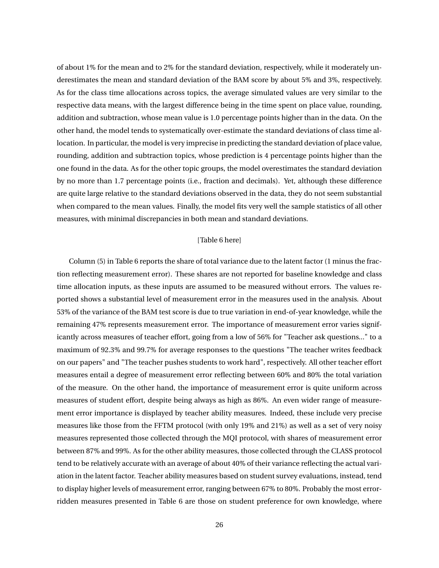of about 1% for the mean and to 2% for the standard deviation, respectively, while it moderately underestimates the mean and standard deviation of the BAM score by about 5% and 3%, respectively. As for the class time allocations across topics, the average simulated values are very similar to the respective data means, with the largest difference being in the time spent on place value, rounding, addition and subtraction, whose mean value is 1.0 percentage points higher than in the data. On the other hand, the model tends to systematically over-estimate the standard deviations of class time allocation. In particular, the model is very imprecise in predicting the standard deviation of place value, rounding, addition and subtraction topics, whose prediction is 4 percentage points higher than the one found in the data. As for the other topic groups, the model overestimates the standard deviation by no more than 1.7 percentage points (i.e., fraction and decimals). Yet, although these difference are quite large relative to the standard deviations observed in the data, they do not seem substantial when compared to the mean values. Finally, the model fits very well the sample statistics of all other measures, with minimal discrepancies in both mean and standard deviations.

### [Table [6](#page-45-0) here]

Column (5) in Table [6](#page-45-0) reports the share of total variance due to the latent factor (1 minus the fraction reflecting measurement error). These shares are not reported for baseline knowledge and class time allocation inputs, as these inputs are assumed to be measured without errors. The values reported shows a substantial level of measurement error in the measures used in the analysis. About 53% of the variance of the BAM test score is due to true variation in end-of-year knowledge, while the remaining 47% represents measurement error. The importance of measurement error varies significantly across measures of teacher effort, going from a low of 56% for "Teacher ask questions..." to a maximum of 92.3% and 99.7% for average responses to the questions "The teacher writes feedback on our papers" and "The teacher pushes students to work hard", respectively. All other teacher effort measures entail a degree of measurement error reflecting between 60% and 80% the total variation of the measure. On the other hand, the importance of measurement error is quite uniform across measures of student effort, despite being always as high as 86%. An even wider range of measurement error importance is displayed by teacher ability measures. Indeed, these include very precise measures like those from the FFTM protocol (with only 19% and 21%) as well as a set of very noisy measures represented those collected through the MQI protocol, with shares of measurement error between 87% and 99%. As for the other ability measures, those collected through the CLASS protocol tend to be relatively accurate with an average of about 40% of their variance reflecting the actual variation in the latent factor. Teacher ability measures based on student survey evaluations, instead, tend to display higher levels of measurement error, ranging between 67% to 80%. Probably the most errorridden measures presented in Table [6](#page-45-0) are those on student preference for own knowledge, where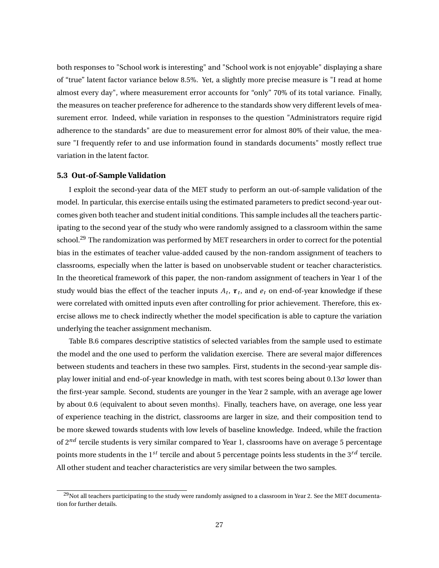both responses to "School work is interesting" and "School work is not enjoyable" displaying a share of "true" latent factor variance below 8.5%. Yet, a slightly more precise measure is "I read at home almost every day", where measurement error accounts for "only" 70% of its total variance. Finally, the measures on teacher preference for adherence to the standards show very different levels of measurement error. Indeed, while variation in responses to the question "Administrators require rigid adherence to the standards" are due to measurement error for almost 80% of their value, the measure "I frequently refer to and use information found in standards documents" mostly reflect true variation in the latent factor.

#### <span id="page-27-0"></span>**5.3 Out-of-Sample Validation**

I exploit the second-year data of the MET study to perform an out-of-sample validation of the model. In particular, this exercise entails using the estimated parameters to predict second-year outcomes given both teacher and student initial conditions. This sample includes all the teachers participating to the second year of the study who were randomly assigned to a classroom within the same school.<sup>[29](#page-27-1)</sup> The randomization was performed by MET researchers in order to correct for the potential bias in the estimates of teacher value-added caused by the non-random assignment of teachers to classrooms, especially when the latter is based on unobservable student or teacher characteristics. In the theoretical framework of this paper, the non-random assignment of teachers in Year 1 of the study would bias the effect of the teacher inputs  $A_t$ ,  $\boldsymbol{\tau}_t$ , and  $e_t$  on end-of-year knowledge if these were correlated with omitted inputs even after controlling for prior achievement. Therefore, this exercise allows me to check indirectly whether the model specification is able to capture the variation underlying the teacher assignment mechanism.

Table [B.6](#page-57-0) compares descriptive statistics of selected variables from the sample used to estimate the model and the one used to perform the validation exercise. There are several major differences between students and teachers in these two samples. First, students in the second-year sample display lower initial and end-of-year knowledge in math, with test scores being about 0.13*σ* lower than the first-year sample. Second, students are younger in the Year 2 sample, with an average age lower by about 0.6 (equivalent to about seven months). Finally, teachers have, on average, one less year of experience teaching in the district, classrooms are larger in size, and their composition tend to be more skewed towards students with low levels of baseline knowledge. Indeed, while the fraction of 2<sup>nd</sup> tercile students is very similar compared to Year 1, classrooms have on average 5 percentage points more students in the  $1^{st}$  tercile and about 5 percentage points less students in the  $3^{rd}$  tercile. All other student and teacher characteristics are very similar between the two samples.

<span id="page-27-1"></span> $29$ Not all teachers participating to the study were randomly assigned to a classroom in Year 2. See the MET documentation for further details.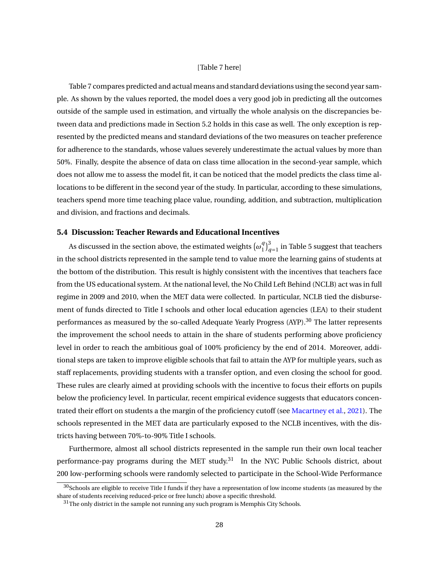#### [Table [7](#page-46-0) here]

Table [7](#page-46-0) compares predicted and actual means and standard deviations using the second year sample. As shown by the values reported, the model does a very good job in predicting all the outcomes outside of the sample used in estimation, and virtually the whole analysis on the discrepancies between data and predictions made in Section [5.2](#page-25-2) holds in this case as well. The only exception is represented by the predicted means and standard deviations of the two measures on teacher preference for adherence to the standards, whose values severely underestimate the actual values by more than 50%. Finally, despite the absence of data on class time allocation in the second-year sample, which does not allow me to assess the model fit, it can be noticed that the model predicts the class time allocations to be different in the second year of the study. In particular, according to these simulations, teachers spend more time teaching place value, rounding, addition, and subtraction, multiplication and division, and fractions and decimals.

### **5.4 Discussion: Teacher Rewards and Educational Incentives**

As discussed in the section above, the estimated weights  $(\omega_1^q)$  $_{1}^{q})_{q}^{3}$  $\sigma_{q=1}$  in Table [5](#page-44-0) suggest that teachers in the school districts represented in the sample tend to value more the learning gains of students at the bottom of the distribution. This result is highly consistent with the incentives that teachers face from the US educational system. At the national level, the No Child Left Behind (NCLB) act was in full regime in 2009 and 2010, when the MET data were collected. In particular, NCLB tied the disbursement of funds directed to Title I schools and other local education agencies (LEA) to their student performances as measured by the so-called Adequate Yearly Progress (AYP).<sup>[30](#page-28-0)</sup> The latter represents the improvement the school needs to attain in the share of students performing above proficiency level in order to reach the ambitious goal of 100% proficiency by the end of 2014. Moreover, additional steps are taken to improve eligible schools that fail to attain the AYP for multiple years, such as staff replacements, providing students with a transfer option, and even closing the school for good. These rules are clearly aimed at providing schools with the incentive to focus their efforts on pupils below the proficiency level. In particular, recent empirical evidence suggests that educators concentrated their effort on students a the margin of the proficiency cutoff (see [Macartney et al.,](#page-39-4) [2021](#page-39-4)). The schools represented in the MET data are particularly exposed to the NCLB incentives, with the districts having between 70%-to-90% Title I schools.

Furthermore, almost all school districts represented in the sample run their own local teacher performance-pay programs during the MET study.<sup>[31](#page-28-1)</sup> In the NYC Public Schools district, about 200 low-performing schools were randomly selected to participate in the School-Wide Performance

<span id="page-28-0"></span> $30$ Schools are eligible to receive Title I funds if they have a representation of low income students (as measured by the share of students receiving reduced-price or free lunch) above a specific threshold.

<span id="page-28-1"></span> $^{31}\!$  The only district in the sample not running any such program is Memphis City Schools.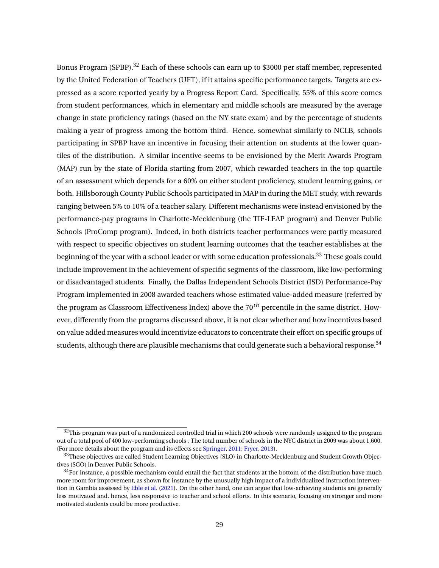Bonus Program (SPBP).<sup>[32](#page-29-0)</sup> Each of these schools can earn up to \$3000 per staff member, represented by the United Federation of Teachers (UFT), if it attains specific performance targets. Targets are expressed as a score reported yearly by a Progress Report Card. Specifically, 55% of this score comes from student performances, which in elementary and middle schools are measured by the average change in state proficiency ratings (based on the NY state exam) and by the percentage of students making a year of progress among the bottom third. Hence, somewhat similarly to NCLB, schools participating in SPBP have an incentive in focusing their attention on students at the lower quantiles of the distribution. A similar incentive seems to be envisioned by the Merit Awards Program (MAP) run by the state of Florida starting from 2007, which rewarded teachers in the top quartile of an assessment which depends for a 60% on either student proficiency, student learning gains, or both. Hillsborough County Public Schools participated in MAP in during the MET study, with rewards ranging between 5% to 10% of a teacher salary. Different mechanisms were instead envisioned by the performance-pay programs in Charlotte-Mecklenburg (the TIF-LEAP program) and Denver Public Schools (ProComp program). Indeed, in both districts teacher performances were partly measured with respect to specific objectives on student learning outcomes that the teacher establishes at the beginning of the year with a school leader or with some education professionals.<sup>[33](#page-29-1)</sup> These goals could include improvement in the achievement of specific segments of the classroom, like low-performing or disadvantaged students. Finally, the Dallas Independent Schools District (ISD) Performance-Pay Program implemented in 2008 awarded teachers whose estimated value-added measure (referred by the program as Classroom Effectiveness Index) above the 70*th* percentile in the same district. However, differently from the programs discussed above, it is not clear whether and how incentives based on value added measures would incentivize educators to concentrate their effort on specific groups of students, although there are plausible mechanisms that could generate such a behavioral response.<sup>[34](#page-29-2)</sup>

<span id="page-29-0"></span> $32$ This program was part of a randomized controlled trial in which 200 schools were randomly assigned to the program out of a total pool of 400 low-performing schools . The total number of schools in the NYC district in 2009 was about 1,600. (For more details about the program and its effects see [Springer,](#page-40-7) [2011](#page-40-7); [Fryer](#page-38-8), [2013\)](#page-38-8).

<span id="page-29-1"></span><sup>&</sup>lt;sup>33</sup>These objectives are called Student Learning Objectives (SLO) in Charlotte-Mecklenburg and Student Growth Objectives (SGO) in Denver Public Schools.

<span id="page-29-2"></span> $34$ For instance, a possible mechanism could entail the fact that students at the bottom of the distribution have much more room for improvement, as shown for instance by the unusually high impact of a individualized instruction intervention in Gambia assessed by [Eble et al.](#page-38-9) ([2021](#page-38-9)). On the other hand, one can argue that low-achieving students are generally less motivated and, hence, less responsive to teacher and school efforts. In this scenario, focusing on stronger and more motivated students could be more productive.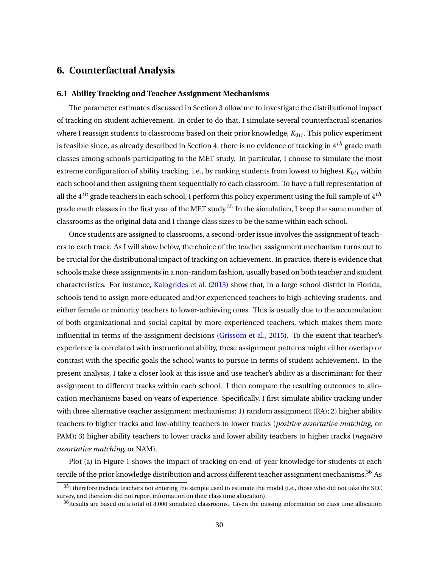# <span id="page-30-0"></span>**6. Counterfactual Analysis**

#### **6.1 Ability Tracking and Teacher Assignment Mechanisms**

The parameter estimates discussed in Section [3](#page-13-0) allow me to investigate the distributional impact of tracking on student achievement. In order to do that, I simulate several counterfactual scenarios where I reassign students to classrooms based on their prior knowledge,  $K_{0ti}$ . This policy experiment is feasible since, as already described in Section [4,](#page-18-0) there is no evidence of tracking in 4*th* grade math classes among schools participating to the MET study. In particular, I choose to simulate the most extreme configuration of ability tracking, i.e., by ranking students from lowest to highest  $K_{0ti}$  within each school and then assigning them sequentially to each classroom. To have a full representation of all the 4*th* grade teachers in each school, I perform this policy experiment using the full sample of 4*th* grade math classes in the first year of the MET study.<sup>[35](#page-30-1)</sup> In the simulation, I keep the same number of classrooms as the original data and I change class sizes to be the same within each school.

Once students are assigned to classrooms, a second-order issue involves the assignment of teachers to each track. As I will show below, the choice of the teacher assignment mechanism turns out to be crucial for the distributional impact of tracking on achievement. In practice, there is evidence that schools make these assignments in a non-random fashion, usually based on both teacher and student characteristics. For instance, [Kalogrides et al.](#page-39-12) [\(2013](#page-39-12)) show that, in a large school district in Florida, schools tend to assign more educated and/or experienced teachers to high-achieving students, and either female or minority teachers to lower-achieving ones. This is usually due to the accumulation of both organizational and social capital by more experienced teachers, which makes them more influential in terms of the assignment decisions ([Grissom et al.,](#page-38-10) [2015\)](#page-38-10). To the extent that teacher's experience is correlated with instructional ability, these assignment patterns might either overlap or contrast with the specific goals the school wants to pursue in terms of student achievement. In the present analysis, I take a closer look at this issue and use teacher's ability as a discriminant for their assignment to different tracks within each school. I then compare the resulting outcomes to allocation mechanisms based on years of experience. Specifically, I first simulate ability tracking under with three alternative teacher assignment mechanisms: 1) random assignment (RA); 2) higher ability teachers to higher tracks and low-ability teachers to lower tracks (*positive assortative matching*, or PAM); 3) higher ability teachers to lower tracks and lower ability teachers to higher tracks (*negative assortative matching*, or NAM).

Plot (a) in Figure [1](#page-49-0) shows the impact of tracking on end-of-year knowledge for students at each tercile of the prior knowledge distribution and across different teacher assignment mechanisms.<sup>[36](#page-30-2)</sup> As

<span id="page-30-1"></span> $35$ I therefore include teachers not entering the sample used to estimate the model (i.e., those who did not take the SEC survey, and therefore did not report information on their class time allocation).

<span id="page-30-2"></span><sup>&</sup>lt;sup>36</sup>Results are based on a total of 8,000 simulated classrooms. Given the missing information on class time allocation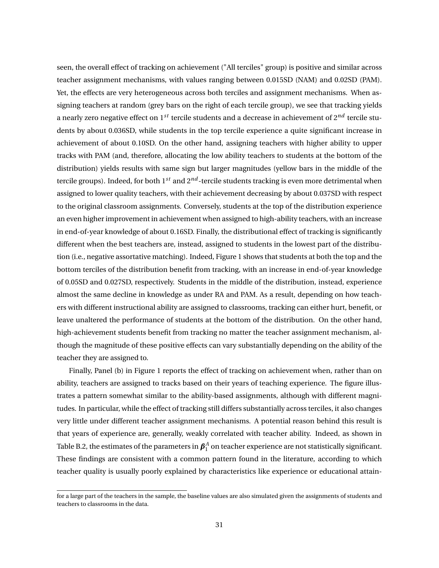seen, the overall effect of tracking on achievement ("All terciles" group) is positive and similar across teacher assignment mechanisms, with values ranging between 0.015SD (NAM) and 0.02SD (PAM). Yet, the effects are very heterogeneous across both terciles and assignment mechanisms. When assigning teachers at random (grey bars on the right of each tercile group), we see that tracking yields a nearly zero negative effect on 1*st* tercile students and a decrease in achievement of 2*nd* tercile students by about 0.036SD, while students in the top tercile experience a quite significant increase in achievement of about 0.10SD. On the other hand, assigning teachers with higher ability to upper tracks with PAM (and, therefore, allocating the low ability teachers to students at the bottom of the distribution) yields results with same sign but larger magnitudes (yellow bars in the middle of the tercile groups). Indeed, for both 1*st* and 2*nd* -tercile students tracking is even more detrimental when assigned to lower quality teachers, with their achievement decreasing by about 0.037SD with respect to the original classroom assignments. Conversely, students at the top of the distribution experience an even higher improvement in achievement when assigned to high-ability teachers, with an increase in end-of-year knowledge of about 0.16SD. Finally, the distributional effect of tracking is significantly different when the best teachers are, instead, assigned to students in the lowest part of the distribution (i.e., negative assortative matching). Indeed, Figure [1](#page-49-0) shows that students at both the top and the bottom terciles of the distribution benefit from tracking, with an increase in end-of-year knowledge of 0.05SD and 0.027SD, respectively. Students in the middle of the distribution, instead, experience almost the same decline in knowledge as under RA and PAM. As a result, depending on how teachers with different instructional ability are assigned to classrooms, tracking can either hurt, benefit, or leave unaltered the performance of students at the bottom of the distribution. On the other hand, high-achievement students benefit from tracking no matter the teacher assignment mechanism, although the magnitude of these positive effects can vary substantially depending on the ability of the teacher they are assigned to.

Finally, Panel (b) in Figure [1](#page-49-0) reports the effect of tracking on achievement when, rather than on ability, teachers are assigned to tracks based on their years of teaching experience. The figure illustrates a pattern somewhat similar to the ability-based assignments, although with different magnitudes. In particular, while the effect of tracking still differs substantially across terciles, it also changes very little under different teacher assignment mechanisms. A potential reason behind this result is that years of experience are, generally, weakly correlated with teacher ability. Indeed, as shown in Table [B.2,](#page-53-0) the estimates of the parameters in  $\pmb{\beta}_1^A$  on teacher experience are not statistically significant. These findings are consistent with a common pattern found in the literature, according to which teacher quality is usually poorly explained by characteristics like experience or educational attain-

for a large part of the teachers in the sample, the baseline values are also simulated given the assignments of students and teachers to classrooms in the data.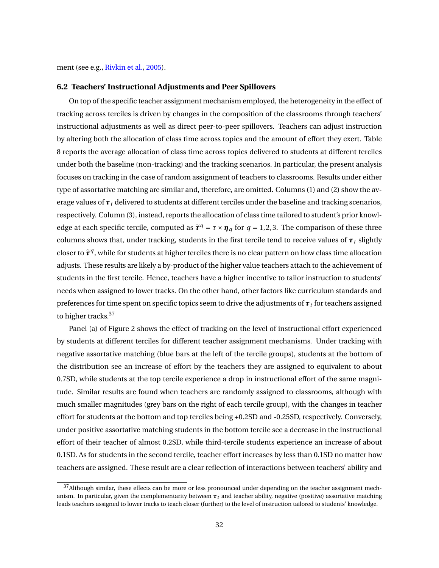ment (see e.g., [Rivkin et al.](#page-40-8), [2005](#page-40-8)).

#### **6.2 Teachers' Instructional Adjustments and Peer Spillovers**

On top of the specific teacher assignment mechanism employed, the heterogeneity in the effect of tracking across terciles is driven by changes in the composition of the classrooms through teachers' instructional adjustments as well as direct peer-to-peer spillovers. Teachers can adjust instruction by altering both the allocation of class time across topics and the amount of effort they exert. Table [8](#page-47-0) reports the average allocation of class time across topics delivered to students at different terciles under both the baseline (non-tracking) and the tracking scenarios. In particular, the present analysis focuses on tracking in the case of random assignment of teachers to classrooms. Results under either type of assortative matching are similar and, therefore, are omitted. Columns (1) and (2) show the average values of *τ<sup>t</sup>* delivered to students at different terciles under the baseline and tracking scenarios, respectively. Column (3), instead, reports the allocation of class time tailored to student's prior knowledge at each specific tercile, computed as  $\tilde{\tau}^q = \overline{\tau} \times \eta_q$  for  $q = 1, 2, 3$ . The comparison of these three columns shows that, under tracking, students in the first tercile tend to receive values of  $\tau$ <sub>t</sub> slightly closer to  $\tilde{\tau}^q$ , while for students at higher terciles there is no clear pattern on how class time allocation adjusts. These results are likely a by-product of the higher value teachers attach to the achievement of students in the first tercile. Hence, teachers have a higher incentive to tailor instruction to students' needs when assigned to lower tracks. On the other hand, other factors like curriculum standards and preferences for time spent on specific topics seem to drive the adjustments of  $\pmb{\tau}_t$  for teachers assigned to higher tracks.<sup>[37](#page-32-0)</sup>

Panel (a) of Figure [2](#page-49-1) shows the effect of tracking on the level of instructional effort experienced by students at different terciles for different teacher assignment mechanisms. Under tracking with negative assortative matching (blue bars at the left of the tercile groups), students at the bottom of the distribution see an increase of effort by the teachers they are assigned to equivalent to about 0.7SD, while students at the top tercile experience a drop in instructional effort of the same magnitude. Similar results are found when teachers are randomly assigned to classrooms, although with much smaller magnitudes (grey bars on the right of each tercile group), with the changes in teacher effort for students at the bottom and top terciles being +0.2SD and -0.25SD, respectively. Conversely, under positive assortative matching students in the bottom tercile see a decrease in the instructional effort of their teacher of almost 0.2SD, while third-tercile students experience an increase of about 0.1SD. As for students in the second tercile, teacher effort increases by less than 0.1SD no matter how teachers are assigned. These result are a clear reflection of interactions between teachers' ability and

<span id="page-32-0"></span> $37$ Although similar, these effects can be more or less pronounced under depending on the teacher assignment mechanism. In particular, given the complementarity between  $\tau_t$  and teacher ability, negative (positive) assortative matching leads teachers assigned to lower tracks to teach closer (further) to the level of instruction tailored to students' knowledge.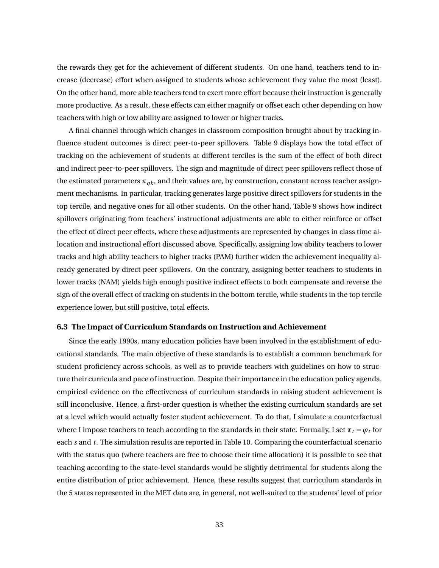the rewards they get for the achievement of different students. On one hand, teachers tend to increase (decrease) effort when assigned to students whose achievement they value the most (least). On the other hand, more able teachers tend to exert more effort because their instruction is generally more productive. As a result, these effects can either magnify or offset each other depending on how teachers with high or low ability are assigned to lower or higher tracks.

A final channel through which changes in classroom composition brought about by tracking influence student outcomes is direct peer-to-peer spillovers. Table [9](#page-48-0) displays how the total effect of tracking on the achievement of students at different terciles is the sum of the effect of both direct and indirect peer-to-peer spillovers. The sign and magnitude of direct peer spillovers reflect those of the estimated parameters  $\pi_{qk}$ , and their values are, by construction, constant across teacher assignment mechanisms. In particular, tracking generates large positive direct spillovers for students in the top tercile, and negative ones for all other students. On the other hand, Table [9](#page-48-0) shows how indirect spillovers originating from teachers' instructional adjustments are able to either reinforce or offset the effect of direct peer effects, where these adjustments are represented by changes in class time allocation and instructional effort discussed above. Specifically, assigning low ability teachers to lower tracks and high ability teachers to higher tracks (PAM) further widen the achievement inequality already generated by direct peer spillovers. On the contrary, assigning better teachers to students in lower tracks (NAM) yields high enough positive indirect effects to both compensate and reverse the sign of the overall effect of tracking on students in the bottom tercile, while students in the top tercile experience lower, but still positive, total effects.

#### **6.3 The Impact of Curriculum Standards on Instruction and Achievement**

Since the early 1990s, many education policies have been involved in the establishment of educational standards. The main objective of these standards is to establish a common benchmark for student proficiency across schools, as well as to provide teachers with guidelines on how to structure their curricula and pace of instruction. Despite their importance in the education policy agenda, empirical evidence on the effectiveness of curriculum standards in raising student achievement is still inconclusive. Hence, a first-order question is whether the existing curriculum standards are set at a level which would actually foster student achievement. To do that, I simulate a counterfactual where I impose teachers to teach according to the standards in their state. Formally, I set  $\pmb{\tau}_t = \pmb{\varphi}_t$  for each *s* and *t*. The simulation results are reported in Table [10](#page-48-1). Comparing the counterfactual scenario with the status quo (where teachers are free to choose their time allocation) it is possible to see that teaching according to the state-level standards would be slightly detrimental for students along the entire distribution of prior achievement. Hence, these results suggest that curriculum standards in the 5 states represented in the MET data are, in general, not well-suited to the students' level of prior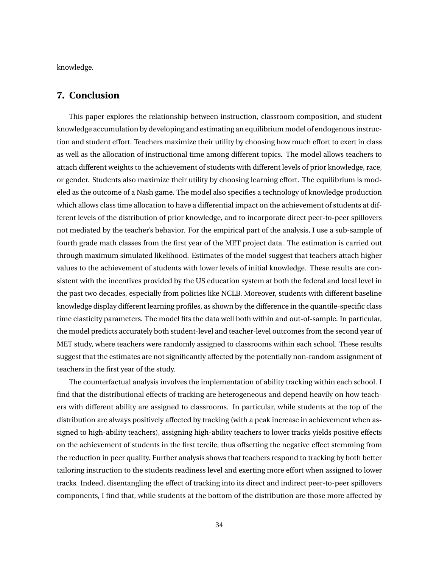knowledge.

## <span id="page-34-0"></span>**7. Conclusion**

This paper explores the relationship between instruction, classroom composition, and student knowledge accumulation by developing and estimating an equilibrium model of endogenous instruction and student effort. Teachers maximize their utility by choosing how much effort to exert in class as well as the allocation of instructional time among different topics. The model allows teachers to attach different weights to the achievement of students with different levels of prior knowledge, race, or gender. Students also maximize their utility by choosing learning effort. The equilibrium is modeled as the outcome of a Nash game. The model also specifies a technology of knowledge production which allows class time allocation to have a differential impact on the achievement of students at different levels of the distribution of prior knowledge, and to incorporate direct peer-to-peer spillovers not mediated by the teacher's behavior. For the empirical part of the analysis, I use a sub-sample of fourth grade math classes from the first year of the MET project data. The estimation is carried out through maximum simulated likelihood. Estimates of the model suggest that teachers attach higher values to the achievement of students with lower levels of initial knowledge. These results are consistent with the incentives provided by the US education system at both the federal and local level in the past two decades, especially from policies like NCLB. Moreover, students with different baseline knowledge display different learning profiles, as shown by the difference in the quantile-specific class time elasticity parameters. The model fits the data well both within and out-of-sample. In particular, the model predicts accurately both student-level and teacher-level outcomes from the second year of MET study, where teachers were randomly assigned to classrooms within each school. These results suggest that the estimates are not significantly affected by the potentially non-random assignment of teachers in the first year of the study.

The counterfactual analysis involves the implementation of ability tracking within each school. I find that the distributional effects of tracking are heterogeneous and depend heavily on how teachers with different ability are assigned to classrooms. In particular, while students at the top of the distribution are always positively affected by tracking (with a peak increase in achievement when assigned to high-ability teachers), assigning high-ability teachers to lower tracks yields positive effects on the achievement of students in the first tercile, thus offsetting the negative effect stemming from the reduction in peer quality. Further analysis shows that teachers respond to tracking by both better tailoring instruction to the students readiness level and exerting more effort when assigned to lower tracks. Indeed, disentangling the effect of tracking into its direct and indirect peer-to-peer spillovers components, I find that, while students at the bottom of the distribution are those more affected by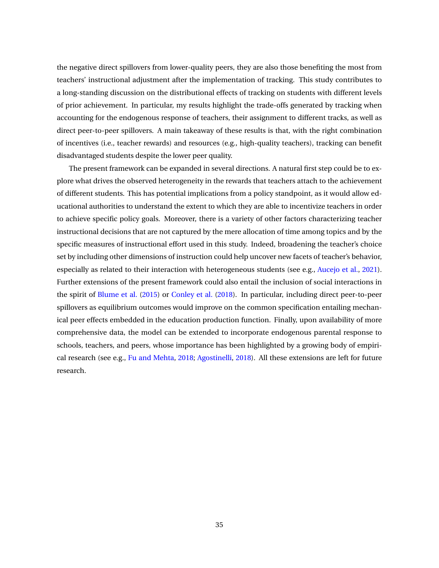the negative direct spillovers from lower-quality peers, they are also those benefiting the most from teachers' instructional adjustment after the implementation of tracking. This study contributes to a long-standing discussion on the distributional effects of tracking on students with different levels of prior achievement. In particular, my results highlight the trade-offs generated by tracking when accounting for the endogenous response of teachers, their assignment to different tracks, as well as direct peer-to-peer spillovers. A main takeaway of these results is that, with the right combination of incentives (i.e., teacher rewards) and resources (e.g., high-quality teachers), tracking can benefit disadvantaged students despite the lower peer quality.

The present framework can be expanded in several directions. A natural first step could be to explore what drives the observed heterogeneity in the rewards that teachers attach to the achievement of different students. This has potential implications from a policy standpoint, as it would allow educational authorities to understand the extent to which they are able to incentivize teachers in order to achieve specific policy goals. Moreover, there is a variety of other factors characterizing teacher instructional decisions that are not captured by the mere allocation of time among topics and by the specific measures of instructional effort used in this study. Indeed, broadening the teacher's choice set by including other dimensions of instruction could help uncover new facets of teacher's behavior, especially as related to their interaction with heterogeneous students (see e.g., [Aucejo et al.,](#page-36-3) [2021\)](#page-36-3). Further extensions of the present framework could also entail the inclusion of social interactions in the spirit of [Blume et al.](#page-36-10) [\(2015\)](#page-36-10) or [Conley et al.](#page-37-12) [\(2018\)](#page-37-12). In particular, including direct peer-to-peer spillovers as equilibrium outcomes would improve on the common specification entailing mechanical peer effects embedded in the education production function. Finally, upon availability of more comprehensive data, the model can be extended to incorporate endogenous parental response to schools, teachers, and peers, whose importance has been highlighted by a growing body of empirical research (see e.g., [Fu and Mehta,](#page-38-2) [2018;](#page-38-2) [Agostinelli](#page-36-11), [2018](#page-36-11)). All these extensions are left for future research.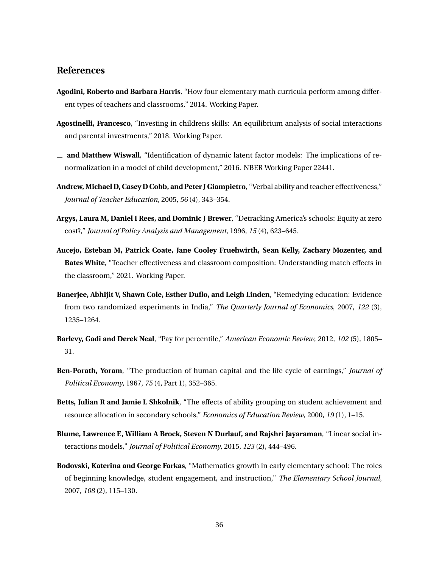# **References**

- <span id="page-36-5"></span>**Agodini, Roberto and Barbara Harris**, "How four elementary math curricula perform among different types of teachers and classrooms," 2014. Working Paper.
- <span id="page-36-11"></span>**Agostinelli, Francesco**, "Investing in childrens skills: An equilibrium analysis of social interactions and parental investments," 2018. Working Paper.
- <span id="page-36-9"></span>**and Matthew Wiswall**, "Identification of dynamic latent factor models: The implications of renormalization in a model of child development," 2016. NBER Working Paper 22441.
- <span id="page-36-6"></span>**Andrew, Michael D, Casey D Cobb, and Peter J Giampietro**, "Verbal ability and teacher effectiveness," *Journal of Teacher Education*, 2005, *56* (4), 343–354.
- <span id="page-36-1"></span>**Argys, Laura M, Daniel I Rees, and Dominic J Brewer**, "Detracking America's schools: Equity at zero cost?," *Journal of Policy Analysis and Management*, 1996, *15* (4), 623–645.
- <span id="page-36-3"></span>**Aucejo, Esteban M, Patrick Coate, Jane Cooley Fruehwirth, Sean Kelly, Zachary Mozenter, and Bates White**, "Teacher effectiveness and classroom composition: Understanding match effects in the classroom," 2021. Working Paper.
- <span id="page-36-0"></span>**Banerjee, Abhijit V, Shawn Cole, Esther Duflo, and Leigh Linden**, "Remedying education: Evidence from two randomized experiments in India," *The Quarterly Journal of Economics*, 2007, *122* (3), 1235–1264.
- <span id="page-36-8"></span>**Barlevy, Gadi and Derek Neal**, "Pay for percentile," *American Economic Review*, 2012, *102* (5), 1805– 31.
- <span id="page-36-4"></span>**Ben-Porath, Yoram**, "The production of human capital and the life cycle of earnings," *Journal of Political Economy*, 1967, *75* (4, Part 1), 352–365.
- <span id="page-36-2"></span>**Betts, Julian R and Jamie L Shkolnik**, "The effects of ability grouping on student achievement and resource allocation in secondary schools," *Economics of Education Review*, 2000, *19* (1), 1–15.
- <span id="page-36-10"></span>**Blume, Lawrence E, William A Brock, Steven N Durlauf, and Rajshri Jayaraman**, "Linear social interactions models," *Journal of Political Economy*, 2015, *123* (2), 444–496.
- <span id="page-36-7"></span>**Bodovski, Katerina and George Farkas**, "Mathematics growth in early elementary school: The roles of beginning knowledge, student engagement, and instruction," *The Elementary School Journal*, 2007, *108* (2), 115–130.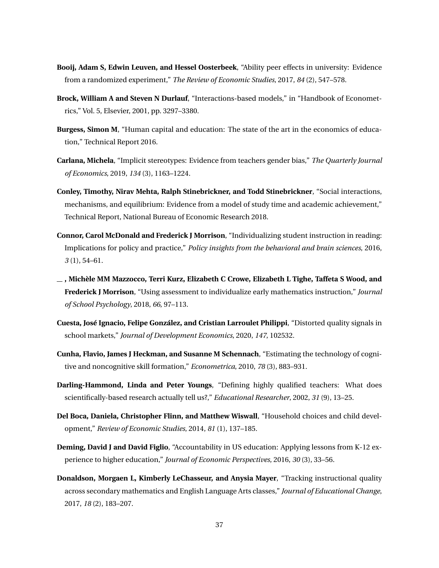- <span id="page-37-6"></span>**Booij, Adam S, Edwin Leuven, and Hessel Oosterbeek**, "Ability peer effects in university: Evidence from a randomized experiment," *The Review of Economic Studies*, 2017, *84* (2), 547–578.
- <span id="page-37-5"></span>**Brock, William A and Steven N Durlauf**, "Interactions-based models," in "Handbook of Econometrics," Vol. 5, Elsevier, 2001, pp. 3297–3380.
- <span id="page-37-9"></span>**Burgess, Simon M**, "Human capital and education: The state of the art in the economics of education," Technical Report 2016.
- <span id="page-37-11"></span>**Carlana, Michela**, "Implicit stereotypes: Evidence from teachers gender bias," *The Quarterly Journal of Economics*, 2019, *134* (3), 1163–1224.
- <span id="page-37-12"></span>**Conley, Timothy, Nirav Mehta, Ralph Stinebrickner, and Todd Stinebrickner**, "Social interactions, mechanisms, and equilibrium: Evidence from a model of study time and academic achievement," Technical Report, National Bureau of Economic Research 2018.
- <span id="page-37-0"></span>**Connor, Carol McDonald and Frederick J Morrison**, "Individualizing student instruction in reading: Implications for policy and practice," *Policy insights from the behavioral and brain sciences*, 2016, *3* (1), 54–61.
- <span id="page-37-1"></span>**, Michèle MM Mazzocco, Terri Kurz, Elizabeth C Crowe, Elizabeth L Tighe, Taffeta S Wood, and Frederick J Morrison**, "Using assessment to individualize early mathematics instruction," *Journal of School Psychology*, 2018, *66*, 97–113.
- <span id="page-37-2"></span>**Cuesta, José Ignacio, Felipe González, and Cristian Larroulet Philippi**, "Distorted quality signals in school markets," *Journal of Development Economics*, 2020, *147*, 102532.
- <span id="page-37-7"></span>**Cunha, Flavio, James J Heckman, and Susanne M Schennach**, "Estimating the technology of cognitive and noncognitive skill formation," *Econometrica*, 2010, *78* (3), 883–931.
- <span id="page-37-8"></span>**Darling-Hammond, Linda and Peter Youngs**, "Defining highly qualified teachers: What does scientifically-based research actually tell us?," *Educational Researcher*, 2002, *31* (9), 13–25.
- <span id="page-37-10"></span>**Del Boca, Daniela, Christopher Flinn, and Matthew Wiswall**, "Household choices and child development," *Review of Economic Studies*, 2014, *81* (1), 137–185.
- <span id="page-37-3"></span>**Deming, David J and David Figlio**, "Accountability in US education: Applying lessons from K-12 experience to higher education," *Journal of Economic Perspectives*, 2016, *30* (3), 33–56.
- <span id="page-37-4"></span>**Donaldson, Morgaen L, Kimberly LeChasseur, and Anysia Mayer**, "Tracking instructional quality across secondary mathematics and English Language Arts classes," *Journal of Educational Change*, 2017, *18* (2), 183–207.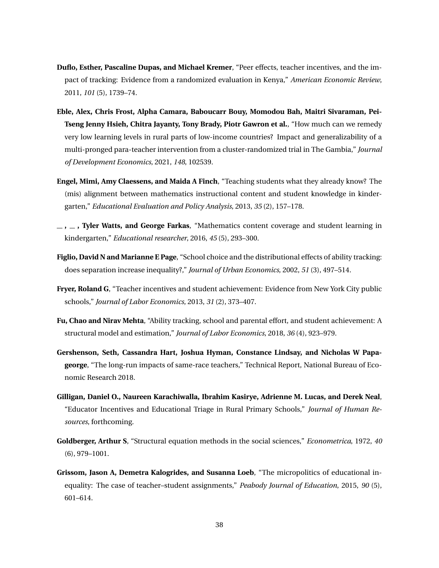- <span id="page-38-0"></span>**Duflo, Esther, Pascaline Dupas, and Michael Kremer**, "Peer effects, teacher incentives, and the impact of tracking: Evidence from a randomized evaluation in Kenya," *American Economic Review*, 2011, *101* (5), 1739–74.
- <span id="page-38-9"></span>**Eble, Alex, Chris Frost, Alpha Camara, Baboucarr Bouy, Momodou Bah, Maitri Sivaraman, Pei-Tseng Jenny Hsieh, Chitra Jayanty, Tony Brady, Piotr Gawron et al.**, "How much can we remedy very low learning levels in rural parts of low-income countries? Impact and generalizability of a multi-pronged para-teacher intervention from a cluster-randomized trial in The Gambia," *Journal of Development Economics*, 2021, *148*, 102539.
- <span id="page-38-4"></span>**Engel, Mimi, Amy Claessens, and Maida A Finch**, "Teaching students what they already know? The (mis) alignment between mathematics instructional content and student knowledge in kindergarten," *Educational Evaluation and Policy Analysis*, 2013, *35* (2), 157–178.
- <span id="page-38-5"></span>**, , Tyler Watts, and George Farkas**, "Mathematics content coverage and student learning in kindergarten," *Educational researcher*, 2016, *45* (5), 293–300.
- <span id="page-38-3"></span>**Figlio, David N and Marianne E Page**, "School choice and the distributional effects of ability tracking: does separation increase inequality?," *Journal of Urban Economics*, 2002, *51* (3), 497–514.
- <span id="page-38-8"></span>**Fryer, Roland G**, "Teacher incentives and student achievement: Evidence from New York City public schools," *Journal of Labor Economics*, 2013, *31* (2), 373–407.
- <span id="page-38-2"></span>**Fu, Chao and Nirav Mehta**, "Ability tracking, school and parental effort, and student achievement: A structural model and estimation," *Journal of Labor Economics*, 2018, *36* (4), 923–979.
- <span id="page-38-6"></span>**Gershenson, Seth, Cassandra Hart, Joshua Hyman, Constance Lindsay, and Nicholas W Papageorge**, "The long-run impacts of same-race teachers," Technical Report, National Bureau of Economic Research 2018.
- <span id="page-38-1"></span>**Gilligan, Daniel O., Naureen Karachiwalla, Ibrahim Kasirye, Adrienne M. Lucas, and Derek Neal**, "Educator Incentives and Educational Triage in Rural Primary Schools," *Journal of Human Resources*, forthcoming.
- <span id="page-38-7"></span>**Goldberger, Arthur S**, "Structural equation methods in the social sciences," *Econometrica*, 1972, *40* (6), 979–1001.
- <span id="page-38-10"></span>**Grissom, Jason A, Demetra Kalogrides, and Susanna Loeb**, "The micropolitics of educational inequality: The case of teacher–student assignments," *Peabody Journal of Education*, 2015, *90* (5), 601–614.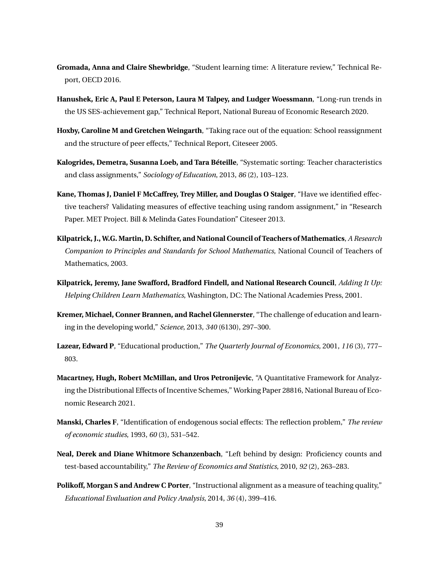- <span id="page-39-11"></span>**Gromada, Anna and Claire Shewbridge**, "Student learning time: A literature review," Technical Report, OECD 2016.
- <span id="page-39-0"></span>**Hanushek, Eric A, Paul E Peterson, Laura M Talpey, and Ludger Woessmann**, "Long-run trends in the US SES-achievement gap," Technical Report, National Bureau of Economic Research 2020.
- <span id="page-39-7"></span>**Hoxby, Caroline M and Gretchen Weingarth**, "Taking race out of the equation: School reassignment and the structure of peer effects," Technical Report, Citeseer 2005.
- <span id="page-39-12"></span>**Kalogrides, Demetra, Susanna Loeb, and Tara Béteille**, "Systematic sorting: Teacher characteristics and class assignments," *Sociology of Education*, 2013, *86* (2), 103–123.
- <span id="page-39-10"></span>**Kane, Thomas J, Daniel F McCaffrey, Trey Miller, and Douglas O Staiger**, "Have we identified effective teachers? Validating measures of effective teaching using random assignment," in "Research Paper. MET Project. Bill & Melinda Gates Foundation" Citeseer 2013.
- <span id="page-39-9"></span>**Kilpatrick, J., W.G. Martin, D. Schifter, and National Council of Teachers of Mathematics**, *A Research Companion to Principles and Standards for School Mathematics*, National Council of Teachers of Mathematics, 2003.
- <span id="page-39-8"></span>**Kilpatrick, Jeremy, Jane Swafford, Bradford Findell, and National Research Council**, *Adding It Up: Helping Children Learn Mathematics*, Washington, DC: The National Academies Press, 2001.
- <span id="page-39-1"></span>**Kremer, Michael, Conner Brannen, and Rachel Glennerster**, "The challenge of education and learning in the developing world," *Science*, 2013, *340* (6130), 297–300.
- <span id="page-39-2"></span>**Lazear, Edward P**, "Educational production," *The Quarterly Journal of Economics*, 2001, *116* (3), 777– 803.
- <span id="page-39-4"></span>**Macartney, Hugh, Robert McMillan, and Uros Petronijevic**, "A Quantitative Framework for Analyzing the Distributional Effects of Incentive Schemes," Working Paper 28816, National Bureau of Economic Research 2021.
- <span id="page-39-6"></span>**Manski, Charles F**, "Identification of endogenous social effects: The reflection problem," *The review of economic studies*, 1993, *60* (3), 531–542.
- <span id="page-39-3"></span>**Neal, Derek and Diane Whitmore Schanzenbach**, "Left behind by design: Proficiency counts and test-based accountability," *The Review of Economics and Statistics*, 2010, *92* (2), 263–283.
- <span id="page-39-5"></span>**Polikoff, Morgan S and Andrew C Porter**, "Instructional alignment as a measure of teaching quality," *Educational Evaluation and Policy Analysis*, 2014, *36* (4), 399–416.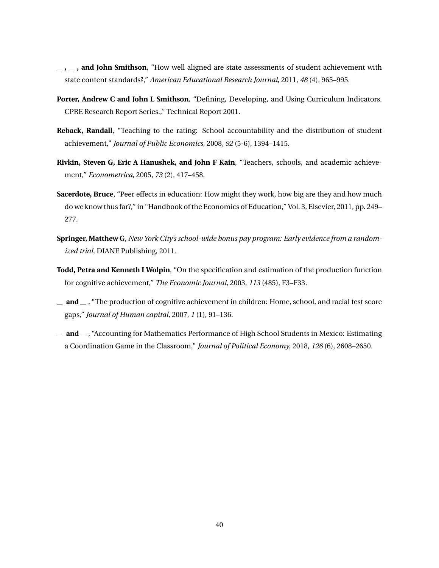- <span id="page-40-5"></span>**, , and John Smithson**, "How well aligned are state assessments of student achievement with state content standards?," *American Educational Research Journal*, 2011, *48* (4), 965–995.
- <span id="page-40-6"></span>**Porter, Andrew C and John L Smithson**, "Defining, Developing, and Using Curriculum Indicators. CPRE Research Report Series.," Technical Report 2001.
- <span id="page-40-0"></span>**Reback, Randall**, "Teaching to the rating: School accountability and the distribution of student achievement," *Journal of Public Economics*, 2008, *92* (5-6), 1394–1415.
- <span id="page-40-8"></span>**Rivkin, Steven G, Eric A Hanushek, and John F Kain**, "Teachers, schools, and academic achievement," *Econometrica*, 2005, *73* (2), 417–458.
- <span id="page-40-1"></span>**Sacerdote, Bruce**, "Peer effects in education: How might they work, how big are they and how much do we know thus far?," in "Handbook of the Economics of Education," Vol. 3, Elsevier, 2011, pp. 249– 277.
- <span id="page-40-7"></span>**Springer, Matthew G**, *New York City's school-wide bonus pay program: Early evidence from a randomized trial*, DIANE Publishing, 2011.
- <span id="page-40-3"></span>**Todd, Petra and Kenneth I Wolpin**, "On the specification and estimation of the production function for cognitive achievement," *The Economic Journal*, 2003, *113* (485), F3–F33.
- <span id="page-40-4"></span> $\mu$  **and**  $\mu$ , "The production of cognitive achievement in children: Home, school, and racial test score gaps," *Journal of Human capital*, 2007, *1* (1), 91–136.
- <span id="page-40-2"></span> $\blacksquare$  **and**  $\blacksquare$ , "Accounting for Mathematics Performance of High School Students in Mexico: Estimating a Coordination Game in the Classroom," *Journal of Political Economy*, 2018, *126* (6), 2608–2650.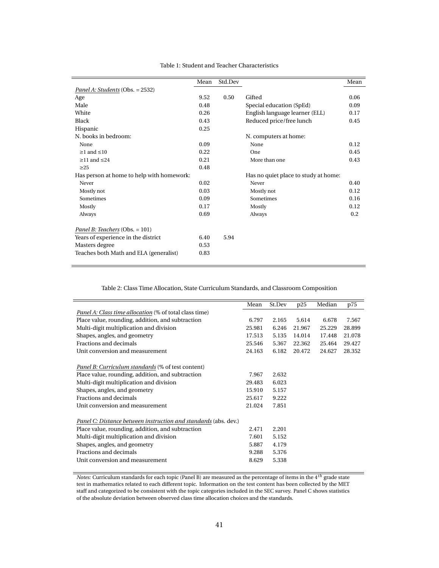<span id="page-41-0"></span>

|                                           | Mean | Std.Dev |                                      | Mean |
|-------------------------------------------|------|---------|--------------------------------------|------|
| Panel A: Students (Obs. = 2532)           |      |         |                                      |      |
| Age                                       | 9.52 | 0.50    | Gifted                               | 0.06 |
| Male                                      | 0.48 |         | Special education (SpEd)             | 0.09 |
| White                                     | 0.26 |         | English language learner (ELL)       | 0.17 |
| <b>Black</b>                              | 0.43 |         | Reduced price/free lunch             | 0.45 |
| Hispanic                                  | 0.25 |         |                                      |      |
| N. books in bedroom:                      |      |         | N. computers at home:                |      |
| None                                      | 0.09 |         | None                                 | 0.12 |
| $\geq$ 1 and $\leq$ 10                    | 0.22 |         | One                                  | 0.45 |
| $\geq$ 11 and $\leq$ 24                   | 0.21 |         | More than one                        | 0.43 |
| >25                                       | 0.48 |         |                                      |      |
| Has person at home to help with homework: |      |         | Has no quiet place to study at home: |      |
| Never                                     | 0.02 |         | Never                                | 0.40 |
| Mostly not                                | 0.03 |         | Mostly not                           | 0.12 |
| Sometimes                                 | 0.09 |         | Sometimes                            | 0.16 |
| Mostly                                    | 0.17 |         | Mostly                               | 0.12 |
| Always                                    | 0.69 |         | Always                               | 0.2  |
| Panel B: Teachers (Obs. = 101)            |      |         |                                      |      |
| Years of experience in the district       | 6.40 | 5.94    |                                      |      |
| Masters degree                            | 0.53 |         |                                      |      |
| Teaches both Math and ELA (generalist)    | 0.83 |         |                                      |      |

#### Table 1: Student and Teacher Characteristics

Table 2: Class Time Allocation, State Curriculum Standards, and Classroom Composition

<span id="page-41-1"></span>

|                                                                 | Mean   | St.Dev | p25    | Median | p75    |
|-----------------------------------------------------------------|--------|--------|--------|--------|--------|
| <i>Panel A: Class time allocation</i> (% of total class time)   |        |        |        |        |        |
| Place value, rounding, addition, and subtraction                | 6.797  | 2.165  | 5.614  | 6.678  | 7.567  |
| Multi-digit multiplication and division                         | 25.981 | 6.246  | 21.967 | 25.229 | 28.899 |
| Shapes, angles, and geometry                                    | 17.513 | 5.135  | 14.014 | 17.448 | 21.078 |
| Fractions and decimals                                          | 25.546 | 5.367  | 22.362 | 25.464 | 29.427 |
| Unit conversion and measurement                                 | 24.163 | 6.182  | 20.472 | 24.627 | 28.352 |
|                                                                 |        |        |        |        |        |
| Panel B: Curriculum standards (% of test content)               |        |        |        |        |        |
| Place value, rounding, addition, and subtraction                | 7.967  | 2.632  |        |        |        |
| Multi-digit multiplication and division                         | 29.483 | 6.023  |        |        |        |
| Shapes, angles, and geometry                                    | 15.910 | 5.157  |        |        |        |
| Fractions and decimals                                          | 25.617 | 9.222  |        |        |        |
| Unit conversion and measurement                                 | 21.024 | 7.851  |        |        |        |
| Panel C: Distance between instruction and standards (abs. dev.) |        |        |        |        |        |
| Place value, rounding, addition, and subtraction                | 2.471  | 2.201  |        |        |        |
|                                                                 |        |        |        |        |        |
| Multi-digit multiplication and division                         | 7.601  | 5.152  |        |        |        |
| Shapes, angles, and geometry                                    | 5.887  | 4.179  |        |        |        |
| Fractions and decimals                                          | 9.288  | 5.376  |        |        |        |
| Unit conversion and measurement                                 | 8.629  | 5.338  |        |        |        |

*Notes:* Curriculum standards for each topic (Panel B) are measured as the percentage of items in the 4*th* grade state test in mathematics related to each different topic. Information on the test content has been collected by the MET staff and categorized to be consistent with the topic categories included in the SEC survey. Panel C shows statistics of the absolute deviation between observed class time allocation choices and the standards.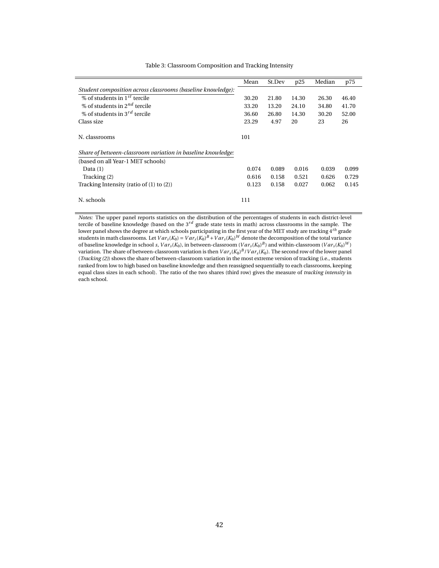<span id="page-42-0"></span>

|                                                             | Mean  | St.Dev | p25   | Median | p75   |
|-------------------------------------------------------------|-------|--------|-------|--------|-------|
| Student composition across classrooms (baseline knowledge): |       |        |       |        |       |
| % of students in $1^{st}$ tercile                           | 30.20 | 21.80  | 14.30 | 26.30  | 46.40 |
| % of students in 2 <sup>nd</sup> tercile                    | 33.20 | 13.20  | 24.10 | 34.80  | 41.70 |
| % of students in $3^{rd}$ tercile                           | 36.60 | 26.80  | 14.30 | 30.20  | 52.00 |
| Class size                                                  | 23.29 | 4.97   | 20    | 23     | 26    |
| N. classrooms                                               | 101   |        |       |        |       |
| Share of between-classroom variation in baseline knowledge: |       |        |       |        |       |
| (based on all Year-1 MET schools)                           |       |        |       |        |       |
| Data $(1)$                                                  | 0.074 | 0.089  | 0.016 | 0.039  | 0.099 |
| Tracking (2)                                                | 0.616 | 0.158  | 0.521 | 0.626  | 0.729 |
| Tracking Intensity (ratio of $(1)$ to $(2)$ )               | 0.123 | 0.158  | 0.027 | 0.062  | 0.145 |
| N. schools                                                  | 111   |        |       |        |       |

#### Table 3: Classroom Composition and Tracking Intensity

*Notes:* The upper panel reports statistics on the distribution of the percentages of students in each district-level tercile of baseline knowledge (based on the 3*rd* grade state tests in math) across classrooms in the sample. The lower panel shows the degree at which schools participating in the first year of the MET study are tracking 4*th* grade students in math classrooms. Let  $Var_s(K_0) = Var_s(K_0)^B + Var_s(K_0)^W$  denote the decomposition of the total variance of baseline knowledge in school *s*,  $Var_s(K_0)$ , in between-classroom ( $Var_s(K_0)^B$ ) and within-classroom ( $Var_s(K_0)^W$ ) variation. The share of between-classroom variation is then  $Var_s(K_0)^B/Var_s(K_0)$ . The second row of the lower panel (*Tracking (2)*) shows the share of between-classroom variation in the most extreme version of tracking (i.e., students ranked from low to high based on baseline knowledge and then reassigned sequentially to each classrooms, keeping equal class sizes in each school). The ratio of the two shares (third row) gives the measure of *tracking intensity* in each school.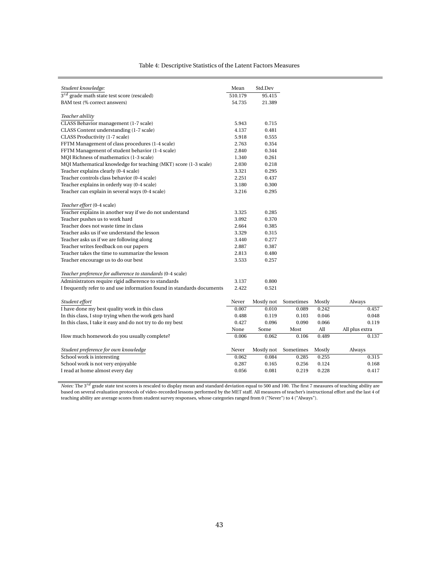Table 4: Descriptive Statistics of the Latent Factors Measures

<span id="page-43-0"></span>

| Student knowledge:                                                     | Mean    | Std.Dev    |           |        |                |
|------------------------------------------------------------------------|---------|------------|-----------|--------|----------------|
| $3^{rd}$ grade math state test score (rescaled)                        | 510.179 | 95.415     |           |        |                |
| BAM test (% correct answers)                                           | 54.735  | 21.389     |           |        |                |
|                                                                        |         |            |           |        |                |
| Teacher ability                                                        |         |            |           |        |                |
| CLASS Behavior management (1-7 scale)                                  | 5.943   | 0.715      |           |        |                |
| CLASS Content understanding (1-7 scale)                                | 4.137   | 0.481      |           |        |                |
| CLASS Productivity (1-7 scale)                                         | 5.918   | 0.555      |           |        |                |
| FFTM Management of class procedures (1-4 scale)                        | 2.763   | 0.354      |           |        |                |
| FFTM Management of student behavior (1-4 scale)                        | 2.840   | 0.344      |           |        |                |
| MQI Richness of mathematics (1-3 scale)                                | 1.340   | 0.261      |           |        |                |
| MQI Mathematical knowledge for teaching (MKT) score (1-3 scale)        | 2.030   | 0.218      |           |        |                |
| Teacher explains clearly (0-4 scale)                                   | 3.321   | 0.295      |           |        |                |
| Teacher controls class behavior (0-4 scale)                            | 2.251   | 0.437      |           |        |                |
| Teacher explains in orderly way (0-4 scale)                            | 3.180   | 0.300      |           |        |                |
| Teacher can explain in several ways (0-4 scale)                        | 3.216   | 0.295      |           |        |                |
|                                                                        |         |            |           |        |                |
| Teacher effort (0-4 scale)                                             |         |            |           |        |                |
| Teacher explains in another way if we do not understand                | 3.325   | 0.285      |           |        |                |
| Teacher pushes us to work hard                                         | 3.092   | 0.370      |           |        |                |
| Teacher does not waste time in class                                   | 2.664   | 0.385      |           |        |                |
| Teacher asks us if we understand the lesson                            | 3.329   | 0.315      |           |        |                |
| Teacher asks us if we are following along                              | 3.440   | 0.277      |           |        |                |
| Teacher writes feedback on our papers                                  | 2.887   | 0.387      |           |        |                |
| Teacher takes the time to summarize the lesson                         | 2.813   | 0.480      |           |        |                |
| Teacher encourage us to do our best                                    | 3.533   | 0.257      |           |        |                |
|                                                                        |         |            |           |        |                |
| Teacher preference for adherence to standards (0-4 scale)              |         |            |           |        |                |
| Administrators require rigid adherence to standards                    | 3.137   | 0.800      |           |        |                |
| I frequently refer to and use information found in standards documents | 2.422   | 0.521      |           |        |                |
|                                                                        |         |            |           |        |                |
| Student effort                                                         | Never   | Mostly not | Sometimes | Mostly | Always         |
| I have done my best quality work in this class                         | 0.007   | 0.010      | 0.089     | 0.242  | 0.457          |
| In this class, I stop trying when the work gets hard                   | 0.488   | 0.119      | 0.103     | 0.046  | 0.048          |
| In this class, I take it easy and do not try to do my best             | 0.427   | 0.096      | 0.090     | 0.066  | 0.119          |
|                                                                        | None    | Some       | Most      | All    | All plus extra |
| How much homework do you usually complete?                             | 0.006   | 0.062      | 0.106     | 0.489  | 0.137          |
| Student preference for own knowledge                                   | Never   | Mostly not | Sometimes | Mostly | Always         |
| School work is interesting                                             | 0.062   | 0.084      | 0.285     | 0.255  | 0.315          |
| School work is not very enjoyable                                      | 0.287   | 0.165      | 0.256     | 0.124  | 0.168          |
| I read at home almost every day                                        | 0.056   | 0.081      | 0.219     | 0.228  | 0.417          |
|                                                                        |         |            |           |        |                |

*Notes:* The 3<sup>rd</sup> grade state test scores is rescaled to display mean and standard deviation equal to 500 and 100. The first 7 measures of teaching ability are based on several evaluation protocols of video-recorded lessons performed by the MET staff. All measures of teacher's instructional effort and the last 4 of teaching ability are average scores from student survey responses, whose categories ranged from 0 ("Never") to 4 ("Always").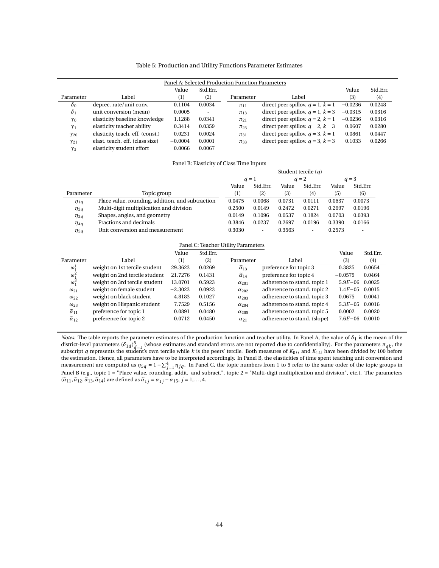#### Table 5: Production and Utility Functions Parameter Estimates

<span id="page-44-0"></span>

|               |                                 |           |          | Panel A: Selected Production Function Parameters |                                        |           |          |
|---------------|---------------------------------|-----------|----------|--------------------------------------------------|----------------------------------------|-----------|----------|
|               |                                 | Value     | Std.Err. |                                                  |                                        | Value     | Std.Err. |
| Parameter     | Label                           | (1)       | (2)      | Parameter                                        | Label                                  | (3)       | (4)      |
| $\delta_0$    | deprec. rate/unit conv.         | 0.1104    | 0.0034   | $\pi_{11}$                                       | direct peer spillov. $q = 1, k = 1$    | $-0.0236$ | 0.0248   |
| $\delta_1$    | unit conversion (mean)          | 0.0005    |          | $\pi_{13}$                                       | direct peer spillov. $q = 1, k = 3$    | $-0.0315$ | 0.0316   |
| $\gamma_0$    | elasticity baseline knowledge   | 1.1288    | 0.0341   | $\pi_{21}$                                       | direct peer spillov. $q = 2$ , $k = 1$ | $-0.0236$ | 0.0316   |
| $\gamma_1$    | elasticity teacher ability      | 0.3414    | 0.0359   | $\pi_{23}$                                       | direct peer spillov. $q = 2$ , $k = 3$ | 0.0607    | 0.0280   |
| $\gamma_{20}$ | elasticity teach. eff. (const.) | 0.0231    | 0.0024   | $\pi_{31}$                                       | direct peer spillov. $q = 3$ , $k = 1$ | 0.0861    | 0.0447   |
| $\gamma_{21}$ | elast. teach. eff. (class size) | $-0.0004$ | 0.0001   | $\pi_{33}$                                       | direct peer spillov. $q = 3$ , $k = 3$ | 0.1033    | 0.0266   |
| $\gamma_3$    | elasticity student effort       | 0.0066    | 0.0067   |                                                  |                                        |           |          |

#### Panel B: Elasticity of Class Time Inputs

|             |                                                  | Student tercile $(q)$ |          |        |          |        |          |
|-------------|--------------------------------------------------|-----------------------|----------|--------|----------|--------|----------|
|             |                                                  |                       | $a=1$    |        | $q=2$    |        | $q = 3$  |
|             |                                                  | Value                 | Std.Err. | Value  | Std.Err. | Value  | Std.Err. |
| Parameter   | Topic group                                      | (1)                   | (2)      | (3)    | (4)      | (5)    | (6)      |
| $\eta_{1q}$ | Place value, rounding, addition, and subtraction | 0.0475                | 0.0068   | 0.0731 | 0.0111   | 0.0637 | 0.0073   |
| $\eta_{2q}$ | Multi-digit multiplication and division          | 0.2500                | 0.0149   | 0.2472 | 0.0271   | 0.2697 | 0.0196   |
| $\eta_{3q}$ | Shapes, angles, and geometry                     | 0.0149                | 0.1096   | 0.0537 | 0.1824   | 0.0703 | 0.0393   |
| $\eta_{4q}$ | Fractions and decimals                           | 0.3846                | 0.0237   | 0.2697 | 0.0196   | 0.3390 | 0.0166   |
| $\eta_{5q}$ | Unit conversion and measurement                  | 0.3030                | ۰        | 0.3563 | ٠        | 0.2573 | -        |

#### Panel C: Teacher Utility Parameters

|                       |                               | Value            | Std.Err. |                       |                             | Value        | Std.Err. |
|-----------------------|-------------------------------|------------------|----------|-----------------------|-----------------------------|--------------|----------|
| Parameter             | Label                         | $\left(1\right)$ | (2)      | Parameter             | Label                       | (3)          | (4)      |
| $\omega_1$            | weight on 1st tercile student | 29.3623          | 0.0269   | $\tilde{\alpha}_{13}$ | preference for topic 3      | 0.3825       | 0.0654   |
| $\omega_1^2$          | weight on 2nd tercile student | 21.7276          | 0.1431   | $\tilde{\alpha}_{14}$ | preference for topic 4      | $-0.0579$    | 0.0464   |
| $\omega_1^3$          | weight on 3rd tercile student | 13.0701          | 0.5923   | $\alpha_{201}$        | adherence to stand. topic 1 | $5.9E - 06$  | 0.0025   |
| $\omega_{21}$         | weight on female student      | $-2.3023$        | 0.0923   | $\alpha_{202}$        | adherence to stand. topic 2 | $1.4E - 0.5$ | 0.0015   |
| $\omega_{22}$         | weight on black student       | 4.8183           | 0.1027   | $\alpha_{203}$        | adherence to stand, topic 3 | 0.0675       | 0.0041   |
| $\omega_{23}$         | weight on Hispanic student    | 7.7529           | 0.5156   | $\alpha_{204}$        | adherence to stand, topic 4 | $5.3E - 05$  | 0.0016   |
| $\tilde{\alpha}_{11}$ | preference for topic 1        | 0.0891           | 0.0480   | $\alpha_{205}$        | adherence to stand, topic 5 | 0.0002       | 0.0020   |
| $\tilde{\alpha}_{12}$ | preference for topic 2        | 0.0712           | 0.0450   | $\alpha_{21}$         | adherence to stand. (slope) | $7.6E - 06$  | 0.0010   |

*Notes:* The table reports the parameter estimates of the production function and teacher utility. In Panel A, the value of δ<sub>1</sub> is the mean of the district-level parameters  $(\delta_{1d})_{d=1}^{5}$  (whose estimates and standard errors are not reported due to confidentiality). For the parameters  $\pi_{qk}$ , the expression  $\delta_{qk}$ , the expression of  $\chi$  and  $K$  and  $K$  began subscript  $q$  represents the student's own tercile while  $k$  is the peers' tercile. Both measures of  $K_{0ti}$  and  $K_{1ti}$  have been divided by 100 before<br>the estimation. Hence, all parameters have to be interpreted accordi measurement are computed as  $\eta_5 q = 1 - \sum_{j=1}^4 \eta_j q$ . In Panel C, the topic numbers from 1 to 5 refer to the same order of the topic groups in Panel B (e.g., topic 1 = "Place value, rounding, addit. and subract.", topic 2 = "Multi-digit multiplication and division", etc.). The parameters  $(\tilde{\alpha}_{11}, \tilde{\alpha}_{12}, \tilde{\alpha}_{13}, \tilde{\alpha}_{14})$  are defined as  $\tilde{\alpha}_{1j} = \alpha_{1j} - \alpha_{15}, j = 1, \ldots, 4$ .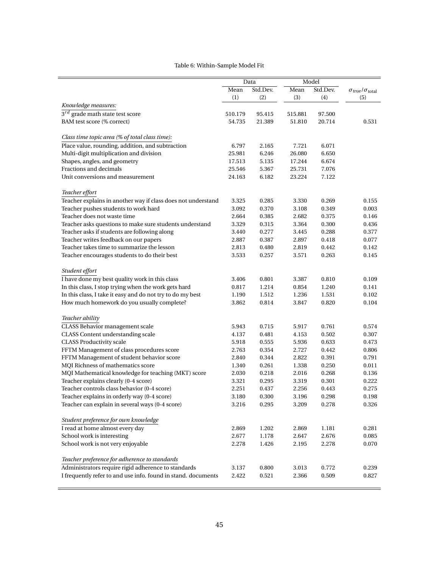#### Table 6: Within-Sample Model Fit

<span id="page-45-0"></span>

|                                                               | Data    |          | Model   |          |                                                      |
|---------------------------------------------------------------|---------|----------|---------|----------|------------------------------------------------------|
|                                                               | Mean    | Std.Dev. | Mean    | Std.Dev. | $\sigma$ <sub>true</sub> / $\sigma$ <sub>total</sub> |
|                                                               | (1)     | (2)      | (3)     | (4)      | (5)                                                  |
| Knowledge measures:                                           |         |          |         |          |                                                      |
| $3^{rd}$ grade math state test score                          | 510.179 | 95.415   | 515.881 | 97.500   |                                                      |
| BAM test score (% correct)                                    | 54.735  | 21.389   | 51.810  | 20.714   | 0.531                                                |
|                                                               |         |          |         |          |                                                      |
| Class time topic area (% of total class time):                |         |          |         |          |                                                      |
| Place value, rounding, addition, and subtraction              | 6.797   | 2.165    | 7.721   | 6.071    |                                                      |
| Multi-digit multiplication and division                       | 25.981  | 6.246    | 26.080  | 6.650    |                                                      |
| Shapes, angles, and geometry                                  | 17.513  | 5.135    | 17.244  | 6.674    |                                                      |
| Fractions and decimals                                        | 25.546  | 5.367    | 25.731  | 7.076    |                                                      |
| Unit conversions and measurement                              | 24.163  | 6.182    | 23.224  | 7.122    |                                                      |
| Teacher effort                                                |         |          |         |          |                                                      |
| Teacher explains in another way if class does not understand  | 3.325   | 0.285    | 3.330   | 0.269    | 0.155                                                |
| Teacher pushes students to work hard                          | 3.092   | 0.370    | 3.108   | 0.349    | 0.003                                                |
| Teacher does not waste time                                   | 2.664   | 0.385    | 2.682   | 0.375    | 0.146                                                |
| Teacher asks questions to make sure students understand       | 3.329   | 0.315    | 3.364   | 0.300    | 0.436                                                |
| Teacher asks if students are following along                  | 3.440   | 0.277    | 3.445   | 0.288    | 0.377                                                |
| Teacher writes feedback on our papers                         | 2.887   | 0.387    | 2.897   | 0.418    | 0.077                                                |
| Teacher takes time to summarize the lesson                    | 2.813   | 0.480    | 2.819   | 0.442    | 0.142                                                |
| Teacher encourages students to do their best                  | 3.533   | 0.257    | 3.571   | 0.263    | 0.145                                                |
|                                                               |         |          |         |          |                                                      |
| Student effort                                                |         |          |         |          |                                                      |
| I have done my best quality work in this class                | 3.406   | 0.801    | 3.387   | 0.810    | 0.109                                                |
| In this class, I stop trying when the work gets hard          | 0.817   | 1.214    | 0.854   | 1.240    | 0.141                                                |
| In this class, I take it easy and do not try to do my best    | 1.190   | 1.512    | 1.236   | 1.531    | 0.102                                                |
| How much homework do you usually complete?                    | 3.862   | 0.814    | 3.847   | 0.820    | 0.104                                                |
|                                                               |         |          |         |          |                                                      |
| Teacher ability                                               |         |          |         |          |                                                      |
| <b>CLASS</b> Behavior management scale                        | 5.943   | 0.715    | 5.917   | 0.761    | 0.574                                                |
| CLASS Content understanding scale                             | 4.137   | 0.481    | 4.153   | 0.502    | 0.307                                                |
| <b>CLASS Productivity scale</b>                               | 5.918   | 0.555    | 5.936   | 0.633    | 0.473                                                |
| FFTM Management of class procedures score                     | 2.763   | 0.354    | 2.727   | 0.442    | 0.806                                                |
| FFTM Management of student behavior score                     | 2.840   | 0.344    | 2.822   | 0.391    | 0.791                                                |
| MQI Richness of mathematics score                             | 1.340   | 0.261    | 1.338   | 0.250    | 0.011                                                |
| MQI Mathematical knowledge for teaching (MKT) score           | 2.030   | 0.218    | 2.016   | 0.268    | 0.136                                                |
| Teacher explains clearly (0-4 score)                          | 3.321   | 0.295    | 3.319   | 0.301    | 0.222                                                |
| Teacher controls class behavior (0-4 score)                   | 2.251   | 0.437    | 2.256   | 0.443    | 0.275                                                |
| Teacher explains in orderly way (0-4 score)                   | 3.180   | 0.300    | 3.196   | 0.298    | $\rm 0.198$                                          |
| Teacher can explain in several ways (0-4 score)               | 3.216   | 0.295    | 3.209   | 0.278    | 0.326                                                |
| Student preference for own knowledge                          |         |          |         |          |                                                      |
| I read at home almost every day                               | 2.869   | 1.202    | 2.869   | 1.181    | 0.281                                                |
| School work is interesting                                    | 2.677   | 1.178    | 2.647   | 2.676    | 0.085                                                |
| School work is not very enjoyable                             | 2.278   | 1.426    | 2.195   | 2.278    | 0.070                                                |
|                                                               |         |          |         |          |                                                      |
| Teacher preference for adherence to standards                 |         |          |         |          |                                                      |
| Administrators require rigid adherence to standards           | 3.137   | 0.800    | 3.013   | 0.772    | 0.239                                                |
| I frequently refer to and use info. found in stand. documents | 2.422   | 0.521    | 2.366   | 0.509    | 0.827                                                |
|                                                               |         |          |         |          |                                                      |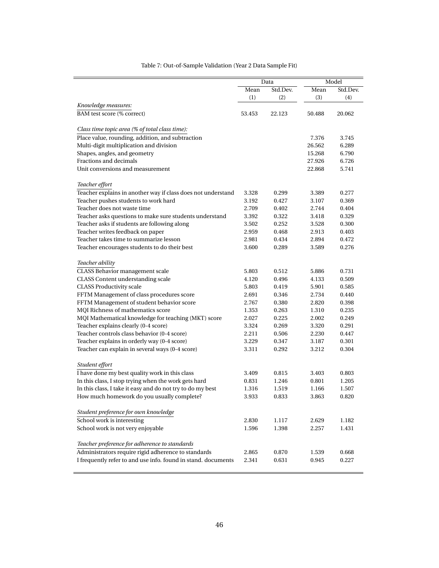<span id="page-46-0"></span>

|                                                               | Data             |        |        | Model    |
|---------------------------------------------------------------|------------------|--------|--------|----------|
|                                                               | Mean<br>Std.Dev. |        | Mean   | Std.Dev. |
|                                                               | (1)              | (2)    | (3)    | (4)      |
| Knowledge measures:                                           |                  |        |        |          |
| BAM test score (% correct)                                    | 53.453           | 22.123 | 50.488 | 20.062   |
| Class time topic area (% of total class time):                |                  |        |        |          |
| Place value, rounding, addition, and subtraction              |                  |        | 7.376  | 3.745    |
| Multi-digit multiplication and division                       |                  |        | 26.562 | 6.289    |
| Shapes, angles, and geometry                                  |                  |        | 15.268 | 6.790    |
| Fractions and decimals                                        |                  |        | 27.926 | 6.726    |
| Unit conversions and measurement                              |                  |        | 22.868 | 5.741    |
| Teacher effort                                                |                  |        |        |          |
| Teacher explains in another way if class does not understand  | 3.328            | 0.299  | 3.389  | 0.277    |
| Teacher pushes students to work hard                          | 3.192            | 0.427  | 3.107  | 0.369    |
| Teacher does not waste time                                   | 2.709            | 0.402  | 2.744  | 0.404    |
| Teacher asks questions to make sure students understand       | 3.392            | 0.322  | 3.418  | 0.329    |
| Teacher asks if students are following along                  | 3.502            | 0.252  | 3.528  | 0.300    |
| Teacher writes feedback on paper                              | 2.959            | 0.468  | 2.913  | 0.403    |
| Teacher takes time to summarize lesson                        | 2.981            | 0.434  | 2.894  | 0.472    |
| Teacher encourages students to do their best                  | 3.600            | 0.289  | 3.589  | 0.276    |
| Teacher ability                                               |                  |        |        |          |
| CLASS Behavior management scale                               | 5.803            | 0.512  | 5.886  | 0.731    |
| CLASS Content understanding scale                             | 4.120            | 0.496  | 4.133  | 0.509    |
| <b>CLASS Productivity scale</b>                               | 5.803            | 0.419  | 5.901  | 0.585    |
| FFTM Management of class procedures score                     | 2.691            | 0.346  | 2.734  | 0.440    |
| FFTM Management of student behavior score                     | 2.767            | 0.380  | 2.820  | 0.398    |
| MQI Richness of mathematics score                             | 1.353            | 0.263  | 1.310  | 0.235    |
| MQI Mathematical knowledge for teaching (MKT) score           | 2.027            | 0.225  | 2.002  | 0.249    |
| Teacher explains clearly (0-4 score)                          | 3.324            | 0.269  | 3.320  | 0.291    |
| Teacher controls class behavior (0-4 score)                   | 2.211            | 0.506  | 2.230  | 0.447    |
| Teacher explains in orderly way (0-4 score)                   | 3.229            | 0.347  | 3.187  | 0.301    |
| Teacher can explain in several ways (0-4 score)               | 3.311            | 0.292  | 3.212  | 0.304    |
| Student effort                                                |                  |        |        |          |
| I have done my best quality work in this class                | 3.409            | 0.815  | 3.403  | 0.803    |
| In this class, I stop trying when the work gets hard          | 0.831            | 1.246  | 0.801  | 1.205    |
| In this class, I take it easy and do not try to do my best    | 1.316            | 1.519  | 1.166  | 1.507    |
| How much homework do you usually complete?                    | 3.933            | 0.833  | 3.863  | 0.820    |
| Student preference for own knowledge                          |                  |        |        |          |
| School work is interesting                                    | 2.830            | 1.117  | 2.629  | 1.182    |
| School work is not very enjoyable                             | 1.596            | 1.398  | 2.257  | 1.431    |
| Teacher preference for adherence to standards                 |                  |        |        |          |
| Administrators require rigid adherence to standards           | 2.865            | 0.870  | 1.539  | 0.668    |
| I frequently refer to and use info. found in stand. documents | 2.341            | 0.631  | 0.945  | 0.227    |
|                                                               |                  |        |        |          |

#### Table 7: Out-of-Sample Validation (Year 2 Data Sample Fit)

<u> 1989 - Johann Barn, amerikansk politiker (</u>

÷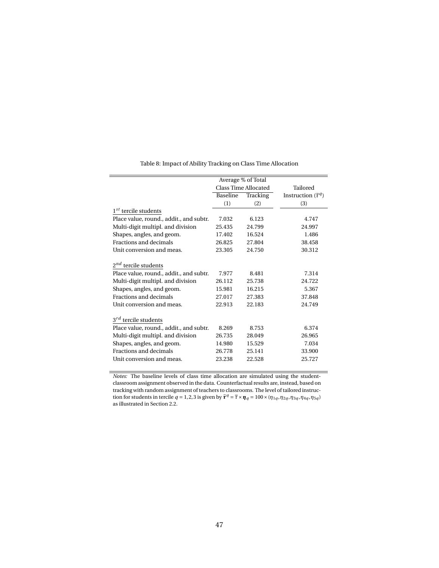<span id="page-47-0"></span>

|                                         |          | Average % of Total   |                                |
|-----------------------------------------|----------|----------------------|--------------------------------|
|                                         |          | Class Time Allocated | Tailored                       |
|                                         | Baseline | Tracking             | Instruction $(\tilde{\tau}^q)$ |
|                                         | (1)      | (2)                  | (3)                            |
| $1st$ tercile students                  |          |                      |                                |
| Place value, round., addit., and subtr. | 7.032    | 6.123                | 4.747                          |
| Multi-digit multipl. and division       | 25.435   | 24.799               | 24.997                         |
| Shapes, angles, and geom.               | 17.402   | 16.524               | 1.486                          |
| Fractions and decimals                  | 26.825   | 27.804               | 38.458                         |
| Unit conversion and meas.               | 23.305   | 24.750               | 30.312                         |
|                                         |          |                      |                                |
| $2^{nd}$ tercile students               |          |                      |                                |
| Place value, round., addit., and subtr. | 7.977    | 8.481                | 7.314                          |
| Multi-digit multipl. and division       | 26.112   | 25.738               | 24.722                         |
| Shapes, angles, and geom.               | 15.981   | 16.215               | 5.367                          |
| Fractions and decimals                  | 27.017   | 27.383               | 37.848                         |
| Unit conversion and meas.               | 22.913   | 22.183               | 24.749                         |
|                                         |          |                      |                                |
| $3^{rd}$ tercile students               |          |                      |                                |
| Place value, round., addit., and subtr. | 8.269    | 8.753                | 6.374                          |
| Multi-digit multipl. and division       | 26.735   | 28.049               | 26.965                         |
| Shapes, angles, and geom.               | 14.980   | 15.529               | 7.034                          |
| Fractions and decimals                  | 26.778   | 25.141               | 33.900                         |
| Unit conversion and meas.               | 23.238   | 22.528               | 25.727                         |
|                                         |          |                      |                                |

Table 8: Impact of Ability Tracking on Class Time Allocation

*Notes:* The baseline levels of class time allocation are simulated using the studentclassroom assignment observed in the data. Counterfactual results are, instead, based on tracking with random assignment of teachers to classrooms. The level of tailored instruction for students in tercile  $q = 1,2,3$  is given by  $\tilde{\tau}^q = \overline{\tau} \times \eta_q = 100 \times (\eta_{1q}, \eta_{2q}, \eta_{3q}, \eta_{4q}, \eta_{5q})$ as illustrated in Section [2.2.](#page-7-3)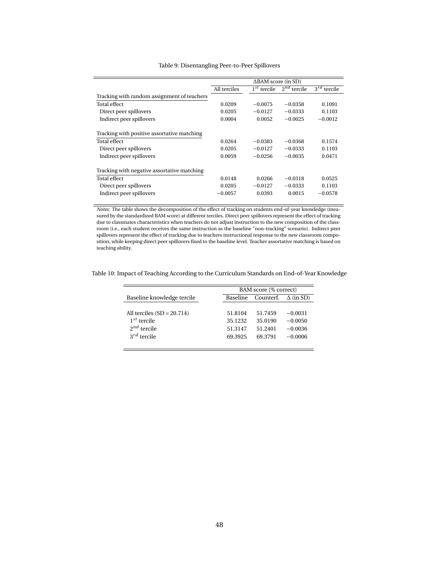<span id="page-48-0"></span>

|                                             | $\triangle$ BAM score (in SD) |               |                  |                  |  |  |  |
|---------------------------------------------|-------------------------------|---------------|------------------|------------------|--|--|--|
|                                             | All terciles                  | $1st$ tercile | $2^{nd}$ tercile | $3^{rd}$ tercile |  |  |  |
| Tracking with random assignment of teachers |                               |               |                  |                  |  |  |  |
| Total effect                                | 0.0209                        | $-0.0075$     | $-0.0358$        | 0.1091           |  |  |  |
| Direct peer spillovers                      | 0.0205                        | $-0.0127$     | $-0.0333$        | 0.1103           |  |  |  |
| Indirect peer spillovers                    | 0.0004                        | 0.0052        | $-0.0025$        | $-0.0012$        |  |  |  |
| Tracking with positive assortative matching |                               |               |                  |                  |  |  |  |
| Total effect                                | 0.0264                        | $-0.0383$     | $-0.0368$        | 0.1574           |  |  |  |
| Direct peer spillovers                      | 0.0205                        | $-0.0127$     | $-0.0333$        | 0.1103           |  |  |  |
| Indirect peer spillovers                    | 0.0059                        | $-0.0256$     | $-0.0035$        | 0.0471           |  |  |  |
| Tracking with negative assortative matching |                               |               |                  |                  |  |  |  |
| Total effect                                | 0.0148                        | 0.0266        | $-0.0318$        | 0.0525           |  |  |  |
| Direct peer spillovers                      | 0.0205                        | $-0.0127$     | $-0.0333$        | 0.1103           |  |  |  |
| Indirect peer spillovers                    | $-0.0057$                     | 0.0393        | 0.0015           | $-0.0578$        |  |  |  |

#### Table 9: Disentangling Peer-to-Peer Spillovers

*Notes:* The table shows the decomposition of the effect of tracking on students end-of-year knowledge (measured by the standardized BAM score) at different terciles. Direct peer spillovers represent the effect of tracking due to classmates characteristics when teachers do not adjust instruction to the new composition of the classroom (i.e., each student receives the same instruction as the baseline "non-tracking" scenario). Indirect peer spillovers represent the effect of tracking due to teachers instructional response to the new classroom composition, while keeping direct peer spillovers fixed to the baseline level. Teacher assortative matching is based on teaching ability.

<span id="page-48-1"></span>

|  | Table 10: Impact of Teaching According to the Curriculum Standards on End-of-Year Knowledge |  |  |
|--|---------------------------------------------------------------------------------------------|--|--|
|  |                                                                                             |  |  |

|                              |          | BAM score (% correct) |                  |
|------------------------------|----------|-----------------------|------------------|
| Baseline knowledge tercile   | Baseline | Counterf.             | $\Delta$ (in SD) |
| All terciles $(SD = 20.714)$ | 51.8104  | 51.7459               | $-0.0031$        |
| $1^{st}$ tercile             | 35.1232  | 35.0190               | $-0.0050$        |
| $2^{nd}$ tercile             | 51.3147  | 51.2401               | $-0.0036$        |
| $3^{rd}$ tercile             | 69.3925  | 69.3791               | $-0.0006$        |

 $\overline{a}$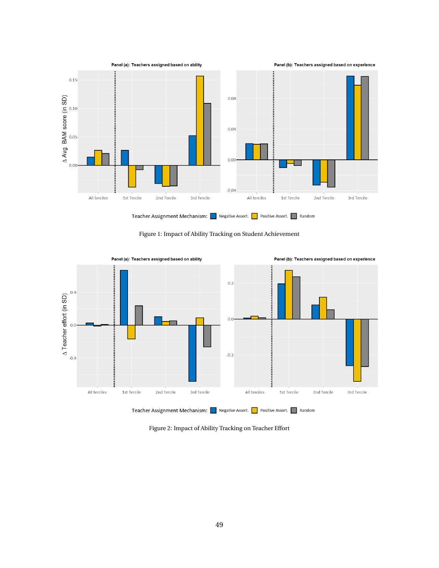<span id="page-49-0"></span>

Figure 1: Impact of Ability Tracking on Student Achievement

<span id="page-49-1"></span>

Figure 2: Impact of Ability Tracking on Teacher Effort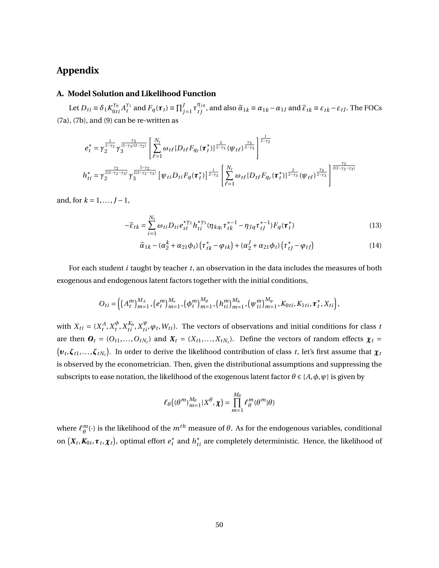# **Appendix**

### **A. Model Solution and Likelihood Function**

Let  $D_{ti} \equiv \delta_1 K_{0ti}^{\gamma_0} A_t^{\gamma_1}$  $\widetilde{t}_t^{\gamma_1}$  and  $F_q(\tau_t) \equiv \prod_{j=1}^J \tau_{tj}^{\eta_{jq}}$ , and also  $\widetilde{\alpha}_{1k} \equiv \alpha_{1k} - \alpha_{1J}$  and  $\widetilde{\epsilon}_{tk} \equiv \epsilon_{tk} - \epsilon_{tJ}$ . The FOCs ([7a](#page-11-0)), [\(7b\)](#page-11-1), and [\(9\)](#page-12-1) can be re-written as

$$
e_{t}^{*} = \gamma_{2}^{\frac{1}{2-\gamma_{2}}}\gamma_{3}^{\frac{\gamma_{3}}{(2-\gamma_{3})(2-\gamma_{2})}}\left[\sum_{\ell=1}^{N_{t}}\omega_{t\ell}[D_{t\ell}F_{q_{\ell}}(\tau_{t}^{*})]^{\frac{2}{2-\gamma_{3}}}\left(\psi_{t\ell}\right)^{\frac{\gamma_{3}}{2-\gamma_{3}}}\right]^{\frac{1}{2-\gamma_{2}}}
$$
\n
$$
h_{ti}^{*} = \gamma_{2}^{\frac{\gamma_{2}}{2(2-\gamma_{2}-\gamma_{3})}}\gamma_{3}^{\frac{2-\gamma_{2}}{2(2-\gamma_{2}-\gamma_{3})}}\left[\psi_{ti}D_{ti}F_{q}(\tau_{t}^{*})\right]^{\frac{1}{2-\gamma_{3}}}\left[\sum_{\ell=1}^{N_{t}}\omega_{t\ell}[D_{t\ell}F_{q_{\ell}}(\tau_{t}^{*})]^{\frac{2}{2-\gamma_{3}}}\left(\psi_{t\ell}\right)^{\frac{\gamma_{3}}{2-\gamma_{3}}}\right]^{\frac{\gamma_{2}}{2(2-\gamma_{2}-\gamma_{3})}}
$$

and, for  $k = 1, ..., J - 1$ ,

$$
-\tilde{\varepsilon}_{tk} = \sum_{i=1}^{N_t} \omega_{ti} D_{ti} e_{st}^{* \gamma_2} h_{ti}^{* \gamma_3} (\eta_{kq_i} \tau_{tk}^{* - 1} - \eta_{Jq} \tau_{tJ}^{* - 1}) F_q(\tau_t^*)
$$
(13)

<span id="page-50-0"></span>
$$
\widetilde{\alpha}_{1k} - (\alpha_2^k + \alpha_{21}\phi_t)\left(\tau_{tk}^* - \varphi_{tk}\right) + (\alpha_2^J + \alpha_{21}\phi_t)\left(\tau_{tJ}^* - \varphi_{tJ}\right) \tag{14}
$$

For each student *i* taught by teacher *t*, an observation in the data includes the measures of both exogenous and endogenous latent factors together with the initial conditions,

$$
O_{ti}=\left(\left(A_t^m\right)_{m=1}^{M_A},\left(e_t^m\right)_{m=1}^{M_e},\left(\phi_t^m\right)_{m=1}^{M_\phi},\left(h_{ti}^m\right)_{m=1}^{M_h},\left(\psi_{ti}^m\right)_{m=1}^{M_\psi},K_{0ti},K_{1ti},\boldsymbol{\tau}_t^*,X_{ti}\right),
$$

with  $X_{ti} = (X_t^A, X_t^{\phi})$  $\phi_t^{\phi}$ , *X*<sup>*K*<sub>*t*</sub></sup>, *X*<sup>*ψ*</sup>, *ψt*, *W*<sub>*t*</sub>). The vectors of observations and initial conditions for class *t* are then  $\mathbf{O}_t = (O_{t1},...,O_{tN_t})$  and  $\mathbf{X}_t = (X_{t1},...,X_{tN_t})$ . Define the vectors of random effects  $\boldsymbol{\chi}_t =$  $(\bm{v}_t, \bm{\zeta}_{t1},...,\bm{\zeta}_{tN_t})$ . In order to derive the likelihood contribution of class *t*, let's first assume that  $\bm{\chi}_t$ is observed by the econometrician. Then, given the distributional assumptions and suppressing the subscripts to ease notation, the likelihood of the exogenous latent factor  $\theta \in \{A, \phi, \psi\}$  is given by

$$
\ell_{\theta}\big((\theta^{m})_{m=1}^{M_{\theta}}|X^{\theta},\chi\big)=\prod_{m=1}^{M_{\theta}}\ell_{\theta}^{m}(\theta^{m}|\theta)
$$

where  $\ell_{\theta}^m$  $^m_{\theta}(\cdot)$  is the likelihood of the  $m^{th}$  measure of  $\theta.$  As for the endogenous variables, conditional on  $(X_t, K_{0t}, \tau_t, \chi_t)$ , optimal effort  $e_t^*$  and  $h_{ti}^*$  are completely deterministic. Hence, the likelihood of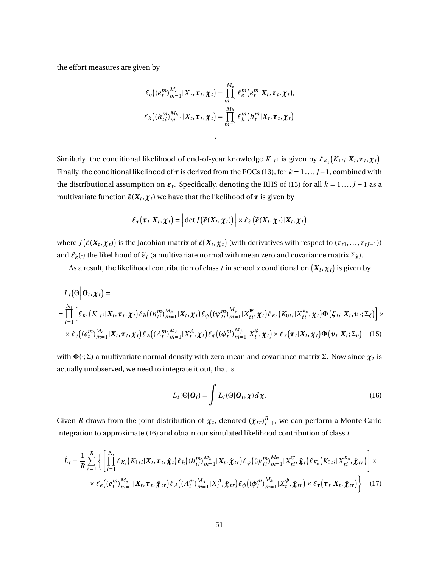the effort measures are given by

$$
\ell_e\big((e_t^m)_{m=1}^{M_e}|\underline{X}_t,\boldsymbol{\tau}_t,\boldsymbol{\chi}_t\big) = \prod_{m=1}^{M_e} \ell_e^m\big(e_t^m|X_t,\boldsymbol{\tau}_t,\boldsymbol{\chi}_t\big),
$$
  

$$
\ell_h\big((h_{ti}^m)_{m=1}^{M_h}|\boldsymbol{X}_t,\boldsymbol{\tau}_t,\boldsymbol{\chi}_t\big) = \prod_{m=1}^{M_h} \ell_h^m\big(h_t^m|\boldsymbol{X}_t,\boldsymbol{\tau}_t,\boldsymbol{\chi}_t\big)
$$

.

Similarly, the conditional likelihood of end-of-year knowledge  $K_{1ti}$  is given by  $\ell_{K_1}(K_{1ti}|\bm{X}_t,\bm{\tau}_t,\bm{\chi}_t)$ . Finally, the conditional likelihood of  $\tau$  is derived from the FOCs [\(13\)](#page-50-0), for  $k = 1 \ldots, J-1$ , combined with the distributional assumption on  $\varepsilon_t$ . Specifically, denoting the RHS of [\(13](#page-50-0)) for all  $k = 1...$ ,  $J - 1$  as a multivariate function  $\widetilde{\bm{\epsilon}}(\bm{X}_t, \bm{\chi}_t)$  we have that the likelihood of  $\bm{\tau}$  is given by

$$
\ell_{\tau}(\tau_t|X_t, \chi_t) = \left| \det J(\widetilde{\varepsilon}(X_t, \chi_t)) \right| \times \ell_{\widetilde{\varepsilon}}(\widetilde{\varepsilon}(X_t, \chi_t)|X_t, \chi_t)
$$

where  $J(\widetilde{\bm{\varepsilon}}(\bm{X}_t,\bm{\chi}_t))$  is the Jacobian matrix of  $\widetilde{\bm{\varepsilon}}(\bm{X}_t,\bm{\chi}_t)$  (with derivatives with respect to  $(\tau_{t1},\ldots,\tau_{tJ-1}))$ and  $\ell_{\tilde{\epsilon}}(\cdot)$  the likelihood of  $\tilde{\epsilon}_t$  (a multivariate normal with mean zero and covariance matrix  $\Sigma_{\tilde{\epsilon}}$ ).

As a result, the likelihood contribution of class  $t$  in school  $s$  conditional on  $(\pmb{X}_t, \pmb{\chi}_t)$  is given by

$$
L_t(\Theta|\boldsymbol{O}_t, \boldsymbol{\chi}_t) =
$$
\n
$$
= \prod_{i=1}^{N_t} \left[ \ell_{K_1}(K_{1ti}|\boldsymbol{X}_t, \boldsymbol{\tau}_t, \boldsymbol{\chi}_t) \ell_h((h_{ti}^m)_{m=1}^{M_h}|\boldsymbol{X}_t, \boldsymbol{\chi}_t) \ell_{\psi}((\psi_{ti}^m)_{m=1}^{M_{\psi}}|\boldsymbol{X}_{ti}^{\psi}, \boldsymbol{\chi}_t) \ell_{K_0}(K_{0ti}|\boldsymbol{X}_{ti}^{K_0}, \boldsymbol{\chi}_t) \boldsymbol{\Phi}(\boldsymbol{\zeta}_{ti}|\boldsymbol{X}_t, \boldsymbol{\nu}_t; \boldsymbol{\Sigma}_{\zeta}) \right] \times
$$
\n
$$
\times \ell_e((e_i^m)_{m=1}^{M_e}|\boldsymbol{X}_t, \boldsymbol{\tau}_t, \boldsymbol{\chi}_t) \ell_A((A_i^m)_{m=1}^{M_A}|\boldsymbol{X}_t^A, \boldsymbol{\chi}_t) \ell_{\phi}((\phi_i^m)_{m=1}^{M_{\phi}}|\boldsymbol{X}_t^A, \boldsymbol{\chi}_t) \times \ell_{\tau}(\boldsymbol{\tau}_t|\boldsymbol{X}_t, \boldsymbol{\chi}_t) \boldsymbol{\Phi}(\boldsymbol{\nu}_t|\boldsymbol{X}_t; \boldsymbol{\Sigma}_{\upsilon}) \quad (15)
$$

with  $\pmb{\Phi}(\cdot;\Sigma)$  a multivariate normal density with zero mean and covariance matrix Σ. Now since  $\pmb{\chi}_t$  is actually unobserved, we need to integrate it out, that is

<span id="page-51-0"></span>
$$
L_t(\Theta|\mathbf{O}_t) = \int L_t(\Theta|\mathbf{O}_t, \chi) d\chi.
$$
 (16)

Given *R* draws from the joint distribution of  $\chi_t$ , denoted  $(\hat{\chi}_{tr})_{r=1}^R$ , we can perform a Monte Carlo integration to approximate ([16\)](#page-51-0) and obtain our simulated likelihood contribution of class *t*

$$
\hat{L}_{t} = \frac{1}{R} \sum_{r=1}^{R} \left\{ \left[ \prod_{i=1}^{N_{t}} \ell_{K_{1}}(K_{1ti}|\mathbf{X}_{t}, \boldsymbol{\tau}_{t}, \hat{\boldsymbol{\chi}}_{t}) \ell_{h} \left( (h_{ti}^{m})_{m=1}^{M_{h}} | \mathbf{X}_{t}, \hat{\boldsymbol{\chi}}_{tr} \right) \ell_{\psi} \left( (\psi_{ti}^{m})_{m=1}^{M_{\psi}} | \mathbf{X}_{ti}^{\psi}, \hat{\boldsymbol{\chi}}_{t}) \ell_{K_{0}} \left( K_{0ti} | \mathbf{X}_{ti}^{K_{0}}, \hat{\boldsymbol{\chi}}_{tr} \right) \right] \times \right. \\ \times \left. \ell_{e} \left( (e_{t}^{m})_{m=1}^{M_{e}} | \mathbf{X}_{t}, \boldsymbol{\tau}_{t}, \hat{\boldsymbol{\chi}}_{tr} \right) \ell_{A} \left( (A_{t}^{m})_{m=1}^{M_{A}} | \mathbf{X}_{t}^{A}, \hat{\boldsymbol{\chi}}_{tr} \right) \ell_{\phi} \left( (\phi_{t}^{m})_{m=1}^{M_{\phi}} | \mathbf{X}_{t}^{\phi}, \hat{\boldsymbol{\chi}}_{tr} \right) \times \ell_{\tau} \left( \boldsymbol{\tau}_{t} | \mathbf{X}_{t}, \hat{\boldsymbol{\chi}}_{tr} \right) \right\} \tag{17}
$$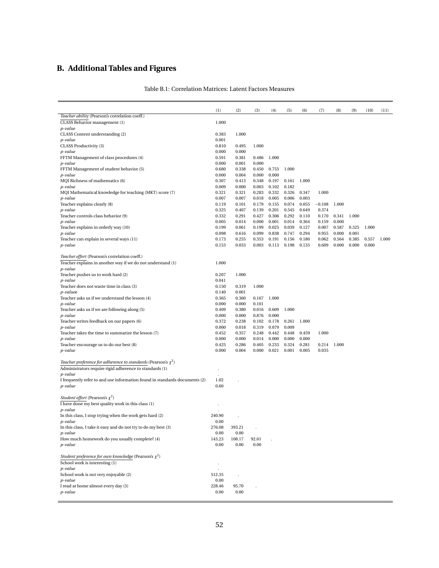# <span id="page-52-0"></span>**B. Additional Tables and Figures**

|                                                                            | (1)            | (2)            | (3)            | (4)   | (5)   | (6)   | (7)      | (8)   | (9)   | (10)  | (11)  |
|----------------------------------------------------------------------------|----------------|----------------|----------------|-------|-------|-------|----------|-------|-------|-------|-------|
| Teacher ability (Pearson's correlation coeff.)                             |                |                |                |       |       |       |          |       |       |       |       |
| CLASS Behavior management (1)                                              | 1.000          |                |                |       |       |       |          |       |       |       |       |
| p-value<br>CLASS Content understanding (2)                                 | 0.383          | 1.000          |                |       |       |       |          |       |       |       |       |
| p-value                                                                    | 0.001          |                |                |       |       |       |          |       |       |       |       |
| CLASS Productivity (3)                                                     | 0.810          | 0.495          | 1.000          |       |       |       |          |       |       |       |       |
| p-value                                                                    | 0.000          | 0.000          |                |       |       |       |          |       |       |       |       |
| FFTM Management of class procedures (4)                                    | 0.591          | 0.381          | 0.486          | 1.000 |       |       |          |       |       |       |       |
| p-value                                                                    | 0.000          | 0.001          | 0.000          |       |       |       |          |       |       |       |       |
| FFTM Management of student behavior (5)                                    | 0.680          | 0.338          | 0.450          | 0.753 | 1.000 |       |          |       |       |       |       |
| p-value                                                                    | 0.000          | 0.004          | 0.000          | 0.000 |       |       |          |       |       |       |       |
| MQI Richness of mathematics (6)                                            | 0.307          | 0.413          | 0.348          | 0.197 | 0.161 | 1.000 |          |       |       |       |       |
| p-value                                                                    | 0.009          | 0.000          | 0.003          | 0.102 | 0.182 |       |          |       |       |       |       |
| MQI Mathematical knowledge for teaching (MKT) score (7)                    | 0.321          | 0.321          | 0.283          | 0.332 | 0.326 | 0.347 | 1.000    |       |       |       |       |
| p-value                                                                    | 0.007          | 0.007          | 0.018          | 0.005 | 0.006 | 0.003 |          |       |       |       |       |
| Teacher explains clearly (8)                                               | 0.119          | 0.101          | 0.179          | 0.155 | 0.074 | 0.055 | $-0.108$ | 1.000 |       |       |       |
| p-value                                                                    | 0.325          | 0.407          | 0.139          | 0.201 | 0.545 | 0.649 | 0.374    |       |       |       |       |
| Teacher controls class behavior (9)                                        | 0.332          | 0.291          | 0.427          | 0.306 | 0.292 | 0.110 | 0.170    | 0.341 | 1.000 |       |       |
| p-value                                                                    | 0.005          | 0.014          | 0.000          | 0.001 | 0.014 | 0.364 | 0.159    | 0.000 |       |       |       |
| Teacher explains in orderly way (10)                                       | 0.199          | 0.061          | 0.199          | 0.025 | 0.039 | 0.127 | 0.007    | 0.587 | 0.325 | 1.000 |       |
| p-value                                                                    | 0.098          | 0.616          | 0.099          | 0.838 | 0.747 | 0.294 | 0.955    | 0.000 | 0.001 |       |       |
| Teacher can explain in several ways (11)                                   | 0.173          | 0.255          | 0.353          | 0.191 | 0.156 | 0.180 | 0.062    | 0.564 | 0.385 | 0.557 | 1.000 |
| p-value                                                                    | 0.153          | 0.033          | 0.003          | 0.113 | 0.198 | 0.135 | 0.609    | 0.000 | 0.000 | 0.000 |       |
|                                                                            |                |                |                |       |       |       |          |       |       |       |       |
| Teacher effort (Pearson's correlation coeff.)                              |                |                |                |       |       |       |          |       |       |       |       |
| Teacher explains in another way if we do not understand (1)                | 1.000          |                |                |       |       |       |          |       |       |       |       |
| p-value                                                                    |                |                |                |       |       |       |          |       |       |       |       |
| Teacher pushes us to work hard (2)                                         | 0.207          | 1.000          |                |       |       |       |          |       |       |       |       |
| p-value                                                                    | 0.041          |                |                |       |       |       |          |       |       |       |       |
| Teacher does not waste time in class (3)                                   | 0.150          | 0.319          | 1.000          |       |       |       |          |       |       |       |       |
| <i>p-valuee</i>                                                            | 0.140          | 0.001<br>0.360 |                |       |       |       |          |       |       |       |       |
| Teacher asks us if we understand the lesson (4)<br>p-value                 | 0.365<br>0.000 | 0.000          | 0.167<br>0.101 | 1.000 |       |       |          |       |       |       |       |
| Teacher asks us if we are following along (5)                              | 0.409          | 0.380          | 0.016          | 0.609 | 1.000 |       |          |       |       |       |       |
| p-value                                                                    | 0.000          | 0.000          | 0.876          | 0.000 |       |       |          |       |       |       |       |
| Teacher writes feedback on our papers (6)                                  | 0.372          | 0.238          | 0.102          | 0.178 | 0.261 | 1.000 |          |       |       |       |       |
| p-value                                                                    | 0.000          | 0.018          | 0.319          | 0.079 | 0.009 |       |          |       |       |       |       |
| Teacher takes the time to summarize the lesson (7)                         | 0.452          | 0.357          | 0.248          | 0.442 | 0.448 | 0.459 | 1.000    |       |       |       |       |
| p-value                                                                    | 0.000          | 0.000          | 0.014          | 0.000 | 0.000 | 0.000 |          |       |       |       |       |
| Teacher encourage us to do our best (8)                                    | 0.425          | 0.286          | 0.405          | 0.233 | 0.324 | 0.281 | 0.214    | 1.000 |       |       |       |
| p-value                                                                    | 0.000          | 0.004          | 0.000          | 0.021 | 0.001 | 0.005 | 0.035    |       |       |       |       |
|                                                                            |                |                |                |       |       |       |          |       |       |       |       |
| Teacher preference for adherence to standards (Pearson's $\chi^2$ )        |                |                |                |       |       |       |          |       |       |       |       |
| Administrators require rigid adherence to standards (1)                    |                |                |                |       |       |       |          |       |       |       |       |
| p-value                                                                    |                |                |                |       |       |       |          |       |       |       |       |
| I frequently refer to and use information found in standards documents (2) | 1.02           |                |                |       |       |       |          |       |       |       |       |
| p-value                                                                    | 0.60           |                |                |       |       |       |          |       |       |       |       |
|                                                                            |                |                |                |       |       |       |          |       |       |       |       |
| <i>Student effort</i> (Pearson's $\chi^2$ )                                |                |                |                |       |       |       |          |       |       |       |       |
| I have done my best quality work in this class (1)                         |                |                |                |       |       |       |          |       |       |       |       |
| p-value                                                                    |                |                |                |       |       |       |          |       |       |       |       |
| In this class, I stop trying when the work gets hard (2)                   | 240.90         |                |                |       |       |       |          |       |       |       |       |
| p-value                                                                    | 0.00           |                |                |       |       |       |          |       |       |       |       |
| In this class, I take it easy and do not try to do my best (3)             | 276.08         | 393.21         |                |       |       |       |          |       |       |       |       |
| p-value                                                                    | 0.00           | 0.00           |                |       |       |       |          |       |       |       |       |
| How much homework do you usually complete? (4)                             | 143.23         | 108.17         | 92.01          |       |       |       |          |       |       |       |       |
| p-value                                                                    | 0.00           | 0.00           | 0.00           |       |       |       |          |       |       |       |       |
|                                                                            |                |                |                |       |       |       |          |       |       |       |       |
| Student preference for own knowledge (Pearson's $\chi^2$ )                 |                |                |                |       |       |       |          |       |       |       |       |
| School work is interesting (1)                                             |                |                |                |       |       |       |          |       |       |       |       |
| p-value                                                                    |                |                |                |       |       |       |          |       |       |       |       |
| School work is not very enjoyable (2)                                      | 512.35         | $\cdot$        |                |       |       |       |          |       |       |       |       |
| p-value                                                                    | 0.00           |                |                |       |       |       |          |       |       |       |       |
| I read at home almost every day (3)                                        | 228.46         | 95.70          |                |       |       |       |          |       |       |       |       |
| p-value                                                                    | 0.00           | 0.00           |                |       |       |       |          |       |       |       |       |

Table B.1: Correlation Matrices: Latent Factors Measures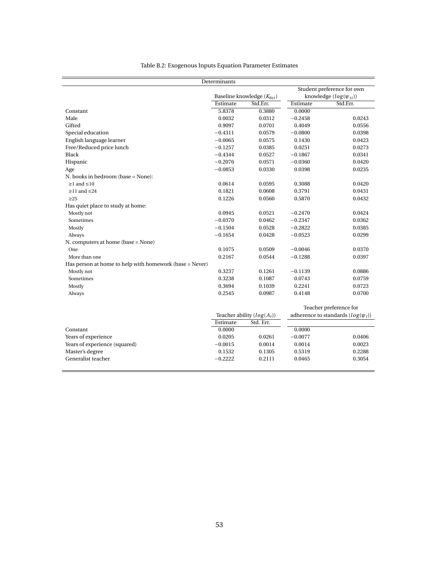| Table B.2: Exogenous Inputs Equation Parameter Estimates |  |  |
|----------------------------------------------------------|--|--|
|                                                          |  |  |

<span id="page-53-0"></span>

|                                                         |           |                              | Student preference for own             |
|---------------------------------------------------------|-----------|------------------------------|----------------------------------------|
| Baseline knowledge $(K_{0ti})$                          |           |                              | knowledge $(log(\psi_{ti}))$           |
| Estimate                                                | Std.Err.  | Estimate                     | Std.Err.                               |
| 5.8378                                                  | 0.3880    | 0.0000                       |                                        |
| 0.0032                                                  | 0.0312    | $-0.2458$                    | 0.0243                                 |
| 0.9097                                                  | 0.0701    | 0.4049                       | 0.0556                                 |
| $-0.4311$                                               | 0.0579    | $-0.0800$                    | 0.0398                                 |
| $-0.0065$                                               | 0.0575    | 0.1430                       | 0.0423                                 |
| $-0.1257$                                               | 0.0385    | 0.0251                       | 0.0273                                 |
| $-0.4344$                                               | 0.0527    | $-0.1867$                    | 0.0341                                 |
| $-0.2076$                                               | 0.0571    | $-0.0360$                    | 0.0420                                 |
| $-0.0853$                                               | 0.0330    | 0.0398                       | 0.0235                                 |
|                                                         |           |                              |                                        |
| 0.0614                                                  | 0.0595    | 0.3088                       | 0.0420                                 |
| 0.1821                                                  | 0.0608    | 0.3791                       | 0.0431                                 |
| 0.1226                                                  | 0.0560    | 0.5870                       | 0.0432                                 |
|                                                         |           |                              |                                        |
| 0.0945                                                  | 0.0521    | $-0.2470$                    | 0.0424                                 |
| $-0.0370$                                               | 0.0462    | $-0.2347$                    | 0.0362                                 |
| $-0.1504$                                               | 0.0528    | $-0.2822$                    | 0.0385                                 |
| $-0.1654$                                               | 0.0428    | $-0.0523$                    | 0.0299                                 |
|                                                         |           |                              |                                        |
| 0.1075                                                  | 0.0509    | $-0.0046$                    | 0.0370                                 |
| 0.2167                                                  | 0.0544    | $-0.1288$                    | 0.0397                                 |
|                                                         |           |                              |                                        |
| 0.3237                                                  | 0.1261    | $-0.1139$                    | 0.0886                                 |
| 0.3238                                                  | 0.1087    | 0.0743                       | 0.0759                                 |
| 0.3694                                                  | 0.1039    | 0.2241                       | 0.0723                                 |
| 0.2545                                                  | 0.0987    | 0.4148                       | 0.0700                                 |
|                                                         |           |                              | Teacher preference for                 |
|                                                         |           |                              | adherence to standards $(log(\psi_t))$ |
| Estimate                                                | Std. Err. |                              |                                        |
| 0.0000                                                  |           | 0.0000                       |                                        |
| 0.0205                                                  | 0.0261    | $-0.0077$                    | 0.0406                                 |
| $-0.0015$                                               | 0.0014    | 0.0014                       | 0.0023                                 |
| 0.1532                                                  | 0.1305    | 0.5319                       | 0.2288                                 |
| $-0.2222$                                               | 0.2111    | 0.0465                       | 0.3054                                 |
| Has person at home to help with homework (base = Never) |           | Teacher ability $(log(A_t))$ |                                        |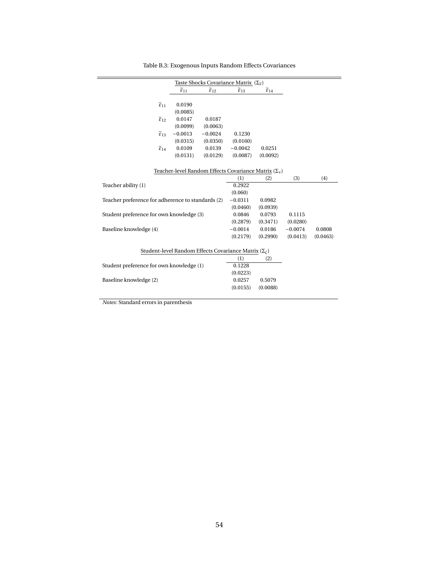|                                                   | $\widetilde{\varepsilon}_{11}$ | $\widetilde{\epsilon}_{12}$                                      | $\widetilde{\varepsilon}_{13}$ |          |           |          |
|---------------------------------------------------|--------------------------------|------------------------------------------------------------------|--------------------------------|----------|-----------|----------|
|                                                   |                                |                                                                  |                                |          |           |          |
| $\widetilde{\varepsilon}_{11}$                    | 0.0190                         |                                                                  |                                |          |           |          |
|                                                   | (0.0085)                       |                                                                  |                                |          |           |          |
| $\widetilde{\epsilon}_{12}$                       | 0.0147                         | 0.0187                                                           |                                |          |           |          |
|                                                   | (0.0099)                       | (0.0063)                                                         |                                |          |           |          |
| $\widetilde{\epsilon}_{13}$                       | $-0.0013$                      | $-0.0024$                                                        | 0.1230                         |          |           |          |
|                                                   | (0.0315)                       | (0.0350)                                                         | (0.0160)                       |          |           |          |
| $\widetilde{\epsilon}_{14}$                       | 0.0109                         | 0.0139                                                           | $-0.0042$                      | 0.0251   |           |          |
|                                                   | (0.0131)                       | (0.0129)                                                         | (0.0087)                       | (0.0092) |           |          |
|                                                   |                                |                                                                  |                                |          |           |          |
|                                                   |                                | Teacher-level Random Effects Covariance Matrix $(\Sigma_v)$      |                                |          |           |          |
|                                                   |                                |                                                                  | (1)                            | (2)      | (3)       | (4)      |
| Teacher ability (1)                               |                                |                                                                  | 0.2922                         |          |           |          |
|                                                   |                                |                                                                  | (0.060)                        |          |           |          |
| Teacher preference for adherence to standards (2) |                                |                                                                  | $-0.0311$                      | 0.0982   |           |          |
|                                                   |                                |                                                                  | (0.0460)                       | (0.0939) |           |          |
| Student preference for own knowledge (3)          |                                |                                                                  | 0.0846                         | 0.0793   | 0.1115    |          |
|                                                   |                                |                                                                  | (0.2879)                       | (0.3471) | (0.0280)  |          |
| Baseline knowledge (4)                            |                                |                                                                  | $-0.0014$                      | 0.0186   | $-0.0074$ | 0.0808   |
|                                                   |                                |                                                                  | (0.2179)                       | (0.2990) | (0.0413)  | (0.0463) |
|                                                   |                                |                                                                  |                                |          |           |          |
|                                                   |                                | Student-level Random Effects Covariance Matrix $(\Sigma_{\ell})$ |                                |          |           |          |
|                                                   |                                |                                                                  | (1)                            | (2)      |           |          |
| Student preference for own knowledge (1)          |                                |                                                                  | 0.1228                         |          |           |          |
|                                                   |                                |                                                                  | (0.0223)                       |          |           |          |
| Baseline knowledge (2)                            |                                |                                                                  | 0.0257                         | 0.5079   |           |          |
|                                                   |                                |                                                                  | (0.0155)                       | (0.0088) |           |          |
|                                                   |                                |                                                                  |                                |          |           |          |

Table B.3: Exogenous Inputs Random Effects Covariances

*Notes:* Standard errors in parenthesis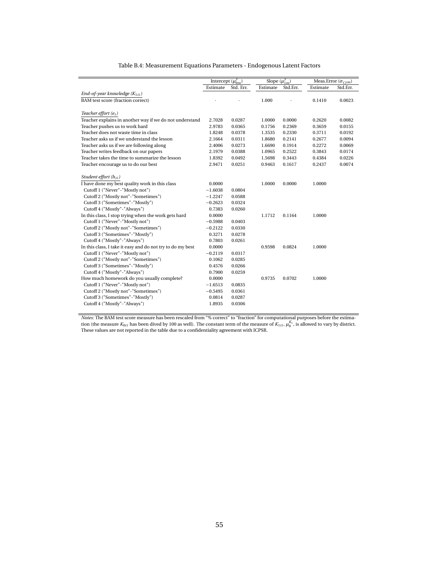<span id="page-55-0"></span>

|                                                            | Intercept $(\mu_{0m}^y)$ |           | Slope $(\mu_{1m}^y)$ |          | Meas.Error ( $\sigma_{\varsigma ym}$ ) |          |
|------------------------------------------------------------|--------------------------|-----------|----------------------|----------|----------------------------------------|----------|
|                                                            | Estimate                 | Std. Err. | Estimate             | Std.Err. | Estimate                               | Std.Err. |
| End-of-year knowledge $(K_{1ti})$                          |                          |           |                      |          |                                        |          |
| BAM test score (fraction correct)                          |                          |           | 1.000                |          | 0.1410                                 | 0.0023   |
|                                                            |                          |           |                      |          |                                        |          |
| Teacher effort $(e_t)$                                     |                          |           |                      |          |                                        |          |
| Teacher explains in another way if we do not understand    | 2.7028                   | 0.0287    | 1.0000               | 0.0000   | 0.2620                                 | 0.0082   |
| Teacher pushes us to work hard                             | 2.9783                   | 0.0365    | 0.1756               | 0.2369   | 0.3659                                 | 0.0155   |
| Teacher does not waste time in class                       | 1.8248                   | 0.0378    | 1.3535               | 0.2330   | 0.3711                                 | 0.0192   |
| Teacher asks us if we understand the lesson                | 2.1664                   | 0.0311    | 1.8680               | 0.2141   | 0.2677                                 | 0.0094   |
| Teacher asks us if we are following along                  | 2.4006                   | 0.0273    | 1.6690               | 0.1914   | 0.2272                                 | 0.0069   |
| Teacher writes feedback on our papers                      | 2.1979                   | 0.0388    | 1.0965               | 0.2522   | 0.3843                                 | 0.0174   |
| Teacher takes the time to summarize the lesson             | 1.8392                   | 0.0492    | 1.5698               | 0.3443   | 0.4384                                 | 0.0226   |
| Teacher encourage us to do our best                        | 2.9471                   | 0.0251    | 0.9463               | 0.1617   | 0.2437                                 | 0.0074   |
| Student effort (h <sub>ti</sub> )                          |                          |           |                      |          |                                        |          |
|                                                            | 0.0000                   |           |                      | 0.0000   | 1.0000                                 |          |
| I have done my best quality work in this class             | $-1.6038$                | 0.0804    | 1.0000               |          |                                        |          |
| Cutoff 1 ("Never"-"Mostly not")                            |                          |           |                      |          |                                        |          |
| Cutoff 2 ("Mostly not"-"Sometimes")                        | $-1.2247$                | 0.0588    |                      |          |                                        |          |
| Cutoff 3 ("Sometimes"-"Mostly")                            | $-0.2623$                | 0.0324    |                      |          |                                        |          |
| Cutoff 4 ("Mostly"-"Always")                               | 0.7383                   | 0.0260    |                      |          |                                        |          |
| In this class, I stop trying when the work gets hard       | 0.0000                   |           | 1.1712               | 0.1164   | 1.0000                                 |          |
| Cutoff 1 ("Never"-"Mostly not")                            | $-0.5988$                | 0.0403    |                      |          |                                        |          |
| Cutoff 2 ("Mostly not"-"Sometimes")                        | $-0.2122$                | 0.0330    |                      |          |                                        |          |
| Cutoff 3 ("Sometimes"-"Mostly")                            | 0.3271                   | 0.0278    |                      |          |                                        |          |
| Cutoff 4 ("Mostly"-"Always")                               | 0.7803                   | 0.0261    |                      |          |                                        |          |
| In this class, I take it easy and do not try to do my best | 0.0000                   |           | 0.9598               | 0.0824   | 1.0000                                 |          |
| Cutoff 1 ("Never"-"Mostly not")                            | $-0.2119$                | 0.0317    |                      |          |                                        |          |
| Cutoff 2 ("Mostly not"-"Sometimes")                        | 0.1062                   | 0.0285    |                      |          |                                        |          |
| Cutoff 3 ("Sometimes"-"Mostly")                            | 0.4576                   | 0.0266    |                      |          |                                        |          |
| Cutoff 4 ("Mostly"-"Always")                               | 0.7900                   | 0.0259    |                      |          |                                        |          |
| How much homework do you usually complete?                 | 0.0000                   |           | 0.9735               | 0.0702   | 1.0000                                 |          |
| Cutoff 1 ("Never"-"Mostly not")                            | $-1.6513$                | 0.0835    |                      |          |                                        |          |
| Cutoff 2 ("Mostly not"-"Sometimes")                        | $-0.5495$                | 0.0361    |                      |          |                                        |          |
| Cutoff 3 ("Sometimes"-"Mostly")                            | 0.0814                   | 0.0287    |                      |          |                                        |          |
| Cutoff 4 ("Mostly"-"Always")                               | 1.8935                   | 0.0306    |                      |          |                                        |          |

#### Table B.4: Measurement Equations Parameters - Endogenous Latent Factors

*Notes:* The BAM test score measure has been rescaled from "% correct" to "fraction" for computational purposes before the estimation (the measure  $K_{0ti}$  has been dived by 100 as well). The constant term of the measure of  $K_{1ti}$ ,  $\mu_0^{K_1}$ , is allowed to vary by district. These values are not reported in the table due to a confidentiality agreement with ICPSR.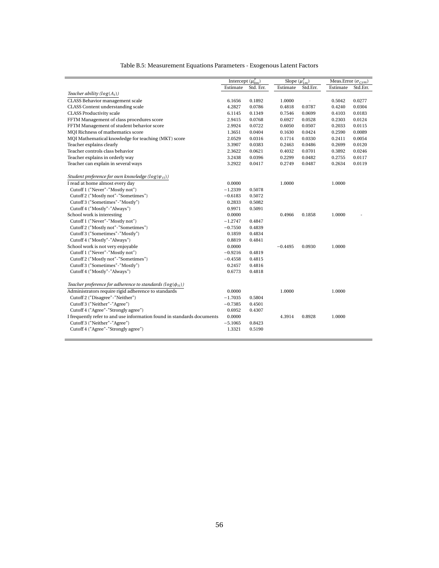| Table B.5: Measurement Equations Parameters - Exogenous Latent Factors |  |  |
|------------------------------------------------------------------------|--|--|
|                                                                        |  |  |

|                                                                        | Intercept $(\mu_{0m}^y)$ |           | Slope $(\mu_{1m}^y)$ |          | Meas.Error $(\sigma_{\varsigma ym})$ |          |  |
|------------------------------------------------------------------------|--------------------------|-----------|----------------------|----------|--------------------------------------|----------|--|
|                                                                        | Estimate                 | Std. Err. | Estimate             | Std.Err. | Estimate                             | Std.Err. |  |
| Teacher ability $(log(A_t))$                                           |                          |           |                      |          |                                      |          |  |
| CLASS Behavior management scale                                        | 6.1656                   | 0.1892    | 1.0000               |          | 0.5042                               | 0.0277   |  |
| <b>CLASS Content understanding scale</b>                               | 4.2827                   | 0.0786    | 0.4818               | 0.0787   | 0.4240                               | 0.0304   |  |
| <b>CLASS Productivity scale</b>                                        | 6.1145                   | 0.1349    | 0.7546               | 0.0699   | 0.4103                               | 0.0183   |  |
| FFTM Management of class procedures score                              | 2.9415                   | 0.0768    | 0.6927               | 0.0528   | 0.2303                               | 0.0124   |  |
| FFTM Management of student behavior score                              | 2.9924                   | 0.0722    | 0.6050               | 0.0507   | 0.2033                               | 0.0115   |  |
| MQI Richness of mathematics score                                      | 1.3651                   | 0.0404    | 0.1630               | 0.0424   | 0.2590                               | 0.0089   |  |
| MQI Mathematical knowledge for teaching (MKT) score                    | 2.0529                   | 0.0316    | 0.1714               | 0.0330   | 0.2411                               | 0.0054   |  |
| Teacher explains clearly                                               | 3.3907                   | 0.0383    | 0.2463               | 0.0486   | 0.2699                               | 0.0120   |  |
| Teacher controls class behavior                                        | 2.3622                   | 0.0621    | 0.4032               | 0.0701   | 0.3892                               | 0.0246   |  |
| Teacher explains in orderly way                                        | 3.2438                   | 0.0396    | 0.2299               | 0.0482   | 0.2755                               | 0.0117   |  |
| Teacher can explain in several ways                                    | 3.2922                   | 0.0417    | 0.2749               | 0.0487   | 0.2634                               | 0.0119   |  |
| Student preference for own knowledge ( $log(\psi_{ti})$ )              |                          |           |                      |          |                                      |          |  |
| I read at home almost every day                                        | 0.0000                   |           | 1.0000               |          | 1.0000                               |          |  |
| Cutoff 1 ("Never"-"Mostly not")                                        | $-1.2339$                | 0.5078    |                      |          |                                      |          |  |
| Cutoff 2 ("Mostly not"-"Sometimes")                                    | $-0.6183$                | 0.5072    |                      |          |                                      |          |  |
| Cutoff 3 ("Sometimes"-"Mostly")                                        | 0.2833                   | 0.5082    |                      |          |                                      |          |  |
| Cutoff 4 ("Mostly"-"Always")                                           | 0.9971                   | 0.5091    |                      |          |                                      |          |  |
| School work is interesting                                             | 0.0000                   |           | 0.4966               | 0.1858   | 1.0000                               |          |  |
| Cutoff 1 ("Never"-"Mostly not")                                        | $-1.2747$                | 0.4847    |                      |          |                                      |          |  |
| Cutoff 2 ("Mostly not"-"Sometimes")                                    | $-0.7550$                | 0.4839    |                      |          |                                      |          |  |
| Cutoff 3 ("Sometimes"-"Mostly")                                        | 0.1859                   | 0.4834    |                      |          |                                      |          |  |
| Cutoff 4 ("Mostly"-"Always")                                           | 0.8819                   | 0.4841    |                      |          |                                      |          |  |
| School work is not very enjoyable                                      | 0.0000                   |           | $-0.4495$            | 0.0930   | 1.0000                               |          |  |
| Cutoff 1 ("Never"-"Mostly not")                                        | $-0.9216$                | 0.4819    |                      |          |                                      |          |  |
| Cutoff 2 ("Mostly not"-"Sometimes")                                    | $-0.4558$                | 0.4815    |                      |          |                                      |          |  |
| Cutoff 3 ("Sometimes"-"Mostly")                                        | 0.2457                   | 0.4816    |                      |          |                                      |          |  |
| Cutoff 4 ("Mostly"-"Always")                                           | 0.6773                   | 0.4818    |                      |          |                                      |          |  |
| Teacher preference for adherence to standards ( $log(\phi_{ti})$ )     |                          |           |                      |          |                                      |          |  |
| Administrators require rigid adherence to standards                    | 0.0000                   |           | 1.0000               |          | 1.0000                               |          |  |
| Cutoff 2 ("Disagree"-"Neither")                                        | $-1.7035$                | 0.5804    |                      |          |                                      |          |  |
| Cutoff 3 ("Neither"-"Agree")                                           | $-0.7385$                | 0.4501    |                      |          |                                      |          |  |
| Cutoff 4 ("Agree"-"Strongly agree")                                    | 0.6952                   | 0.4307    |                      |          |                                      |          |  |
| I frequently refer to and use information found in standards documents | 0.0000                   |           | 4.3914               | 0.8928   | 1.0000                               |          |  |
| Cutoff 3 ("Neither"-"Agree")                                           | $-5.1065$                | 0.8423    |                      |          |                                      |          |  |
| Cutoff 4 ("Agree"-"Strongly agree")                                    | 1.3321                   | 0.5190    |                      |          |                                      |          |  |
|                                                                        |                          |           |                      |          |                                      |          |  |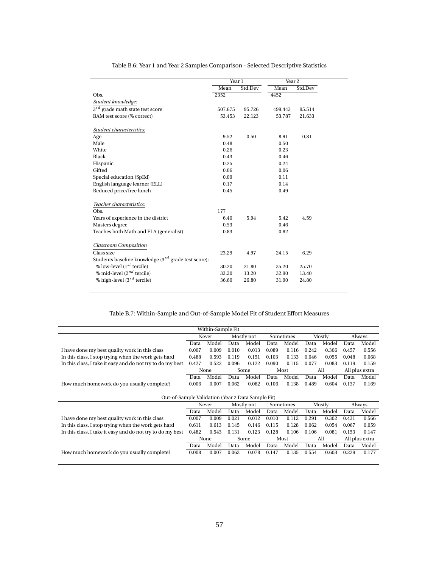<span id="page-57-0"></span>

|                                                          | Year 1  |         | Year <sub>2</sub> |         |
|----------------------------------------------------------|---------|---------|-------------------|---------|
|                                                          | Mean    | Std.Dev | Mean              | Std.Dev |
| Obs.                                                     | 2352    |         | 4452              |         |
| Student knowledge:                                       |         |         |                   |         |
| $3^{rd}$ grade math state test score                     | 507.675 | 95.726  | 499.443           | 95.514  |
| BAM test score (% correct)                               | 53.453  | 22.123  | 53.787            | 21.633  |
| Student characteristics:                                 |         |         |                   |         |
| Age                                                      | 9.52    | 0.50    | 8.91              | 0.81    |
| Male                                                     | 0.48    |         | 0.50              |         |
| White                                                    | 0.26    |         | 0.23              |         |
| Black                                                    | 0.43    |         | 0.46              |         |
| Hispanic                                                 | 0.25    |         | 0.24              |         |
| Gifted                                                   | 0.06    |         | 0.06              |         |
| Special education (SpEd)                                 | 0.09    |         | 0.11              |         |
| English language learner (ELL)                           | 0.17    |         | 0.14              |         |
| Reduced price/free lunch                                 | 0.45    |         | 0.49              |         |
| Teacher characteristics:                                 |         |         |                   |         |
| Obs.                                                     | 177     |         |                   |         |
| Years of experience in the district                      | 6.40    | 5.94    | 5.42              | 4.59    |
| Masters degree                                           | 0.53    |         | 0.46              |         |
| Teaches both Math and ELA (generalist)                   | 0.83    |         | 0.82              |         |
| <b>Classroom Composition</b>                             |         |         |                   |         |
| Class size                                               | 23.29   | 4.97    | 24.15             | 6.29    |
| Students baseline knowledge $(3^{rd}$ grade test score): |         |         |                   |         |
| % low-level $(1^{st}$ tercile)                           | 30.20   | 21.80   | 35.20             | 25.70   |
| % mid-level $(2^{nd}$ tercile)                           | 33.20   | 13.20   | 32.90             | 13.40   |
| % high-level $(3^{rd}$ tercile)                          | 36.60   | 26.80   | 31.90             | 24.80   |

Table B.6: Year 1 and Year 2 Samples Comparison - Selected Descriptive Statistics

### Table B.7: Within-Sample and Out-of-Sample Model Fit of Student Effort Measures

| Within-Sample Fit                                          |       |       |            |            |           |           |       |        |       |                |  |  |
|------------------------------------------------------------|-------|-------|------------|------------|-----------|-----------|-------|--------|-------|----------------|--|--|
|                                                            | Never |       | Mostly not |            | Sometimes |           |       | Mostly |       | Always         |  |  |
|                                                            | Data  | Model | Data       | Model      | Data      | Model     | Data  | Model  | Data  | Model          |  |  |
| I have done my best quality work in this class             | 0.007 | 0.009 | 0.010      | 0.013      | 0.089     | 0.116     | 0.242 | 0.306  | 0.457 | 0.556          |  |  |
| In this class, I stop trying when the work gets hard       | 0.488 | 0.593 | 0.119      | 0.151      | 0.103     | 0.133     | 0.046 | 0.055  | 0.048 | 0.068          |  |  |
| In this class, I take it easy and do not try to do my best | 0.427 | 0.522 | 0.096      | 0.122      | 0.090     | 0.115     | 0.077 | 0.083  | 0.119 | 0.159          |  |  |
|                                                            |       | None  |            | Some       |           | Most      |       | All    |       | All plus extra |  |  |
|                                                            | Data  | Model | Data       | Model      | Data      | Model     | Data  | Model  | Data  | Model          |  |  |
| How much homework do you usually complete?                 | 0.006 | 0.007 | 0.062      | 0.082      | 0.106     | 0.138     | 0.489 | 0.604  | 0.137 | 0.169          |  |  |
|                                                            |       |       |            |            |           |           |       |        |       |                |  |  |
|                                                            |       |       |            |            |           |           |       |        |       |                |  |  |
| Out-of-Sample Validation (Year 2 Data Sample Fit)          |       |       |            |            |           |           |       |        |       |                |  |  |
|                                                            |       | Never |            | Mostly not |           | Sometimes |       | Mostly |       | Always         |  |  |
|                                                            | Data  | Model | Data       | Model      | Data      | Model     | Data  | Model  | Data  | Model          |  |  |
| I have done my best quality work in this class             | 0.007 | 0.009 | 0.021      | 0.012      | 0.010     | 0.112     | 0.291 | 0.302  | 0.431 | 0.566          |  |  |
| In this class, I stop trying when the work gets hard       | 0.611 | 0.613 | 0.145      | 0.146      | 0.115     | 0.128     | 0.062 | 0.054  | 0.067 | 0.059          |  |  |
| In this class, I take it easy and do not try to do my best | 0.482 | 0.543 | 0.131      | 0.123      | 0.128     | 0.106     | 0.106 | 0.081  | 0.153 | 0.147          |  |  |
|                                                            |       | None  |            | Some       |           | Most      |       | All    |       | All plus extra |  |  |
|                                                            | Data  | Model | Data       | Model      | Data      | Model     | Data  | Model  | Data  | Model          |  |  |
| How much homework do you usually complete?                 | 0.008 | 0.007 | 0.062      | 0.078      | 0.147     | 0.135     | 0.554 | 0.603  | 0.229 | 0.177          |  |  |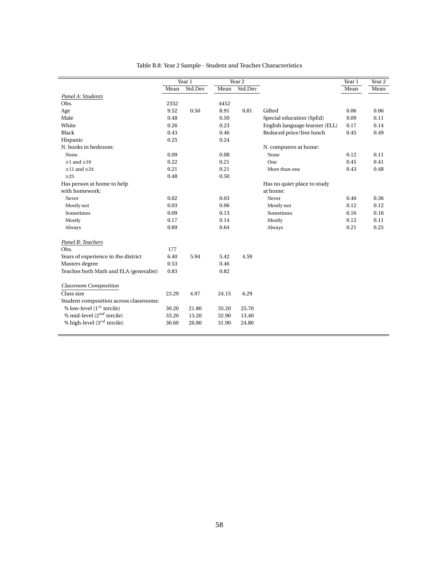|                                        |       | Year 1  | Year <sub>2</sub> |         |                                | Year 1 | Year 2 |
|----------------------------------------|-------|---------|-------------------|---------|--------------------------------|--------|--------|
|                                        | Mean  | Std.Dev | Mean              | Std.Dev |                                | Mean   | Mean   |
| Panel A: Students                      |       |         |                   |         |                                |        |        |
| Obs.                                   | 2352  |         | 4452              |         |                                |        |        |
| Age                                    | 9.52  | 0.50    | 8.91              | 0.81    | Gifted                         | 0.06   | 0.06   |
| Male                                   | 0.48  |         | 0.50              |         | Special education (SpEd)       | 0.09   | 0.11   |
| White                                  | 0.26  |         | 0.23              |         | English language learner (ELL) | 0.17   | 0.14   |
| <b>Black</b>                           | 0.43  |         | 0.46              |         | Reduced price/free lunch       | 0.45   | 0.49   |
|                                        |       |         |                   |         |                                |        |        |
| Hispanic                               | 0.25  |         | 0.24              |         |                                |        |        |
| N. books in bedroom:                   |       |         |                   |         | N. computers at home:          |        |        |
| None                                   | 0.09  |         | 0.08              |         | None                           | 0.12   | 0.11   |
| $\geq$ 1 and $\leq$ 10                 | 0.22  |         | 0.21              |         | One                            | 0.45   | 0.41   |
| $\geq$ 11 and $\leq$ 24                | 0.21  |         | 0.21              |         | More than one                  | 0.43   | 0.48   |
| $\geq$ 25                              | 0.48  |         | 0.50              |         |                                |        |        |
| Has person at home to help             |       |         |                   |         | Has no quiet place to study    |        |        |
| with homework:                         |       |         |                   |         | at home:                       |        |        |
| Never                                  | 0.02  |         | 0.03              |         | Never                          | 0.40   | 0.36   |
| Mostly not                             | 0.03  |         | 0.06              |         | Mostly not                     | 0.12   | 0.12   |
| Sometimes                              | 0.09  |         | 0.13              |         | Sometimes                      | 0.16   | 0.16   |
| Mostly                                 | 0.17  |         | 0.14              |         | Mostly                         | 0.12   | 0.11   |
| Always                                 | 0.69  |         | 0.64              |         | Always                         | 0.21   | 0.25   |
| Panel B: Teachers                      |       |         |                   |         |                                |        |        |
| Obs.                                   | 177   |         |                   |         |                                |        |        |
| Years of experience in the district    | 6.40  | 5.94    | 5.42              | 4.59    |                                |        |        |
| Masters degree                         | 0.53  |         | 0.46              |         |                                |        |        |
| Teaches both Math and ELA (generalist) | 0.83  |         | 0.82              |         |                                |        |        |
| <b>Classroom Composition</b>           |       |         |                   |         |                                |        |        |
| Class size                             | 23.29 | 4.97    | 24.15             | 6.29    |                                |        |        |
| Student composition across classrooms: |       |         |                   |         |                                |        |        |
| % low-level $(1^{st}$ tercile)         | 30.20 | 21.80   | 35.20             | 25.70   |                                |        |        |
| % mid-level $(2^{nd}$ tercile)         | 33.20 | 13.20   | 32.90             | 13.40   |                                |        |        |
| % high-level $(3^{rd}$ tercile)        | 36.60 | 26.80   | 31.90             | 24.80   |                                |        |        |
|                                        |       |         |                   |         |                                |        |        |

#### Table B.8: Year 2 Sample - Student and Teacher Characteristics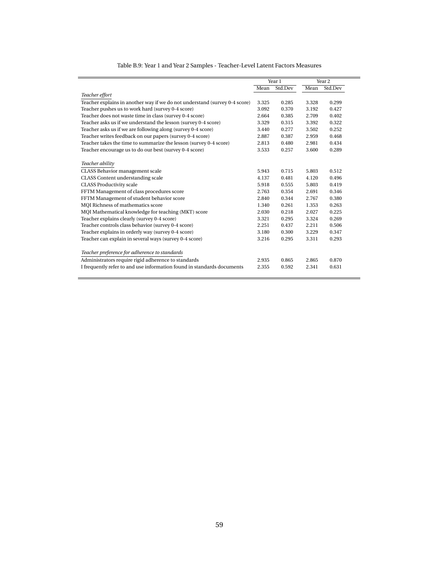|                                                                            |       | Year 1  |       | Year 2  |
|----------------------------------------------------------------------------|-------|---------|-------|---------|
|                                                                            | Mean  | Std.Dev | Mean  | Std.Dev |
| Teacher effort                                                             |       |         |       |         |
| Teacher explains in another way if we do not understand (survey 0-4 score) | 3.325 | 0.285   | 3.328 | 0.299   |
| Teacher pushes us to work hard (survey 0-4 score)                          | 3.092 | 0.370   | 3.192 | 0.427   |
| Teacher does not waste time in class (survey 0-4 score)                    | 2.664 | 0.385   | 2.709 | 0.402   |
| Teacher asks us if we understand the lesson (survey 0-4 score)             | 3.329 | 0.315   | 3.392 | 0.322   |
| Teacher asks us if we are following along (survey 0-4 score)               | 3.440 | 0.277   | 3.502 | 0.252   |
| Teacher writes feedback on our papers (survey 0-4 score)                   | 2.887 | 0.387   | 2.959 | 0.468   |
| Teacher takes the time to summarize the lesson (survey 0-4 score)          | 2.813 | 0.480   | 2.981 | 0.434   |
| Teacher encourage us to do our best (survey 0-4 score)                     | 3.533 | 0.257   | 3.600 | 0.289   |
|                                                                            |       |         |       |         |
| Teacher ability                                                            |       |         |       |         |
| CLASS Behavior management scale                                            | 5.943 | 0.715   | 5.803 | 0.512   |
| CLASS Content understanding scale                                          | 4.137 | 0.481   | 4.120 | 0.496   |
| <b>CLASS Productivity scale</b>                                            | 5.918 | 0.555   | 5.803 | 0.419   |
| FFTM Management of class procedures score                                  | 2.763 | 0.354   | 2.691 | 0.346   |
| FFTM Management of student behavior score                                  | 2.840 | 0.344   | 2.767 | 0.380   |
| MQI Richness of mathematics score                                          | 1.340 | 0.261   | 1.353 | 0.263   |
| MQI Mathematical knowledge for teaching (MKT) score                        | 2.030 | 0.218   | 2.027 | 0.225   |
| Teacher explains clearly (survey 0-4 score)                                | 3.321 | 0.295   | 3.324 | 0.269   |
| Teacher controls class behavior (survey 0-4 score)                         | 2.251 | 0.437   | 2.211 | 0.506   |
| Teacher explains in orderly way (survey 0-4 score)                         | 3.180 | 0.300   | 3.229 | 0.347   |
| Teacher can explain in several ways (survey 0-4 score)                     | 3.216 | 0.295   | 3.311 | 0.293   |
| Teacher preference for adherence to standards                              |       |         |       |         |
|                                                                            |       |         |       |         |
| Administrators require rigid adherence to standards                        | 2.935 | 0.865   | 2.865 | 0.870   |
| I frequently refer to and use information found in standards documents     | 2.355 | 0.592   | 2.341 | 0.631   |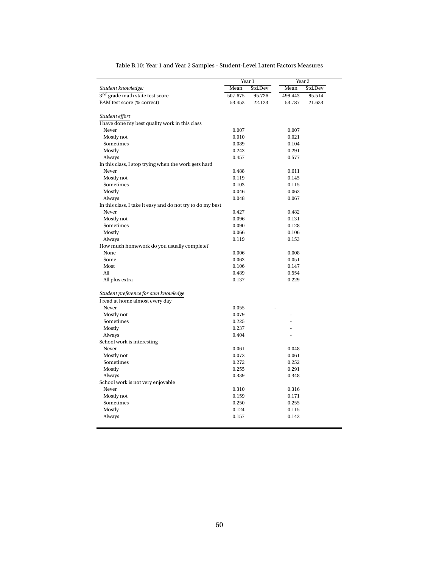|                                                            | Year 1         |         | Year <sub>2</sub> |         |
|------------------------------------------------------------|----------------|---------|-------------------|---------|
| Student knowledge:                                         | Mean           | Std.Dev | Mean              | Std.Dev |
| $3^{rd}$ grade math state test score                       | 507.675        | 95.726  | 499.443           | 95.514  |
| BAM test score (% correct)                                 | 53.453         | 22.123  | 53.787            | 21.633  |
|                                                            |                |         |                   |         |
| Student effort                                             |                |         |                   |         |
| I have done my best quality work in this class             |                |         |                   |         |
| Never                                                      | 0.007          |         | 0.007             |         |
| Mostly not                                                 | 0.010          |         | 0.021             |         |
| Sometimes                                                  | 0.089          |         | 0.104             |         |
| Mostly                                                     | 0.242          |         | 0.291             |         |
| Always                                                     | 0.457          |         | 0.577             |         |
| In this class, I stop trying when the work gets hard       |                |         |                   |         |
| Never                                                      | 0.488          |         | 0.611             |         |
| Mostly not                                                 | 0.119          |         | 0.145             |         |
| Sometimes                                                  | 0.103          |         | 0.115             |         |
| Mostly                                                     | 0.046          |         | 0.062             |         |
| Always                                                     | 0.048          |         | 0.067             |         |
| In this class, I take it easy and do not try to do my best |                |         |                   |         |
| Never                                                      | 0.427          |         | 0.482             |         |
| Mostly not                                                 | 0.096          |         | 0.131             |         |
| Sometimes                                                  | 0.090          |         | 0.128             |         |
| Mostly                                                     | 0.066          |         | 0.106             |         |
| Always                                                     | 0.119          |         | 0.153             |         |
| How much homework do you usually complete?                 |                |         |                   |         |
| None                                                       | 0.006          |         | 0.008             |         |
| Some                                                       | 0.062          |         | 0.051             |         |
| Most                                                       | 0.106          |         | 0.147             |         |
| All                                                        | 0.489          |         | 0.554             |         |
| All plus extra                                             | 0.137          |         | 0.229             |         |
|                                                            |                |         |                   |         |
| Student preference for own knowledge                       |                |         |                   |         |
| I read at home almost every day                            |                |         |                   |         |
| Never                                                      | 0.055          |         |                   |         |
| Mostly not<br>Sometimes                                    | 0.079          |         |                   |         |
|                                                            | 0.225<br>0.237 |         |                   |         |
| Mostly<br>Always                                           | 0.404          |         | L,                |         |
| School work is interesting                                 |                |         |                   |         |
| Never                                                      | 0.061          |         | 0.048             |         |
| Mostly not                                                 | 0.072          |         | 0.061             |         |
| Sometimes                                                  | 0.272          |         | 0.252             |         |
| Mostly                                                     | 0.255          |         | 0.291             |         |
| Always                                                     | 0.339          |         | 0.348             |         |
| School work is not very enjoyable                          |                |         |                   |         |
| Never                                                      | 0.310          |         | 0.316             |         |
| Mostly not                                                 | 0.159          |         | 0.171             |         |
| Sometimes                                                  | 0.250          |         | 0.255             |         |
| Mostly                                                     | 0.124          |         | 0.115             |         |
| Always                                                     | 0.157          |         | 0.142             |         |
|                                                            |                |         |                   |         |

Table B.10: Year 1 and Year 2 Samples - Student-Level Latent Factors Measures

 $\equiv$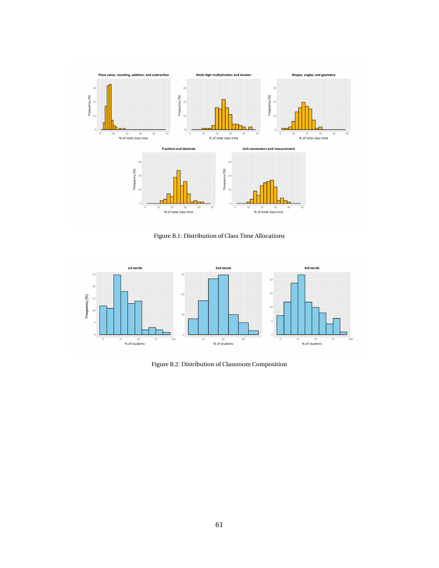

Figure B.1: Distribution of Class Time Allocations



Figure B.2: Distribution of Classroom Composition